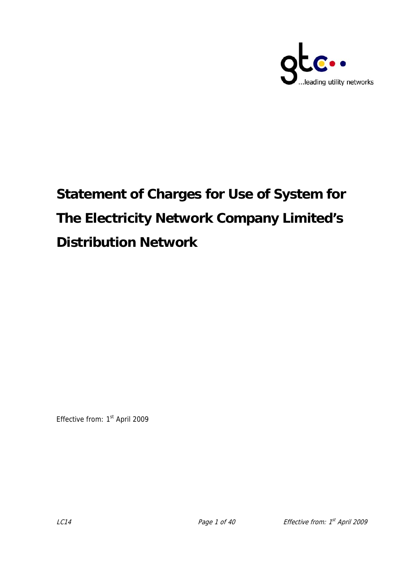

# **Statement of Charges for Use of System for The Electricity Network Company Limited's Distribution Network**

Effective from: 1<sup>st</sup> April 2009

 $LCA$  Page 1 of 40 Effective from:  $1<sup>st</sup>$  April 2009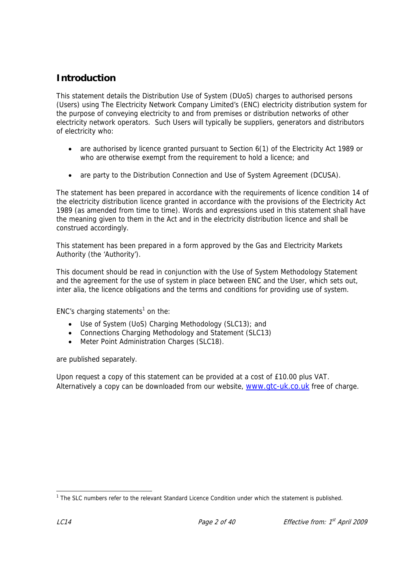# **Introduction**

This statement details the Distribution Use of System (DUoS) charges to authorised persons (Users) using The Electricity Network Company Limited's (ENC) electricity distribution system for the purpose of conveying electricity to and from premises or distribution networks of other electricity network operators. Such Users will typically be suppliers, generators and distributors of electricity who:

- are authorised by licence granted pursuant to Section 6(1) of the Electricity Act 1989 or who are otherwise exempt from the requirement to hold a licence; and
- are party to the Distribution Connection and Use of System Agreement (DCUSA).

The statement has been prepared in accordance with the requirements of licence condition 14 of the electricity distribution licence granted in accordance with the provisions of the Electricity Act 1989 (as amended from time to time). Words and expressions used in this statement shall have the meaning given to them in the Act and in the electricity distribution licence and shall be construed accordingly.

This statement has been prepared in a form approved by the Gas and Electricity Markets Authority (the 'Authority').

This document should be read in conjunction with the Use of System Methodology Statement and the agreement for the use of system in place between ENC and the User, which sets out, inter alia, the licence obligations and the terms and conditions for providing use of system.

ENC's charging statements<sup>1</sup> on the:

- Use of System (UoS) Charging Methodology (SLC13); and
- Connections Charging Methodology and Statement (SLC13)
- Meter Point Administration Charges (SLC18).

are published separately.

Upon request a copy of this statement can be provided at a cost of £10.00 plus VAT. Alternatively a copy can be downloaded from our website, www.gtc-uk.co.uk free of charge.

 $\overline{a}$ <sup>1</sup> The SLC numbers refer to the relevant Standard Licence Condition under which the statement is published.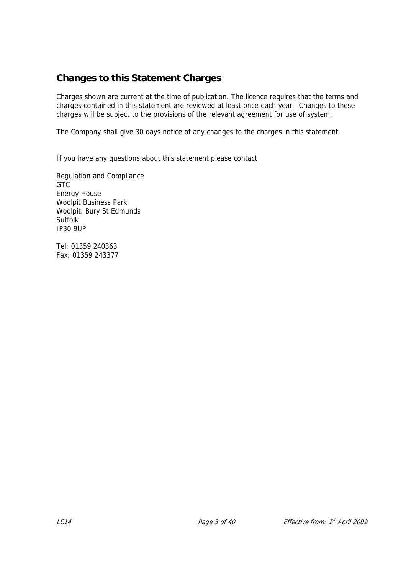# **Changes to this Statement Charges**

Charges shown are current at the time of publication. The licence requires that the terms and charges contained in this statement are reviewed at least once each year. Changes to these charges will be subject to the provisions of the relevant agreement for use of system.

The Company shall give 30 days notice of any changes to the charges in this statement.

If you have any questions about this statement please contact

Regulation and Compliance **GTC** Energy House Woolpit Business Park Woolpit, Bury St Edmunds **Suffolk** IP30 9UP

Tel: 01359 240363 Fax: 01359 243377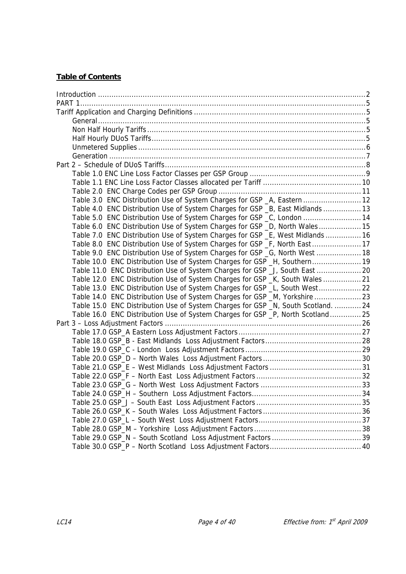#### **Table of Contents**

| Table 3.0 ENC Distribution Use of System Charges for GSP _A, Eastern  12          |
|-----------------------------------------------------------------------------------|
| Table 4.0 ENC Distribution Use of System Charges for GSP _B, East Midlands  13    |
| Table 5.0 ENC Distribution Use of System Charges for GSP _C, London  14           |
| Table 6.0 ENC Distribution Use of System Charges for GSP _D, North Wales 15       |
| Table 7.0 ENC Distribution Use of System Charges for GSP _E, West Midlands  16    |
| Table 8.0 ENC Distribution Use of System Charges for GSP _F, North East  17       |
| Table 9.0 ENC Distribution Use of System Charges for GSP _G, North West  18       |
| Table 10.0 ENC Distribution Use of System Charges for GSP _H, Southern 19         |
| Table 11.0 ENC Distribution Use of System Charges for GSP _J, South East  20      |
| Table 12.0 ENC Distribution Use of System Charges for GSP _K, South Wales  21     |
| Table 13.0 ENC Distribution Use of System Charges for GSP _L, South West 22       |
| Table 14.0 ENC Distribution Use of System Charges for GSP _M, Yorkshire  23       |
| Table 15.0 ENC Distribution Use of System Charges for GSP _N, South Scotland.  24 |
| Table 16.0 ENC Distribution Use of System Charges for GSP _P, North Scotland 25   |
|                                                                                   |
|                                                                                   |
|                                                                                   |
|                                                                                   |
|                                                                                   |
|                                                                                   |
|                                                                                   |
|                                                                                   |
|                                                                                   |
|                                                                                   |
|                                                                                   |
|                                                                                   |
|                                                                                   |
|                                                                                   |
|                                                                                   |
|                                                                                   |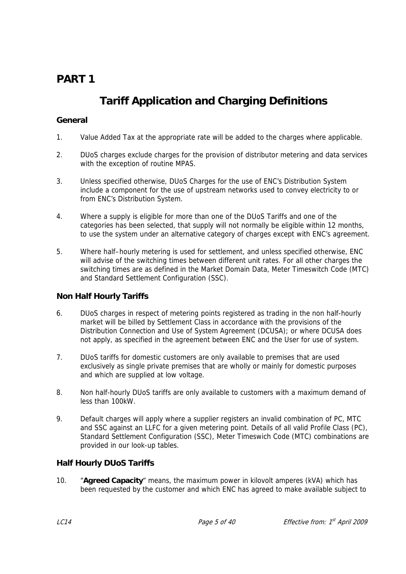# **PART 1**

# **Tariff Application and Charging Definitions**

#### **General**

- 1. Value Added Tax at the appropriate rate will be added to the charges where applicable.
- 2. DUoS charges exclude charges for the provision of distributor metering and data services with the exception of routine MPAS.
- 3. Unless specified otherwise, DUoS Charges for the use of ENC's Distribution System include a component for the use of upstream networks used to convey electricity to or from ENC's Distribution System.
- 4. Where a supply is eligible for more than one of the DUoS Tariffs and one of the categories has been selected, that supply will not normally be eligible within 12 months, to use the system under an alternative category of charges except with ENC's agreement.
- 5. Where half–hourly metering is used for settlement, and unless specified otherwise, ENC will advise of the switching times between different unit rates. For all other charges the switching times are as defined in the Market Domain Data, Meter Timeswitch Code (MTC) and Standard Settlement Configuration (SSC).

#### **Non Half Hourly Tariffs**

- 6. DUoS charges in respect of metering points registered as trading in the non half-hourly market will be billed by Settlement Class in accordance with the provisions of the Distribution Connection and Use of System Agreement (DCUSA); or where DCUSA does not apply, as specified in the agreement between ENC and the User for use of system.
- 7. DUoS tariffs for domestic customers are only available to premises that are used exclusively as single private premises that are wholly or mainly for domestic purposes and which are supplied at low voltage.
- 8. Non half-hourly DUoS tariffs are only available to customers with a maximum demand of less than 100kW.
- 9. Default charges will apply where a supplier registers an invalid combination of PC, MTC and SSC against an LLFC for a given metering point. Details of all valid Profile Class (PC), Standard Settlement Configuration (SSC), Meter Timeswich Code (MTC) combinations are provided in our look-up tables.

#### **Half Hourly DUoS Tariffs**

10. "**Agreed Capacity**" means, the maximum power in kilovolt amperes (kVA) which has been requested by the customer and which ENC has agreed to make available subject to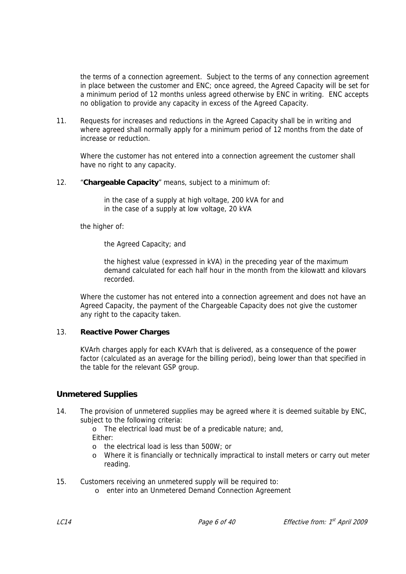the terms of a connection agreement. Subject to the terms of any connection agreement in place between the customer and ENC; once agreed, the Agreed Capacity will be set for a minimum period of 12 months unless agreed otherwise by ENC in writing. ENC accepts no obligation to provide any capacity in excess of the Agreed Capacity.

11. Requests for increases and reductions in the Agreed Capacity shall be in writing and where agreed shall normally apply for a minimum period of 12 months from the date of increase or reduction.

Where the customer has not entered into a connection agreement the customer shall have no right to any capacity.

12. "**Chargeable Capacity**" means, subject to a minimum of:

in the case of a supply at high voltage, 200 kVA for and in the case of a supply at low voltage, 20 kVA

the higher of:

the Agreed Capacity; and

the highest value (expressed in kVA) in the preceding year of the maximum demand calculated for each half hour in the month from the kilowatt and kilovars recorded.

Where the customer has not entered into a connection agreement and does not have an Agreed Capacity, the payment of the Chargeable Capacity does not give the customer any right to the capacity taken.

#### 13. **Reactive Power Charges**

KVArh charges apply for each KVArh that is delivered, as a consequence of the power factor (calculated as an average for the billing period), being lower than that specified in the table for the relevant GSP group.

#### **Unmetered Supplies**

14. The provision of unmetered supplies may be agreed where it is deemed suitable by ENC, subject to the following criteria:

o The electrical load must be of a predicable nature; and, Either:

- o the electrical load is less than 500W; or
- o Where it is financially or technically impractical to install meters or carry out meter reading.
- 15. Customers receiving an unmetered supply will be required to:
	- o enter into an Unmetered Demand Connection Agreement

LC14 **Page 6 of 40** Effective from: 1<sup>st</sup> April 2009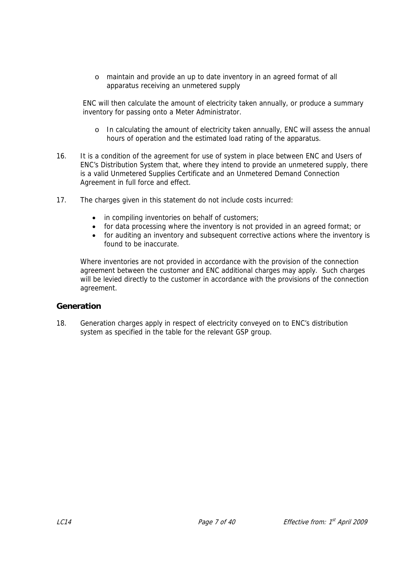o maintain and provide an up to date inventory in an agreed format of all apparatus receiving an unmetered supply

ENC will then calculate the amount of electricity taken annually, or produce a summary inventory for passing onto a Meter Administrator.

- o In calculating the amount of electricity taken annually, ENC will assess the annual hours of operation and the estimated load rating of the apparatus.
- 16. It is a condition of the agreement for use of system in place between ENC and Users of ENC's Distribution System that, where they intend to provide an unmetered supply, there is a valid Unmetered Supplies Certificate and an Unmetered Demand Connection Agreement in full force and effect.
- 17. The charges given in this statement do not include costs incurred:
	- in compiling inventories on behalf of customers;
	- for data processing where the inventory is not provided in an agreed format; or
	- for auditing an inventory and subsequent corrective actions where the inventory is found to be inaccurate.

Where inventories are not provided in accordance with the provision of the connection agreement between the customer and ENC additional charges may apply. Such charges will be levied directly to the customer in accordance with the provisions of the connection agreement.

#### **Generation**

18. Generation charges apply in respect of electricity conveyed on to ENC's distribution system as specified in the table for the relevant GSP group.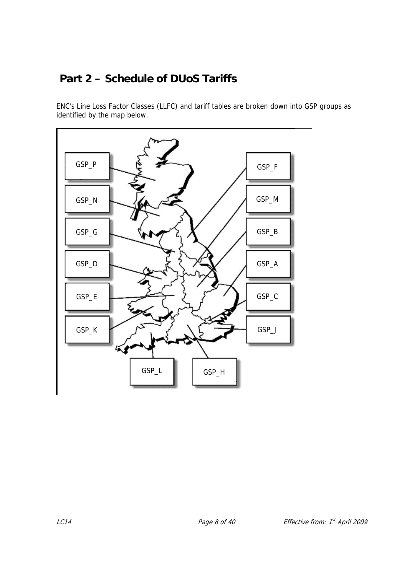# **Part 2 – Schedule of DUoS Tariffs**

ENC's Line Loss Factor Classes (LLFC) and tariff tables are broken down into GSP groups as identified by the map below.

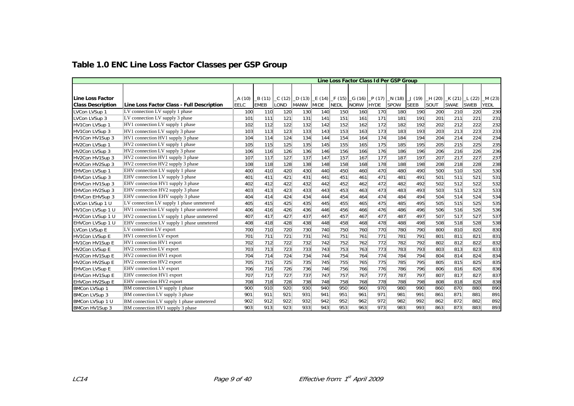|                                 |                                            |               |             |       |             |             |             | Line Loss Factor Class Id Per GSP Group |             |                                                                 |             |            |                         |             |                 |
|---------------------------------|--------------------------------------------|---------------|-------------|-------|-------------|-------------|-------------|-----------------------------------------|-------------|-----------------------------------------------------------------|-------------|------------|-------------------------|-------------|-----------------|
|                                 |                                            |               |             |       |             |             |             |                                         |             |                                                                 |             |            |                         |             |                 |
| <b>Line Loss Factor</b>         |                                            |               | B (11)      | C(12) | D(13)       |             |             |                                         |             |                                                                 |             |            |                         |             |                 |
| <b>Class Description</b>        | Line Loss Factor Class - Full Description  | A(10)<br>EELC | <b>EMEB</b> | LOND  | <b>MANW</b> | <b>MIDE</b> | <b>NEDL</b> | <b>NORW</b>                             | <b>HYDE</b> | _E (14) _F (15) _G (16) _P (17) _N (18) _J (19) _H (20)<br>SPOW | <b>SEEB</b> | SOUT       | $K(21)$ $L(22)$<br>SWAE | <b>SWEB</b> | _M (23)<br>YEDL |
| LVCon LVSup 1                   | LV connection LV supply 1 phase            | 100           | 110         | 120   | 130         | 140         | 150         | 160                                     | 170         | 180                                                             | 190         | 200        | 210                     | 220         | 230             |
|                                 | LV connection LV supply 3 phase            | 101           |             | 121   | 131         | 141         | 151         | 161                                     | 171         | 181                                                             | 191         |            | 211                     | 221         |                 |
| LVCon LVSup 3<br>HV1Con LVSup 1 |                                            | 102           | 111<br>112  | 122   | 132         | 142         | 152         | 162                                     | 172         | 182                                                             | 192         | 201<br>202 | 212                     | 222         | 231<br>232      |
|                                 | HV1 connection LV supply 1 phase           | 103           | 113         |       |             | 143         |             | 163                                     |             |                                                                 | 193         |            |                         | 223         |                 |
| HV1Con LVSup 3                  | HV1 connection LV supply 3 phase           |               |             | 123   | 133         |             | 153         |                                         | 173         | 183                                                             |             | 203        | 213                     |             | 233             |
| HV1Con HV1Sup 3                 | HV1 connection HV1 supply 3 phase          | 104           | 114         | 124   | 134         | 144         | 154         | 164                                     | 174         | 184                                                             | 194         | 204        | 214                     | 224         | 234             |
| HV2Con LVSup 1                  | HV2 connection LV supply 1 phase           | 105           | 115         | 125   | 135         | 145         | 155         | 165                                     | 175         | 185                                                             | 195         | 205        | 215                     | 225         | 235             |
| HV2Con LVSup 3                  | HV2 connection LV supply 3 phase           | 106           | 116         | 126   | 136         | 146         | 156         | 166                                     | 176         | 186                                                             | 196         | 206        | 216                     | 226         | 236             |
| HV2Con HV1Sup 3                 | HV2 connection HV1 supply 3 phase          | 107           | 117         | 127   | 137         | 147         | 157         | 167                                     | 177         | 187                                                             | 197         | 207        | 217                     | 227         | 237             |
| HV2Con HV2Sup 3                 | HV2 connection HV2 supply 3 phase          | 108           | 118         | 128   | 138         | 148         | 158         | 168                                     | 178         | 188                                                             | 198         | 208        | 218                     | 228         | 238             |
| <b>EHVCon LVSup 1</b>           | EHV connection LV supply 1 phase           | 400           | 410         | 420   | 430         | 440         | 450         | 460                                     | 470         | 480                                                             | 490         | 500        | 510                     | 520         | 530             |
| <b>EHVCon LVSup 3</b>           | EHV connection LV supply 3 phase           | 401           | 411         | 421   | 431         | 441         | 451         | 461                                     | 471         | 481                                                             | 491         | 501        | 511                     | 521         | 531             |
| EHVCon HV1Sup 3                 | EHV connection HV1 supply 3 phase          | 402           | 412         | 422   | 432         | 442         | 452         | 462                                     | 472         | 482                                                             | 492         | 502        | 512                     | 522         | 532             |
| EHVCon HV2Sup 3                 | EHV connection HV2 supply 3 phase          | 403           | 413         | 423   | 433         | 443         | 453         | 463                                     | 473         | 483                                                             | 493         | 503        | 513                     | 523         | 533             |
| EHVCon EHVSup 3                 | EHV connection EHV supply 3 phase          | 404           | 414         | 424   | 434         | 444         | 454         | 464                                     | 474         | 484                                                             | 494         | 504        | 514                     | 524         | 534             |
| LVCon LVSup 1 U                 | LV connection LV supply 1 phase unmetered  | 405           | 415         | 425   | 435         | 445         | 455         | 465                                     | 475         | 485                                                             | 495         | 505        | 515                     | 525         | 535             |
| HV1Con LVSup 1 U                | HV1 connection LV supply 1 phase unmetered | 406           | 416         | 426   | 436         | 446         | 456         | 466                                     | 476         | 486                                                             | 496         | 506        | 516                     | 526         | 536             |
| HV2Con LVSup 1 U                | HV2 connection LV supply 1 phase unmetered | 407           | 417         | 427   | 437         | 447         | 457         | 467                                     | 477         | 487                                                             | 497         | 507        | 517                     | 527         | 537             |
| EHVCon LVSup 1 U                | EHV connection LV supply 1 phase unmetered | 408           | 418         | 428   | 438         | 448         | 458         | 468                                     | 478         | 488                                                             | 498         | 508        | 518                     | 528         | 538             |
| <b>LVCon LVSup E</b>            | LV connection LV export                    | 700           | 710         | 720   | 730         | 740         | 750         | 760                                     | 770         | 780                                                             | 790         | 800        | 810                     | 820         | 830             |
| <b>HV1Con LVSup E</b>           | HV1 connection LV export                   | 701           | 711         | 721   | 731         | 741         | 751         | 761                                     | 771         | 781                                                             | 791         | 801        | 811                     | 821         | 831             |
| HV1Con HV1Sup E                 | HV1 connection HV1 export                  | 702           | 712         | 722   | 732         | 742         | 752         | 762                                     | 772         | 782                                                             | 792         | 802        | 812                     | 822         | 832             |
| HV2Con LVSup E                  | HV2 connection LV export                   | 703           | 713         | 723   | 733         | 743         | 753         | 763                                     | 773         | 783                                                             | 793         | 803        | 813                     | 823         | 833             |
| HV2Con HV1Sup E                 | HV2 connection HV1 export                  | 704           | 714         | 724   | 734         | 744         | 754         | 764                                     | 774         | 784                                                             | 794         | 804        | 814                     | 824         | 834             |
| HV2Con HV2Sup E                 | HV2 connection HV2 export                  | 705           | 715         | 725   | 735         | 745         | 755         | 765                                     | 775         | 785                                                             | 795         | 805        | 815                     | 825         | 835             |
| <b>EHVCon LVSup E</b>           | EHV connection LV export                   | 706           | 716         | 726   | 736         | 746         | 756         | 766                                     | 776         | 786                                                             | 796         | 806        | 816                     | 826         | 836             |
| EHVCon HV1Sup E                 | EHV connection HV1 export                  | 707           | 717         | 727   | 737         | 747         | 757         | 767                                     | 777         | 787                                                             | 797         | 807        | 817                     | 827         | 837             |
| EHVCon HV2Sup E                 | EHV connection HV2 export                  | 708           | 718         | 728   | 738         | 748         | 758         | 768                                     | 778         | 788                                                             | 798         | 808        | 818                     | 828         | 838             |
| <b>BMCon LVSup 1</b>            | BM connection LV supply 1 phase            | 900           | 910         | 920   | 930         | 940         | 950         | 960                                     | 970         | 980                                                             | 990         | 860        | 870                     | 880         | 890             |
| <b>BMCon LVSup 3</b>            | BM connection LV supply 3 phase            | 901           | 911         | 921   | 931         | 941         | 951         | 961                                     | 971         | 981                                                             | 991         | 861        | 871                     | 881         | 891             |
| BMCon LVSup 1 U                 | BM connection LV supply 1 phase unmetered  | 902           | 912         | 922   | 932         | 942         | 952         | 962                                     | 972         | 982                                                             | 992         | 862        | 872                     | 882         | 892             |
| BMCon HV1Sup 3                  | BM connection HV1 supply 3 phase           | 903           | 913         | 923   | 933         | 943         | 953         | 963                                     | 973         | 983                                                             | 993         | 863        | 873                     | 883         | 893             |

# **Table 1.0 ENC Line Loss Factor Classes per GSP Group**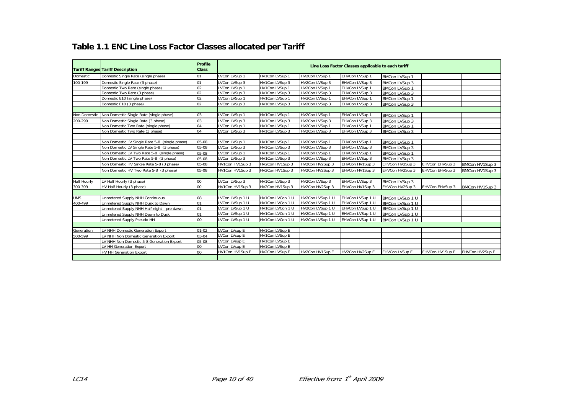# **Table 1.1 ENC Line Loss Factor Classes allocated per Tariff**

|                    | <b>Tariff Ranges Tariff Description</b>        | Profile<br><b>Class</b> |                 |                  |                  | Line Loss Factor Classes applicable to each tariff |                      |                 |                 |
|--------------------|------------------------------------------------|-------------------------|-----------------|------------------|------------------|----------------------------------------------------|----------------------|-----------------|-----------------|
| Domestic           | Domestic Single Rate (single phase)            | 01                      | LVCon LVSup 1   | HV1Con LVSup 1   | HV2Con LVSup 1   | EHVCon LVSup 1                                     | <b>BMCon LVSup 1</b> |                 |                 |
| 100-199            | Domestic Single Rate (3 phase)                 | 01                      | LVCon LVSup 3   | HV1Con LVSup 3   | HV2Con LVSup 3   | EHVCon LVSup 3                                     | <b>BMCon LVSup 3</b> |                 |                 |
|                    | Domestic Two Rate (single phase)               | 0 <sub>2</sub>          | LVCon LVSup 1   | HV1Con LVSup 1   | HV2Con LVSup 1   | EHVCon LVSup 1                                     | BMCon LVSup 1        |                 |                 |
|                    | Domestic Two Rate (3 phase)                    | 02                      | LVCon LVSup 3   | HV1Con LVSup 3   | HV2Con LVSup 3   | EHVCon LVSup 3                                     | BMCon LVSup 3        |                 |                 |
|                    | Domestic E10 (single phase)                    | 02                      | LVCon LVSup 1   | HV1Con LVSup 1   | HV2Con LVSup 1   | EHVCon LVSup 1                                     | <b>BMCon LVSup 1</b> |                 |                 |
|                    | Domestic E10 (3 phase)                         | 02                      | LVCon LVSup 3   | HV1Con LVSup 3   | HV2Con LVSup 3   | EHVCon LVSup 3                                     | BMCon LVSup 3        |                 |                 |
|                    |                                                |                         |                 |                  |                  |                                                    |                      |                 |                 |
| Non Domestic       | Non Domestic Single Rate (single phase)        | 03                      | LVCon LVSup 1   | HV1Con LVSup 1   | HV2Con LVSup 1   | EHVCon LVSup 1                                     | <b>BMCon LVSup 1</b> |                 |                 |
| 200-299            | Non Domestic Single Rate (3 phase)             | 03                      | LVCon LVSup 3   | HV1Con LVSup 3   | HV2Con LVSup 3   | EHVCon LVSup 3                                     | <b>BMCon LVSup 3</b> |                 |                 |
|                    | Non Domestic Two Rate (single phase)           | 04                      | LVCon LVSup 1   | HV1Con LVSup 1   | HV2Con LVSup 1   | EHVCon LVSup 1                                     | <b>BMCon LVSup 1</b> |                 |                 |
|                    | Non Domestic Two Rate (3 phase)                | 04                      | LVCon LVSup 3   | HV1Con LVSup 3   | HV2Con LVSup 3   | EHVCon LVSup 3                                     | BMCon LVSup 3        |                 |                 |
|                    |                                                |                         |                 |                  |                  |                                                    |                      |                 |                 |
|                    | Non Domestic LV Single Rate 5-8 (single phase) | 05-08                   | LVCon LVSup 1   | HV1Con LVSup 1   | HV2Con LVSup 1   | EHVCon LVSup 1                                     | <b>BMCon LVSup 1</b> |                 |                 |
|                    | Non Domestic LV Single Rate 5-8 (3 phase)      | $05 - 08$               | LVCon LVSup 3   | HV1Con LVSup 3   | HV2Con LVSup 3   | EHVCon LVSup 3                                     | <b>BMCon LVSup 3</b> |                 |                 |
|                    | Non Domestic LV Two Rate 5-8 (single phase)    | 05-08                   | LVCon LVSup 1   | HV1Con LVSup 1   | HV2Con LVSup 1   | EHVCon LVSup 1                                     | <b>BMCon LVSup 1</b> |                 |                 |
|                    | Non Domestic LV Two Rate 5-8 (3 phase)         | 05-08                   | LVCon LVSup 3   | HV1Con LVSup 3   | HV2Con LVSup 3   | EHVCon LVSup 3                                     | <b>BMCon LVSup 3</b> |                 |                 |
|                    | Non Domestic HV Single Rate 5-8 (3 phase)      | 05-08                   | HV1Con HV1Sup 3 | HV2Con HV1Sup 3  | HV2Con HV2Sup 3  | EHVCon HV1Sup 3                                    | EHVCon HV2Sup 3      | EHVCon EHVSup 3 | BMCon HV1Sup 3  |
|                    | Non Domestic HV Two Rate 5-8 (3 phase)         | 05-08                   | HV1Con HV1Sup 3 | HV2Con HV1Sup 3  | HV2Con HV2Sup 3  | EHVCon HV1Sup 3                                    | EHVCon HV2Sup 3      | EHVCon EHVSup 3 | BMCon HV1Sup 3  |
|                    |                                                |                         |                 |                  |                  |                                                    |                      |                 |                 |
| <b>Half Hourly</b> | LV Half Hourly (3 phase)                       | 00                      | LVCon LVSup 3   | HV1Con LVSup 3   | HV2Con LVSup 3   | EHVCon LVSup 3                                     | BMCon LVSup 3        |                 |                 |
| 300-399            | HV Half Hourly (3 phase)                       | $\overline{00}$         | HV1Con HV1Sup 3 | HV2Con HV1Sup 3  | HV2Con HV2Sup 3  | EHVCon HV1Sup 3                                    | EHVCon HV2Sup 3      | EHVCon EHVSup 3 | BMCon HV1Sup 3  |
|                    |                                                |                         |                 |                  |                  |                                                    |                      |                 |                 |
| <b>UMS</b>         | Unmetered Supply NHH Continuous                | los                     | LVCon LVSup 1 U | HV1Con LVCon 1 U | HV2Con LVSup 1 U | EHVCon LVSup 1 U                                   | BMCon LVSup 1 U      |                 |                 |
| 400-499            | Unmetered Supply NHH Dusk to Dawn              | 01                      | LVCon LVSup 1 U | HV1Con LVCon 1 U | HV2Con LVSup 1 U | EHVCon LVSup 1 U                                   | BMCon LVSup 1 U      |                 |                 |
|                    | Unmetered Supply NHH Half night - pre dawn     | 01                      | LVCon LVSup 1 U | HV1Con LVCon 1 U | HV2Con LVSup 1 U | EHVCon LVSup 1 U                                   | BMCon LVSup 1 U      |                 |                 |
|                    | Unmetered Supply NHH Dawn to Dusk              | 01                      | LVCon LVSup 1 U | HV1Con LVCon 1 U | HV2Con LVSup 1 U | EHVCon LVSup 1 U                                   | BMCon LVSup 1 U      |                 |                 |
|                    | Unmetered Supply Pseudo HH                     | $\overline{00}$         | LVCon LVSup 1 U | HV1Con LVCon 1 U | HV2Con LVSup 1 U | EHVCon LVSup 1 U                                   | BMCon LVSup 1 U      |                 |                 |
|                    |                                                |                         |                 |                  |                  |                                                    |                      |                 |                 |
| Generation         | LV NHH Domestic Generation Export              | 01-02                   | LVCon LVsup E   | HV1Con LVSup E   |                  |                                                    |                      |                 |                 |
| 500-599            | LV NHH Non Domestic Generation Export          | 03-04                   | LVCon LVsup E   | HV1Con LVSup E   |                  |                                                    |                      |                 |                 |
|                    | LV NHH Non Domestic 5-8 Generation Export      | 05-08                   | LVCon LVsup E   | HV1Con LVSup E   |                  |                                                    |                      |                 |                 |
|                    | LV HH Generation Export                        | 00                      | LVCon LVsup E   | HV1Con LVSup E   |                  |                                                    |                      |                 |                 |
|                    | <b>HV HH Generation Export</b>                 | $\overline{00}$         | HV1Con HV1Sup E | HV2Con LVSup E   | HV2Con HV1Sup E  | HV2Con HV2Sup E                                    | EHVCon LVSup E       | EHVCon HV1Sup E | EHVCon HV2Sup E |
|                    |                                                |                         |                 |                  |                  |                                                    |                      |                 |                 |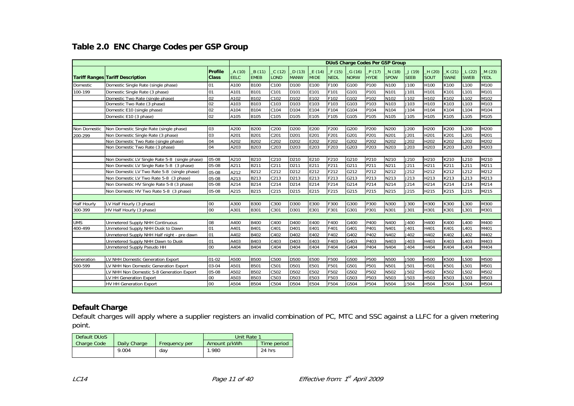#### **Table 2.0 ENC Charge Codes per GSP Group**

| A(10)<br>B(11)<br>C(12)<br>D(13)<br>P(17)<br>J(19)<br>K(21)<br>L(22)<br><b>Profile</b><br>E(14)<br>F (15)<br>$-G(16)$<br>N(18)<br>_H (20)<br><b>EELC</b><br><b>EMEB</b><br><b>MIDE</b><br><b>NORW</b><br><b>HYDE</b><br><b>SPOW</b><br><b>SEEB</b><br>SOUT<br><b>SWAE</b><br><b>SWEB</b><br><b>YEDL</b><br><b>Class</b><br><b>LOND</b><br><b>MANW</b><br><b>NEDL</b><br><b>Tariff Ranges Tariff Description</b><br>P <sub>100</sub><br>Domestic Single Rate (single phase)<br>01<br>A100<br><b>B100</b><br>D <sub>100</sub><br>E100<br>F100<br>G100<br>N100<br>J100<br>H100<br>L100<br>M100<br>C100<br>K100<br>Domestic<br>100-199<br>Domestic Single Rate (3 phase)<br>01<br><b>B101</b><br>C101<br>D <sub>101</sub><br>E101<br>G101<br>P101<br>N101<br>J101<br>H101<br>L101<br>M101<br>A101<br>F101<br>K101<br>02<br>B102<br>C102<br>E <sub>102</sub><br>P <sub>102</sub><br>K102<br>L <sub>102</sub><br>M102<br>A102<br>D <sub>102</sub><br>F102<br>G102<br>N102<br>J102<br>H102<br>Domestic Two Rate (single phase)<br>02<br>B103<br>E103<br>P <sub>103</sub><br>N103<br>J103<br>H103<br>M103<br>A103<br>C103<br>D <sub>103</sub><br>F103<br>G103<br>K103<br>L103<br>Domestic Two Rate (3 phase)<br>02<br>A104<br><b>B104</b><br>C104<br>E104<br>F104<br>G104<br>P <sub>104</sub><br>N104<br>J104<br>K104<br>L104<br>M104<br>Domestic E10 (single phase)<br>D <sub>104</sub><br>H104<br>02<br><b>B105</b><br>P <sub>105</sub><br>A105<br>C105<br>D <sub>105</sub><br>E105<br>F105<br>G105<br>N105<br>J105<br>H105<br>K105<br>L105<br>M105<br>Domestic E10 (3 phase)<br>03<br>A200<br><b>B200</b><br>C <sub>200</sub><br>D200<br>E200<br>F200<br>P200<br>N200<br>J200<br>L <sub>200</sub><br>M200<br>Non Domestic Single Rate (single phase)<br>G200<br>H200<br>K200<br>Non Domestic<br>03<br>A201<br><b>B201</b><br>C201<br>D201<br>E201<br>F201<br>G201<br>P201<br>N201<br>J201<br>H201<br>K201<br>L <sub>201</sub><br>200-299<br>Non Domestic Single Rate (3 phase)<br>M201<br>B202<br>04<br>A202<br>C202<br>D202<br>E202<br>F202<br>G202<br>P202<br>N202<br>J202<br>K202<br>L <sub>202</sub><br>M202<br>H202<br>Non Domestic Two Rate (single phase)<br>04<br><b>B203</b><br>D <sub>203</sub><br>E203<br>G203<br>P203<br>N203<br>J203<br>L <sub>203</sub><br>Non Domestic Two Rate (3 phase)<br>A203<br>C203<br>F203<br>H203<br>K203<br>M203<br>A210<br>B210<br>D210<br>E210<br>P210<br>J210<br>L210<br>05-08<br>C210<br>F210<br>G210<br>N210<br>H210<br>K210<br>M210<br>Non Domestic LV Single Rate 5-8 (single phase)<br>B211<br>05-08<br>A211<br>C211<br>D211<br>E211<br>F211<br>G211<br>P211<br>N211<br>J211<br>H211<br>K211<br>L <sub>211</sub><br>M211<br>Non Domestic LV Single Rate 5-8 (3 phase)<br>B212<br>C212<br>D212<br>E212<br>F212<br>G212<br>P212<br>N212<br>J212<br>H212<br>K212<br>L212<br>M212<br>Non Domestic LV Two Rate 5-8 (single phase)<br>A212<br>05-08<br>B213<br>D213<br>E213<br>G213<br>L213<br>M213<br>Non Domestic LV Two Rate 5-8 (3 phase)<br>C <sub>213</sub><br>F213<br>P213<br>N213<br>J213<br>H213<br>K213<br>05-08<br>A213<br>B214<br>Non Domestic HV Single Rate 5-8 (3 phase)<br>A214<br>D214<br>E214<br>G214<br>P214<br>J214<br>L214<br>M214<br>05-08<br>C <sub>214</sub><br>F214<br>N214<br>H214<br>K214<br>Non Domestic HV Two Rate 5-8 (3 phase)<br>A215<br>B215<br>E215<br>G215<br>J215<br>L215<br>05-08<br>C215<br>D215<br>F215<br>P215<br>N215<br>H215<br>K215<br>M215<br><b>B300</b><br>P300<br>00<br>A300<br>C300<br>D <sub>300</sub><br>E300<br>F300<br>G300<br>N300<br>J300<br>H300<br>K300<br>L300<br>M300<br>LV Half Hourly (3 phase)<br><b>Half Hourly</b><br>00<br><b>B301</b><br>E301<br>G301<br>P301<br>J301<br>L301<br>300-399<br>HV Half Hourly (3 phase)<br>A301<br>C301<br>D301<br>F301<br>N301<br>H301<br>K301<br>M301<br>08<br><b>B400</b><br>P400<br><b>UMS</b><br><b>Unmetered Supply NHH Continuous</b><br>A400<br>C400<br>D <sub>400</sub><br>E400<br>F400<br>G400<br>N400<br>J400<br>H400<br>K400<br>L400<br>M400<br>400-499<br>01<br><b>B401</b><br>C401<br>D <sub>401</sub><br>P401<br>J401<br>A401<br>E401<br>F401<br>G401<br>N401<br>H401<br>K401<br>L <sub>401</sub><br>M401<br>Unmetered Supply NHH Dusk to Dawn<br>01<br>B402<br>D <sub>402</sub><br>G402<br>P402<br>J402<br>Unmetered Supply NHH Half night - pre dawn<br>A402<br>C402<br>E402<br>F402<br>N402<br>H402<br>K402<br>L <sub>402</sub><br>M402<br>B403<br>D <sub>403</sub><br>E403<br>G403<br>P403<br>N403<br>J403<br>K403<br>L403<br>M403<br>Unmetered Supply NHH Dawn to Dusk<br>01<br>A403<br>C403<br>F403<br>H403<br>00<br><b>B404</b><br>P404<br>J404<br>A404<br>C404<br>D <sub>404</sub><br>E404<br>F404<br>G404<br>N404<br>H404<br>K404<br>L404<br>M404<br>Unmetered Supply Pseudo HH<br><b>B500</b><br>LV NHH Domestic Generation Export<br>$01 - 02$<br>A500<br>C500<br><b>D500</b><br>E500<br>F500<br>G500<br><b>P500</b><br>N500<br><b>J500</b><br>H500<br>K500<br>L500<br>M500<br>Generation<br>A501<br><b>B501</b><br>C501<br>D501<br>E501<br>G501<br>P501<br>N501<br>J501<br>K501<br>L <sub>501</sub><br>M501<br>03-04<br>F501<br>H501<br>500-599<br>LV NHH Non Domestic Generation Export<br><b>B502</b><br>A502<br>C502<br>D <sub>502</sub><br>E502<br>F502<br>G502<br>P502<br>N502<br>J502<br>H502<br>K502<br>L502<br>LV NHH Non Domestic 5-8 Generation Export<br>05-08<br>M502<br><b>B503</b><br>J503<br>L503<br>00<br>A503<br>C503<br>D503<br>E503<br>F503<br>G503<br>P503<br>N503<br>H503<br>K503<br>M503<br>LV HH Generation Export<br>A504 |                                    |  |  |             |      |      |      |      |      |      | <b>DUoS Charge Codes Per GSP Group</b> |      |      |      |      |       |
|------------------------------------------------------------------------------------------------------------------------------------------------------------------------------------------------------------------------------------------------------------------------------------------------------------------------------------------------------------------------------------------------------------------------------------------------------------------------------------------------------------------------------------------------------------------------------------------------------------------------------------------------------------------------------------------------------------------------------------------------------------------------------------------------------------------------------------------------------------------------------------------------------------------------------------------------------------------------------------------------------------------------------------------------------------------------------------------------------------------------------------------------------------------------------------------------------------------------------------------------------------------------------------------------------------------------------------------------------------------------------------------------------------------------------------------------------------------------------------------------------------------------------------------------------------------------------------------------------------------------------------------------------------------------------------------------------------------------------------------------------------------------------------------------------------------------------------------------------------------------------------------------------------------------------------------------------------------------------------------------------------------------------------------------------------------------------------------------------------------------------------------------------------------------------------------------------------------------------------------------------------------------------------------------------------------------------------------------------------------------------------------------------------------------------------------------------------------------------------------------------------------------------------------------------------------------------------------------------------------------------------------------------------------------------------------------------------------------------------------------------------------------------------------------------------------------------------------------------------------------------------------------------------------------------------------------------------------------------------------------------------------------------------------------------------------------------------------------------------------------------------------------------------------------------------------------------------------------------------------------------------------------------------------------------------------------------------------------------------------------------------------------------------------------------------------------------------------------------------------------------------------------------------------------------------------------------------------------------------------------------------------------------------------------------------------------------------------------------------------------------------------------------------------------------------------------------------------------------------------------------------------------------------------------------------------------------------------------------------------------------------------------------------------------------------------------------------------------------------------------------------------------------------------------------------------------------------------------------------------------------------------------------------------------------------------------------------------------------------------------------------------------------------------------------------------------------------------------------------------------------------------------------------------------------------------------------------------------------------------------------------------------------------------------------------------------------------------------------------------------------------------------------------------------------------------------------------------------------------------------------------------------------------------------------------------------------------------------------------------------------------------------------------------------------------------------------------------------------------------------------------------------------------------------------------------------------------------------------------------------------------------------------------------------------------------------------------------------------------------------------------------------------------------------------------------------------------------------------------------------------------------|------------------------------------|--|--|-------------|------|------|------|------|------|------|----------------------------------------|------|------|------|------|-------|
|                                                                                                                                                                                                                                                                                                                                                                                                                                                                                                                                                                                                                                                                                                                                                                                                                                                                                                                                                                                                                                                                                                                                                                                                                                                                                                                                                                                                                                                                                                                                                                                                                                                                                                                                                                                                                                                                                                                                                                                                                                                                                                                                                                                                                                                                                                                                                                                                                                                                                                                                                                                                                                                                                                                                                                                                                                                                                                                                                                                                                                                                                                                                                                                                                                                                                                                                                                                                                                                                                                                                                                                                                                                                                                                                                                                                                                                                                                                                                                                                                                                                                                                                                                                                                                                                                                                                                                                                                                                                                                                                                                                                                                                                                                                                                                                                                                                                                                                                                                                                                                                                                                                                                                                                                                                                                                                                                                                                                                                                                                                  |                                    |  |  |             |      |      |      |      |      |      |                                        |      |      |      |      | M(23) |
|                                                                                                                                                                                                                                                                                                                                                                                                                                                                                                                                                                                                                                                                                                                                                                                                                                                                                                                                                                                                                                                                                                                                                                                                                                                                                                                                                                                                                                                                                                                                                                                                                                                                                                                                                                                                                                                                                                                                                                                                                                                                                                                                                                                                                                                                                                                                                                                                                                                                                                                                                                                                                                                                                                                                                                                                                                                                                                                                                                                                                                                                                                                                                                                                                                                                                                                                                                                                                                                                                                                                                                                                                                                                                                                                                                                                                                                                                                                                                                                                                                                                                                                                                                                                                                                                                                                                                                                                                                                                                                                                                                                                                                                                                                                                                                                                                                                                                                                                                                                                                                                                                                                                                                                                                                                                                                                                                                                                                                                                                                                  |                                    |  |  |             |      |      |      |      |      |      |                                        |      |      |      |      |       |
|                                                                                                                                                                                                                                                                                                                                                                                                                                                                                                                                                                                                                                                                                                                                                                                                                                                                                                                                                                                                                                                                                                                                                                                                                                                                                                                                                                                                                                                                                                                                                                                                                                                                                                                                                                                                                                                                                                                                                                                                                                                                                                                                                                                                                                                                                                                                                                                                                                                                                                                                                                                                                                                                                                                                                                                                                                                                                                                                                                                                                                                                                                                                                                                                                                                                                                                                                                                                                                                                                                                                                                                                                                                                                                                                                                                                                                                                                                                                                                                                                                                                                                                                                                                                                                                                                                                                                                                                                                                                                                                                                                                                                                                                                                                                                                                                                                                                                                                                                                                                                                                                                                                                                                                                                                                                                                                                                                                                                                                                                                                  |                                    |  |  |             |      |      |      |      |      |      |                                        |      |      |      |      |       |
|                                                                                                                                                                                                                                                                                                                                                                                                                                                                                                                                                                                                                                                                                                                                                                                                                                                                                                                                                                                                                                                                                                                                                                                                                                                                                                                                                                                                                                                                                                                                                                                                                                                                                                                                                                                                                                                                                                                                                                                                                                                                                                                                                                                                                                                                                                                                                                                                                                                                                                                                                                                                                                                                                                                                                                                                                                                                                                                                                                                                                                                                                                                                                                                                                                                                                                                                                                                                                                                                                                                                                                                                                                                                                                                                                                                                                                                                                                                                                                                                                                                                                                                                                                                                                                                                                                                                                                                                                                                                                                                                                                                                                                                                                                                                                                                                                                                                                                                                                                                                                                                                                                                                                                                                                                                                                                                                                                                                                                                                                                                  |                                    |  |  |             |      |      |      |      |      |      |                                        |      |      |      |      |       |
|                                                                                                                                                                                                                                                                                                                                                                                                                                                                                                                                                                                                                                                                                                                                                                                                                                                                                                                                                                                                                                                                                                                                                                                                                                                                                                                                                                                                                                                                                                                                                                                                                                                                                                                                                                                                                                                                                                                                                                                                                                                                                                                                                                                                                                                                                                                                                                                                                                                                                                                                                                                                                                                                                                                                                                                                                                                                                                                                                                                                                                                                                                                                                                                                                                                                                                                                                                                                                                                                                                                                                                                                                                                                                                                                                                                                                                                                                                                                                                                                                                                                                                                                                                                                                                                                                                                                                                                                                                                                                                                                                                                                                                                                                                                                                                                                                                                                                                                                                                                                                                                                                                                                                                                                                                                                                                                                                                                                                                                                                                                  |                                    |  |  |             |      |      |      |      |      |      |                                        |      |      |      |      |       |
|                                                                                                                                                                                                                                                                                                                                                                                                                                                                                                                                                                                                                                                                                                                                                                                                                                                                                                                                                                                                                                                                                                                                                                                                                                                                                                                                                                                                                                                                                                                                                                                                                                                                                                                                                                                                                                                                                                                                                                                                                                                                                                                                                                                                                                                                                                                                                                                                                                                                                                                                                                                                                                                                                                                                                                                                                                                                                                                                                                                                                                                                                                                                                                                                                                                                                                                                                                                                                                                                                                                                                                                                                                                                                                                                                                                                                                                                                                                                                                                                                                                                                                                                                                                                                                                                                                                                                                                                                                                                                                                                                                                                                                                                                                                                                                                                                                                                                                                                                                                                                                                                                                                                                                                                                                                                                                                                                                                                                                                                                                                  |                                    |  |  |             |      |      |      |      |      |      |                                        |      |      |      |      |       |
|                                                                                                                                                                                                                                                                                                                                                                                                                                                                                                                                                                                                                                                                                                                                                                                                                                                                                                                                                                                                                                                                                                                                                                                                                                                                                                                                                                                                                                                                                                                                                                                                                                                                                                                                                                                                                                                                                                                                                                                                                                                                                                                                                                                                                                                                                                                                                                                                                                                                                                                                                                                                                                                                                                                                                                                                                                                                                                                                                                                                                                                                                                                                                                                                                                                                                                                                                                                                                                                                                                                                                                                                                                                                                                                                                                                                                                                                                                                                                                                                                                                                                                                                                                                                                                                                                                                                                                                                                                                                                                                                                                                                                                                                                                                                                                                                                                                                                                                                                                                                                                                                                                                                                                                                                                                                                                                                                                                                                                                                                                                  |                                    |  |  |             |      |      |      |      |      |      |                                        |      |      |      |      |       |
|                                                                                                                                                                                                                                                                                                                                                                                                                                                                                                                                                                                                                                                                                                                                                                                                                                                                                                                                                                                                                                                                                                                                                                                                                                                                                                                                                                                                                                                                                                                                                                                                                                                                                                                                                                                                                                                                                                                                                                                                                                                                                                                                                                                                                                                                                                                                                                                                                                                                                                                                                                                                                                                                                                                                                                                                                                                                                                                                                                                                                                                                                                                                                                                                                                                                                                                                                                                                                                                                                                                                                                                                                                                                                                                                                                                                                                                                                                                                                                                                                                                                                                                                                                                                                                                                                                                                                                                                                                                                                                                                                                                                                                                                                                                                                                                                                                                                                                                                                                                                                                                                                                                                                                                                                                                                                                                                                                                                                                                                                                                  |                                    |  |  |             |      |      |      |      |      |      |                                        |      |      |      |      |       |
|                                                                                                                                                                                                                                                                                                                                                                                                                                                                                                                                                                                                                                                                                                                                                                                                                                                                                                                                                                                                                                                                                                                                                                                                                                                                                                                                                                                                                                                                                                                                                                                                                                                                                                                                                                                                                                                                                                                                                                                                                                                                                                                                                                                                                                                                                                                                                                                                                                                                                                                                                                                                                                                                                                                                                                                                                                                                                                                                                                                                                                                                                                                                                                                                                                                                                                                                                                                                                                                                                                                                                                                                                                                                                                                                                                                                                                                                                                                                                                                                                                                                                                                                                                                                                                                                                                                                                                                                                                                                                                                                                                                                                                                                                                                                                                                                                                                                                                                                                                                                                                                                                                                                                                                                                                                                                                                                                                                                                                                                                                                  |                                    |  |  |             |      |      |      |      |      |      |                                        |      |      |      |      |       |
|                                                                                                                                                                                                                                                                                                                                                                                                                                                                                                                                                                                                                                                                                                                                                                                                                                                                                                                                                                                                                                                                                                                                                                                                                                                                                                                                                                                                                                                                                                                                                                                                                                                                                                                                                                                                                                                                                                                                                                                                                                                                                                                                                                                                                                                                                                                                                                                                                                                                                                                                                                                                                                                                                                                                                                                                                                                                                                                                                                                                                                                                                                                                                                                                                                                                                                                                                                                                                                                                                                                                                                                                                                                                                                                                                                                                                                                                                                                                                                                                                                                                                                                                                                                                                                                                                                                                                                                                                                                                                                                                                                                                                                                                                                                                                                                                                                                                                                                                                                                                                                                                                                                                                                                                                                                                                                                                                                                                                                                                                                                  |                                    |  |  |             |      |      |      |      |      |      |                                        |      |      |      |      |       |
|                                                                                                                                                                                                                                                                                                                                                                                                                                                                                                                                                                                                                                                                                                                                                                                                                                                                                                                                                                                                                                                                                                                                                                                                                                                                                                                                                                                                                                                                                                                                                                                                                                                                                                                                                                                                                                                                                                                                                                                                                                                                                                                                                                                                                                                                                                                                                                                                                                                                                                                                                                                                                                                                                                                                                                                                                                                                                                                                                                                                                                                                                                                                                                                                                                                                                                                                                                                                                                                                                                                                                                                                                                                                                                                                                                                                                                                                                                                                                                                                                                                                                                                                                                                                                                                                                                                                                                                                                                                                                                                                                                                                                                                                                                                                                                                                                                                                                                                                                                                                                                                                                                                                                                                                                                                                                                                                                                                                                                                                                                                  |                                    |  |  |             |      |      |      |      |      |      |                                        |      |      |      |      |       |
|                                                                                                                                                                                                                                                                                                                                                                                                                                                                                                                                                                                                                                                                                                                                                                                                                                                                                                                                                                                                                                                                                                                                                                                                                                                                                                                                                                                                                                                                                                                                                                                                                                                                                                                                                                                                                                                                                                                                                                                                                                                                                                                                                                                                                                                                                                                                                                                                                                                                                                                                                                                                                                                                                                                                                                                                                                                                                                                                                                                                                                                                                                                                                                                                                                                                                                                                                                                                                                                                                                                                                                                                                                                                                                                                                                                                                                                                                                                                                                                                                                                                                                                                                                                                                                                                                                                                                                                                                                                                                                                                                                                                                                                                                                                                                                                                                                                                                                                                                                                                                                                                                                                                                                                                                                                                                                                                                                                                                                                                                                                  |                                    |  |  |             |      |      |      |      |      |      |                                        |      |      |      |      |       |
|                                                                                                                                                                                                                                                                                                                                                                                                                                                                                                                                                                                                                                                                                                                                                                                                                                                                                                                                                                                                                                                                                                                                                                                                                                                                                                                                                                                                                                                                                                                                                                                                                                                                                                                                                                                                                                                                                                                                                                                                                                                                                                                                                                                                                                                                                                                                                                                                                                                                                                                                                                                                                                                                                                                                                                                                                                                                                                                                                                                                                                                                                                                                                                                                                                                                                                                                                                                                                                                                                                                                                                                                                                                                                                                                                                                                                                                                                                                                                                                                                                                                                                                                                                                                                                                                                                                                                                                                                                                                                                                                                                                                                                                                                                                                                                                                                                                                                                                                                                                                                                                                                                                                                                                                                                                                                                                                                                                                                                                                                                                  |                                    |  |  |             |      |      |      |      |      |      |                                        |      |      |      |      |       |
|                                                                                                                                                                                                                                                                                                                                                                                                                                                                                                                                                                                                                                                                                                                                                                                                                                                                                                                                                                                                                                                                                                                                                                                                                                                                                                                                                                                                                                                                                                                                                                                                                                                                                                                                                                                                                                                                                                                                                                                                                                                                                                                                                                                                                                                                                                                                                                                                                                                                                                                                                                                                                                                                                                                                                                                                                                                                                                                                                                                                                                                                                                                                                                                                                                                                                                                                                                                                                                                                                                                                                                                                                                                                                                                                                                                                                                                                                                                                                                                                                                                                                                                                                                                                                                                                                                                                                                                                                                                                                                                                                                                                                                                                                                                                                                                                                                                                                                                                                                                                                                                                                                                                                                                                                                                                                                                                                                                                                                                                                                                  |                                    |  |  |             |      |      |      |      |      |      |                                        |      |      |      |      |       |
|                                                                                                                                                                                                                                                                                                                                                                                                                                                                                                                                                                                                                                                                                                                                                                                                                                                                                                                                                                                                                                                                                                                                                                                                                                                                                                                                                                                                                                                                                                                                                                                                                                                                                                                                                                                                                                                                                                                                                                                                                                                                                                                                                                                                                                                                                                                                                                                                                                                                                                                                                                                                                                                                                                                                                                                                                                                                                                                                                                                                                                                                                                                                                                                                                                                                                                                                                                                                                                                                                                                                                                                                                                                                                                                                                                                                                                                                                                                                                                                                                                                                                                                                                                                                                                                                                                                                                                                                                                                                                                                                                                                                                                                                                                                                                                                                                                                                                                                                                                                                                                                                                                                                                                                                                                                                                                                                                                                                                                                                                                                  |                                    |  |  |             |      |      |      |      |      |      |                                        |      |      |      |      |       |
|                                                                                                                                                                                                                                                                                                                                                                                                                                                                                                                                                                                                                                                                                                                                                                                                                                                                                                                                                                                                                                                                                                                                                                                                                                                                                                                                                                                                                                                                                                                                                                                                                                                                                                                                                                                                                                                                                                                                                                                                                                                                                                                                                                                                                                                                                                                                                                                                                                                                                                                                                                                                                                                                                                                                                                                                                                                                                                                                                                                                                                                                                                                                                                                                                                                                                                                                                                                                                                                                                                                                                                                                                                                                                                                                                                                                                                                                                                                                                                                                                                                                                                                                                                                                                                                                                                                                                                                                                                                                                                                                                                                                                                                                                                                                                                                                                                                                                                                                                                                                                                                                                                                                                                                                                                                                                                                                                                                                                                                                                                                  |                                    |  |  |             |      |      |      |      |      |      |                                        |      |      |      |      |       |
|                                                                                                                                                                                                                                                                                                                                                                                                                                                                                                                                                                                                                                                                                                                                                                                                                                                                                                                                                                                                                                                                                                                                                                                                                                                                                                                                                                                                                                                                                                                                                                                                                                                                                                                                                                                                                                                                                                                                                                                                                                                                                                                                                                                                                                                                                                                                                                                                                                                                                                                                                                                                                                                                                                                                                                                                                                                                                                                                                                                                                                                                                                                                                                                                                                                                                                                                                                                                                                                                                                                                                                                                                                                                                                                                                                                                                                                                                                                                                                                                                                                                                                                                                                                                                                                                                                                                                                                                                                                                                                                                                                                                                                                                                                                                                                                                                                                                                                                                                                                                                                                                                                                                                                                                                                                                                                                                                                                                                                                                                                                  |                                    |  |  |             |      |      |      |      |      |      |                                        |      |      |      |      |       |
|                                                                                                                                                                                                                                                                                                                                                                                                                                                                                                                                                                                                                                                                                                                                                                                                                                                                                                                                                                                                                                                                                                                                                                                                                                                                                                                                                                                                                                                                                                                                                                                                                                                                                                                                                                                                                                                                                                                                                                                                                                                                                                                                                                                                                                                                                                                                                                                                                                                                                                                                                                                                                                                                                                                                                                                                                                                                                                                                                                                                                                                                                                                                                                                                                                                                                                                                                                                                                                                                                                                                                                                                                                                                                                                                                                                                                                                                                                                                                                                                                                                                                                                                                                                                                                                                                                                                                                                                                                                                                                                                                                                                                                                                                                                                                                                                                                                                                                                                                                                                                                                                                                                                                                                                                                                                                                                                                                                                                                                                                                                  |                                    |  |  |             |      |      |      |      |      |      |                                        |      |      |      |      |       |
|                                                                                                                                                                                                                                                                                                                                                                                                                                                                                                                                                                                                                                                                                                                                                                                                                                                                                                                                                                                                                                                                                                                                                                                                                                                                                                                                                                                                                                                                                                                                                                                                                                                                                                                                                                                                                                                                                                                                                                                                                                                                                                                                                                                                                                                                                                                                                                                                                                                                                                                                                                                                                                                                                                                                                                                                                                                                                                                                                                                                                                                                                                                                                                                                                                                                                                                                                                                                                                                                                                                                                                                                                                                                                                                                                                                                                                                                                                                                                                                                                                                                                                                                                                                                                                                                                                                                                                                                                                                                                                                                                                                                                                                                                                                                                                                                                                                                                                                                                                                                                                                                                                                                                                                                                                                                                                                                                                                                                                                                                                                  |                                    |  |  |             |      |      |      |      |      |      |                                        |      |      |      |      |       |
|                                                                                                                                                                                                                                                                                                                                                                                                                                                                                                                                                                                                                                                                                                                                                                                                                                                                                                                                                                                                                                                                                                                                                                                                                                                                                                                                                                                                                                                                                                                                                                                                                                                                                                                                                                                                                                                                                                                                                                                                                                                                                                                                                                                                                                                                                                                                                                                                                                                                                                                                                                                                                                                                                                                                                                                                                                                                                                                                                                                                                                                                                                                                                                                                                                                                                                                                                                                                                                                                                                                                                                                                                                                                                                                                                                                                                                                                                                                                                                                                                                                                                                                                                                                                                                                                                                                                                                                                                                                                                                                                                                                                                                                                                                                                                                                                                                                                                                                                                                                                                                                                                                                                                                                                                                                                                                                                                                                                                                                                                                                  |                                    |  |  |             |      |      |      |      |      |      |                                        |      |      |      |      |       |
|                                                                                                                                                                                                                                                                                                                                                                                                                                                                                                                                                                                                                                                                                                                                                                                                                                                                                                                                                                                                                                                                                                                                                                                                                                                                                                                                                                                                                                                                                                                                                                                                                                                                                                                                                                                                                                                                                                                                                                                                                                                                                                                                                                                                                                                                                                                                                                                                                                                                                                                                                                                                                                                                                                                                                                                                                                                                                                                                                                                                                                                                                                                                                                                                                                                                                                                                                                                                                                                                                                                                                                                                                                                                                                                                                                                                                                                                                                                                                                                                                                                                                                                                                                                                                                                                                                                                                                                                                                                                                                                                                                                                                                                                                                                                                                                                                                                                                                                                                                                                                                                                                                                                                                                                                                                                                                                                                                                                                                                                                                                  |                                    |  |  |             |      |      |      |      |      |      |                                        |      |      |      |      |       |
|                                                                                                                                                                                                                                                                                                                                                                                                                                                                                                                                                                                                                                                                                                                                                                                                                                                                                                                                                                                                                                                                                                                                                                                                                                                                                                                                                                                                                                                                                                                                                                                                                                                                                                                                                                                                                                                                                                                                                                                                                                                                                                                                                                                                                                                                                                                                                                                                                                                                                                                                                                                                                                                                                                                                                                                                                                                                                                                                                                                                                                                                                                                                                                                                                                                                                                                                                                                                                                                                                                                                                                                                                                                                                                                                                                                                                                                                                                                                                                                                                                                                                                                                                                                                                                                                                                                                                                                                                                                                                                                                                                                                                                                                                                                                                                                                                                                                                                                                                                                                                                                                                                                                                                                                                                                                                                                                                                                                                                                                                                                  |                                    |  |  |             |      |      |      |      |      |      |                                        |      |      |      |      |       |
|                                                                                                                                                                                                                                                                                                                                                                                                                                                                                                                                                                                                                                                                                                                                                                                                                                                                                                                                                                                                                                                                                                                                                                                                                                                                                                                                                                                                                                                                                                                                                                                                                                                                                                                                                                                                                                                                                                                                                                                                                                                                                                                                                                                                                                                                                                                                                                                                                                                                                                                                                                                                                                                                                                                                                                                                                                                                                                                                                                                                                                                                                                                                                                                                                                                                                                                                                                                                                                                                                                                                                                                                                                                                                                                                                                                                                                                                                                                                                                                                                                                                                                                                                                                                                                                                                                                                                                                                                                                                                                                                                                                                                                                                                                                                                                                                                                                                                                                                                                                                                                                                                                                                                                                                                                                                                                                                                                                                                                                                                                                  |                                    |  |  |             |      |      |      |      |      |      |                                        |      |      |      |      |       |
|                                                                                                                                                                                                                                                                                                                                                                                                                                                                                                                                                                                                                                                                                                                                                                                                                                                                                                                                                                                                                                                                                                                                                                                                                                                                                                                                                                                                                                                                                                                                                                                                                                                                                                                                                                                                                                                                                                                                                                                                                                                                                                                                                                                                                                                                                                                                                                                                                                                                                                                                                                                                                                                                                                                                                                                                                                                                                                                                                                                                                                                                                                                                                                                                                                                                                                                                                                                                                                                                                                                                                                                                                                                                                                                                                                                                                                                                                                                                                                                                                                                                                                                                                                                                                                                                                                                                                                                                                                                                                                                                                                                                                                                                                                                                                                                                                                                                                                                                                                                                                                                                                                                                                                                                                                                                                                                                                                                                                                                                                                                  |                                    |  |  |             |      |      |      |      |      |      |                                        |      |      |      |      |       |
|                                                                                                                                                                                                                                                                                                                                                                                                                                                                                                                                                                                                                                                                                                                                                                                                                                                                                                                                                                                                                                                                                                                                                                                                                                                                                                                                                                                                                                                                                                                                                                                                                                                                                                                                                                                                                                                                                                                                                                                                                                                                                                                                                                                                                                                                                                                                                                                                                                                                                                                                                                                                                                                                                                                                                                                                                                                                                                                                                                                                                                                                                                                                                                                                                                                                                                                                                                                                                                                                                                                                                                                                                                                                                                                                                                                                                                                                                                                                                                                                                                                                                                                                                                                                                                                                                                                                                                                                                                                                                                                                                                                                                                                                                                                                                                                                                                                                                                                                                                                                                                                                                                                                                                                                                                                                                                                                                                                                                                                                                                                  |                                    |  |  |             |      |      |      |      |      |      |                                        |      |      |      |      |       |
|                                                                                                                                                                                                                                                                                                                                                                                                                                                                                                                                                                                                                                                                                                                                                                                                                                                                                                                                                                                                                                                                                                                                                                                                                                                                                                                                                                                                                                                                                                                                                                                                                                                                                                                                                                                                                                                                                                                                                                                                                                                                                                                                                                                                                                                                                                                                                                                                                                                                                                                                                                                                                                                                                                                                                                                                                                                                                                                                                                                                                                                                                                                                                                                                                                                                                                                                                                                                                                                                                                                                                                                                                                                                                                                                                                                                                                                                                                                                                                                                                                                                                                                                                                                                                                                                                                                                                                                                                                                                                                                                                                                                                                                                                                                                                                                                                                                                                                                                                                                                                                                                                                                                                                                                                                                                                                                                                                                                                                                                                                                  |                                    |  |  |             |      |      |      |      |      |      |                                        |      |      |      |      |       |
|                                                                                                                                                                                                                                                                                                                                                                                                                                                                                                                                                                                                                                                                                                                                                                                                                                                                                                                                                                                                                                                                                                                                                                                                                                                                                                                                                                                                                                                                                                                                                                                                                                                                                                                                                                                                                                                                                                                                                                                                                                                                                                                                                                                                                                                                                                                                                                                                                                                                                                                                                                                                                                                                                                                                                                                                                                                                                                                                                                                                                                                                                                                                                                                                                                                                                                                                                                                                                                                                                                                                                                                                                                                                                                                                                                                                                                                                                                                                                                                                                                                                                                                                                                                                                                                                                                                                                                                                                                                                                                                                                                                                                                                                                                                                                                                                                                                                                                                                                                                                                                                                                                                                                                                                                                                                                                                                                                                                                                                                                                                  |                                    |  |  |             |      |      |      |      |      |      |                                        |      |      |      |      |       |
|                                                                                                                                                                                                                                                                                                                                                                                                                                                                                                                                                                                                                                                                                                                                                                                                                                                                                                                                                                                                                                                                                                                                                                                                                                                                                                                                                                                                                                                                                                                                                                                                                                                                                                                                                                                                                                                                                                                                                                                                                                                                                                                                                                                                                                                                                                                                                                                                                                                                                                                                                                                                                                                                                                                                                                                                                                                                                                                                                                                                                                                                                                                                                                                                                                                                                                                                                                                                                                                                                                                                                                                                                                                                                                                                                                                                                                                                                                                                                                                                                                                                                                                                                                                                                                                                                                                                                                                                                                                                                                                                                                                                                                                                                                                                                                                                                                                                                                                                                                                                                                                                                                                                                                                                                                                                                                                                                                                                                                                                                                                  |                                    |  |  |             |      |      |      |      |      |      |                                        |      |      |      |      |       |
|                                                                                                                                                                                                                                                                                                                                                                                                                                                                                                                                                                                                                                                                                                                                                                                                                                                                                                                                                                                                                                                                                                                                                                                                                                                                                                                                                                                                                                                                                                                                                                                                                                                                                                                                                                                                                                                                                                                                                                                                                                                                                                                                                                                                                                                                                                                                                                                                                                                                                                                                                                                                                                                                                                                                                                                                                                                                                                                                                                                                                                                                                                                                                                                                                                                                                                                                                                                                                                                                                                                                                                                                                                                                                                                                                                                                                                                                                                                                                                                                                                                                                                                                                                                                                                                                                                                                                                                                                                                                                                                                                                                                                                                                                                                                                                                                                                                                                                                                                                                                                                                                                                                                                                                                                                                                                                                                                                                                                                                                                                                  |                                    |  |  |             |      |      |      |      |      |      |                                        |      |      |      |      |       |
|                                                                                                                                                                                                                                                                                                                                                                                                                                                                                                                                                                                                                                                                                                                                                                                                                                                                                                                                                                                                                                                                                                                                                                                                                                                                                                                                                                                                                                                                                                                                                                                                                                                                                                                                                                                                                                                                                                                                                                                                                                                                                                                                                                                                                                                                                                                                                                                                                                                                                                                                                                                                                                                                                                                                                                                                                                                                                                                                                                                                                                                                                                                                                                                                                                                                                                                                                                                                                                                                                                                                                                                                                                                                                                                                                                                                                                                                                                                                                                                                                                                                                                                                                                                                                                                                                                                                                                                                                                                                                                                                                                                                                                                                                                                                                                                                                                                                                                                                                                                                                                                                                                                                                                                                                                                                                                                                                                                                                                                                                                                  |                                    |  |  |             |      |      |      |      |      |      |                                        |      |      |      |      |       |
|                                                                                                                                                                                                                                                                                                                                                                                                                                                                                                                                                                                                                                                                                                                                                                                                                                                                                                                                                                                                                                                                                                                                                                                                                                                                                                                                                                                                                                                                                                                                                                                                                                                                                                                                                                                                                                                                                                                                                                                                                                                                                                                                                                                                                                                                                                                                                                                                                                                                                                                                                                                                                                                                                                                                                                                                                                                                                                                                                                                                                                                                                                                                                                                                                                                                                                                                                                                                                                                                                                                                                                                                                                                                                                                                                                                                                                                                                                                                                                                                                                                                                                                                                                                                                                                                                                                                                                                                                                                                                                                                                                                                                                                                                                                                                                                                                                                                                                                                                                                                                                                                                                                                                                                                                                                                                                                                                                                                                                                                                                                  |                                    |  |  |             |      |      |      |      |      |      |                                        |      |      |      |      |       |
|                                                                                                                                                                                                                                                                                                                                                                                                                                                                                                                                                                                                                                                                                                                                                                                                                                                                                                                                                                                                                                                                                                                                                                                                                                                                                                                                                                                                                                                                                                                                                                                                                                                                                                                                                                                                                                                                                                                                                                                                                                                                                                                                                                                                                                                                                                                                                                                                                                                                                                                                                                                                                                                                                                                                                                                                                                                                                                                                                                                                                                                                                                                                                                                                                                                                                                                                                                                                                                                                                                                                                                                                                                                                                                                                                                                                                                                                                                                                                                                                                                                                                                                                                                                                                                                                                                                                                                                                                                                                                                                                                                                                                                                                                                                                                                                                                                                                                                                                                                                                                                                                                                                                                                                                                                                                                                                                                                                                                                                                                                                  |                                    |  |  |             |      |      |      |      |      |      |                                        |      |      |      |      |       |
|                                                                                                                                                                                                                                                                                                                                                                                                                                                                                                                                                                                                                                                                                                                                                                                                                                                                                                                                                                                                                                                                                                                                                                                                                                                                                                                                                                                                                                                                                                                                                                                                                                                                                                                                                                                                                                                                                                                                                                                                                                                                                                                                                                                                                                                                                                                                                                                                                                                                                                                                                                                                                                                                                                                                                                                                                                                                                                                                                                                                                                                                                                                                                                                                                                                                                                                                                                                                                                                                                                                                                                                                                                                                                                                                                                                                                                                                                                                                                                                                                                                                                                                                                                                                                                                                                                                                                                                                                                                                                                                                                                                                                                                                                                                                                                                                                                                                                                                                                                                                                                                                                                                                                                                                                                                                                                                                                                                                                                                                                                                  |                                    |  |  |             |      |      |      |      |      |      |                                        |      |      |      |      |       |
|                                                                                                                                                                                                                                                                                                                                                                                                                                                                                                                                                                                                                                                                                                                                                                                                                                                                                                                                                                                                                                                                                                                                                                                                                                                                                                                                                                                                                                                                                                                                                                                                                                                                                                                                                                                                                                                                                                                                                                                                                                                                                                                                                                                                                                                                                                                                                                                                                                                                                                                                                                                                                                                                                                                                                                                                                                                                                                                                                                                                                                                                                                                                                                                                                                                                                                                                                                                                                                                                                                                                                                                                                                                                                                                                                                                                                                                                                                                                                                                                                                                                                                                                                                                                                                                                                                                                                                                                                                                                                                                                                                                                                                                                                                                                                                                                                                                                                                                                                                                                                                                                                                                                                                                                                                                                                                                                                                                                                                                                                                                  | $00 \,$<br>HV HH Generation Export |  |  | <b>B504</b> | C504 | D504 | E504 | F504 | G504 | P504 | N504                                   | J504 | H504 | K504 | L504 | M504  |

#### **Default Charge**

Default charges will apply where a supplier registers an invalid combination of PC, MTC and SSC against a LLFC for a given metering point.

| Default DUoS       |              |               | Unit Rate 1                 |        |  |  |  |
|--------------------|--------------|---------------|-----------------------------|--------|--|--|--|
| <b>Charge Code</b> | Daily Charge | Frequency per | Time period<br>Amount p/kWh |        |  |  |  |
|                    | 9.004        | dav           | 1.980                       | 24 hrs |  |  |  |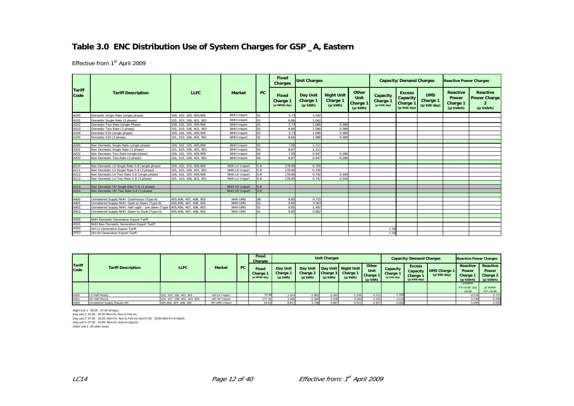#### **Table 3.0 ENC Distribution Use of System Charges for GSP \_A, Eastern**

Effective from 1st April 2009

|                       |                                                                          |                         |               |           | Fixed<br><b>Charges</b>           | <b>Unit Charges</b>             |                                          |                                      |                                     | <b>Capacity/Demand Charges</b>                              |                                      | <b>Reactive Power Charges</b>              |                                                     |
|-----------------------|--------------------------------------------------------------------------|-------------------------|---------------|-----------|-----------------------------------|---------------------------------|------------------------------------------|--------------------------------------|-------------------------------------|-------------------------------------------------------------|--------------------------------------|--------------------------------------------|-----------------------------------------------------|
| <b>Tariff</b><br>Code | <b>Tariff Description</b>                                                | <b>LLFC</b>             | <b>Market</b> | <b>PC</b> | Fixed<br>Charge 1<br>(p/MPAN/day) | Day Unit<br>Charge 1<br>(p/kWh) | <b>Night Unit</b><br>Charge 1<br>(p/kWh) | Other<br>Unit<br>Charge 1<br>(p/kWh) | Capacity<br>Charge 1<br>(p/kVA/day) | <b>Excess</b><br>Capacity<br><b>Charge 1</b><br>(p/kVA/day) | <b>UMS</b><br>Charge 1<br>(p/kW/day) | Reactive<br>Power<br>Charge 1<br>(p/kVArh) | <b>Reactive</b><br><b>Power Charge</b><br>(p/kVArh) |
| A100                  | Domestic Single Rate (single phase)                                      | 100, 102, 105, 400, 900 | NHH Import    | 01        | 5.73                              | 1.042                           |                                          |                                      |                                     |                                                             |                                      |                                            |                                                     |
| A101                  | Domestic Single Rate (3 phase)                                           | 101, 103, 106, 401, 901 | NHH Import    | $^{01}$   | 6.66                              | 1.042                           |                                          |                                      |                                     |                                                             |                                      |                                            |                                                     |
| A102                  | Domestic Two Rate (single Phase)                                         | 100. 102. 105. 400.900  | NHH Import    | 02        | 5.73                              | 1.080                           | 0.389                                    |                                      |                                     |                                                             |                                      |                                            |                                                     |
| A103                  | Domestic Two Rate (3 phase)                                              | 101, 103, 106, 401, 901 | NHH Import    | 02        | 6.66                              | 1.080                           | 0.389                                    |                                      |                                     |                                                             |                                      |                                            |                                                     |
| A104                  | Domestic E10 (single phase)                                              | 100, 102, 105, 400, 900 | NHH Import    | 02        | 5.73                              | 1.080                           | 0.389                                    |                                      |                                     |                                                             |                                      |                                            |                                                     |
| A105                  | Domestic E10 (3 phase)                                                   | 101, 103, 106, 401, 901 | NHH Import    | 02        | 6.66                              | 1.080                           | 0.389                                    |                                      |                                     |                                                             |                                      |                                            |                                                     |
|                       |                                                                          |                         |               |           |                                   |                                 |                                          |                                      |                                     |                                                             |                                      |                                            |                                                     |
| A200                  | Non Domestic Single Rate (single phase)                                  | 100, 102, 105, 400, 900 | NHH Import    | 03        | 7.85                              | 1.111                           |                                          |                                      |                                     |                                                             |                                      |                                            |                                                     |
| A201                  | Non Domestic Single Rate (3 phase)                                       | 101, 103, 106, 401, 901 | NHH Import    | 0.3       | 8.87                              | 1.111                           |                                          |                                      |                                     |                                                             |                                      |                                            |                                                     |
| A202                  | Non Domestic Two Rate (single phase)                                     | 100, 102, 105, 400, 900 | NHH Import    | 04        | 7.85                              | 0.947                           | 0.286                                    |                                      |                                     |                                                             |                                      |                                            |                                                     |
| A203                  | Non Domestic Two Rate (3 phase)                                          | 101, 103, 106, 401, 901 | NHH Import    | 04        | 8.87                              | 0.947                           | 0.286                                    |                                      |                                     |                                                             |                                      |                                            |                                                     |
|                       |                                                                          |                         |               |           |                                   |                                 |                                          |                                      |                                     |                                                             |                                      |                                            |                                                     |
| A210                  | Non Domestic LV Single Rate 5-8 (single phase)                           | 100, 102, 105, 400, 900 | NHH LV Import | $5 - 8$   | 178.85                            | 0.700                           |                                          |                                      |                                     |                                                             |                                      |                                            |                                                     |
| A211                  | Non Domestic LV Single Rate 5-8 (3 phase)                                | 101, 103, 106, 401, 901 | NHH LV Import | $5 - 8$   | 178.85                            | 0.700                           |                                          |                                      |                                     |                                                             |                                      |                                            |                                                     |
| A212                  | Non Domestic LV Two Rate 5-8 (single phase)                              | 100, 102, 105, 400, 900 | NHH LV Import | 5-8       | 178.85                            | 0.742                           | 0.349                                    |                                      |                                     |                                                             |                                      |                                            |                                                     |
| A213                  | Non Domestic LV Two Rate 5-8 (3 phase)                                   | 101, 103, 106, 401, 901 | NHH LV Import | $5 - 8$   | 178.85                            | 0.742                           | 0.349                                    |                                      |                                     |                                                             |                                      |                                            |                                                     |
|                       |                                                                          |                         |               |           |                                   |                                 |                                          |                                      |                                     |                                                             |                                      |                                            |                                                     |
| A214                  | Non Domestic HV Single Rate 5-8 (3 phase)                                |                         | NHH HV Import | $5-8$     |                                   |                                 |                                          |                                      |                                     |                                                             |                                      |                                            |                                                     |
| A215                  | Non Domestic HV Two Rate 5-8 (3 phase)                                   |                         | NHH HV Import | $5 - 8$   |                                   |                                 |                                          |                                      |                                     |                                                             |                                      |                                            |                                                     |
|                       |                                                                          |                         |               |           |                                   |                                 |                                          |                                      |                                     |                                                             |                                      |                                            |                                                     |
| A400                  | Unmetered Supply NHH Continuous (Type A)                                 | 405,406, 407, 408, 902  | NHH UMS       | 08        | 9.85                              | 0.715                           |                                          |                                      |                                     |                                                             |                                      |                                            |                                                     |
| A401                  | Unmetered Supply NHH Dusk to Dawn (Type B)                               | 405.406.407.408.902     | NHH UMS       | 01        | 9.85                              | 0.903                           |                                          |                                      |                                     |                                                             |                                      |                                            |                                                     |
| A402                  | Unmetered Supply NHH Half night - pre dawn (Type 0405,406, 407, 408, 902 |                         | NHH UMS       | 01        | 9.85                              | 1.492                           |                                          |                                      |                                     |                                                             |                                      |                                            |                                                     |
| A403                  | Unmetered Supply NHH Dawn to Dusk (Type D)                               | 405.406.407.408.902     | NHH UMS       | 01        | 9.85                              | 0.862                           |                                          |                                      |                                     |                                                             |                                      |                                            |                                                     |
|                       |                                                                          |                         |               |           |                                   |                                 |                                          |                                      |                                     |                                                             |                                      |                                            |                                                     |
| A500                  | NHH Domestic Generation Export Tariff                                    |                         |               |           |                                   |                                 |                                          |                                      |                                     |                                                             |                                      |                                            |                                                     |
| A501                  | NHH Non Domestic Generation Export Tariff                                |                         |               |           |                                   |                                 |                                          |                                      |                                     |                                                             |                                      |                                            |                                                     |
| A502                  | HH LV Generation Export Tariff                                           |                         |               |           |                                   |                                 |                                          |                                      | 1.28                                |                                                             |                                      |                                            |                                                     |
| A503                  | HH HV Generation Export Tariff                                           |                         |               |           |                                   |                                 |                                          |                                      | 1.28                                |                                                             |                                      |                                            |                                                     |

|                       |                            |                              |               |           | <b>Fixed</b><br>Charges                  |                                                   |         | <b>Unit Charges</b> |                                                                                 |                                                    |                                     | <b>Capacity/Demand Charges</b>                       |                                   | <b>Reactive Power Charges</b>            |                                                   |
|-----------------------|----------------------------|------------------------------|---------------|-----------|------------------------------------------|---------------------------------------------------|---------|---------------------|---------------------------------------------------------------------------------|----------------------------------------------------|-------------------------------------|------------------------------------------------------|-----------------------------------|------------------------------------------|---------------------------------------------------|
| <b>Tariff</b><br>Code | <b>Tariff Description</b>  | <b>LLFC</b>                  | <b>Market</b> | <b>PC</b> | <b>Fixed</b><br>Charge 1<br>(p/MPAN/day) | <b>Day Unit</b><br>Charge <sup>-</sup><br>(p/kWh) | (p/kWh) | (p/kWh)             | Day Unit   Day Unit   Night Unit  <br>Charge 2   Charge 3   Charge 1<br>(p/kWh) | Other<br><b>Unit</b><br><b>Charge 1</b><br>(p/kWh) | Capacity<br>Charge 1<br>(p/kVA/day) | <b>Excess</b><br>Capacity<br>Charge 1<br>(p/kVA/day) | <b>UMS Charge 1</b><br>(p/kW/day) | Reactive<br>Power<br>Charge<br>(p/kVArh) | Reactive<br><b>Power</b><br>Charge 2<br>(p/kVArh) |
|                       |                            |                              |               |           |                                          |                                                   |         |                     |                                                                                 |                                                    |                                     |                                                      |                                   | p/kVArh<br>$P.F < 0.95$ but<br>>0.45     | p/kVArh<br>P.F. < 0.45                            |
| A300                  | LV Half Hourly             | 101, 103, 106, 401, 901      | HH LV Import  |           | 70.48                                    | 2.414                                             | 0.962   | 0.263               | 0.156                                                                           | 0.231                                              | 5.162                               |                                                      |                                   | 0.576                                    | 0.721                                             |
| A301                  | HV Half Hourly             | 104, 107, 108, 402, 403, 903 | HH HV Import  |           | 177.31                                   | 1.065                                             | 0.384   | 0.108               | 0.063                                                                           | 0.102                                              | 3.222                               |                                                      |                                   | 0.238                                    | 0.298                                             |
| A404                  | Unmetered Supply Pseudo HH | 405,406, 407, 408, 902       | HH UMS Import |           | 24.63                                    | 8.817                                             | 3.198   | 0.887               | 0.521                                                                           | 0.837                                              | 0.000                               |                                                      |                                   | 0.000                                    | 0.000                                             |

Night unit 1: 00:00 - 07:00 all days Day unit 1: 16:00 - 20:00 Mon-Fri, Nov to Feb inc Day unit 2: 07:00 - 16:00, Mon-Fri, Nov to Feb inc and 07:00 - 20:00 Mon-Fri in March Day unit 3: 07:00 - 20:00, Mon-Fri June to Aug inc Other unit 1: All other times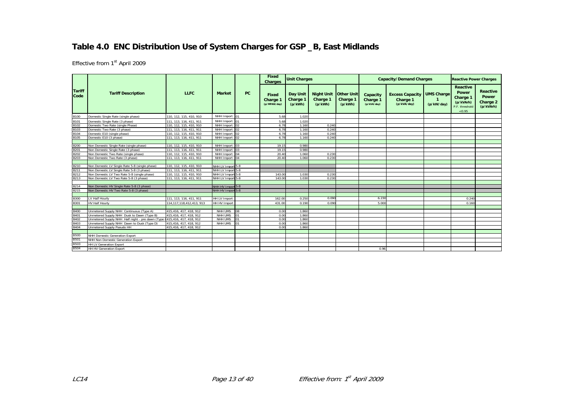# **Table 4.0 ENC Distribution Use of System Charges for GSP \_B, East Midlands**

|                       |                                                  |                         |                     |           | <b>Fixed</b><br>Charges                  | <b>Unit Charges</b>             |                                                       |                     |                                     | <b>Capacity/Demand Charges</b>                    |                                 | <b>Reactive Power Charges</b>                                                 |                                                   |
|-----------------------|--------------------------------------------------|-------------------------|---------------------|-----------|------------------------------------------|---------------------------------|-------------------------------------------------------|---------------------|-------------------------------------|---------------------------------------------------|---------------------------------|-------------------------------------------------------------------------------|---------------------------------------------------|
| <b>Tariff</b><br>Code | <b>Tariff Description</b>                        | <b>LLFC</b>             | <b>Market</b>       | <b>PC</b> | <b>Fixed</b><br>Charge 1<br>(p/MPAN/day) | Day Unit<br>Charge 1<br>(p/kWh) | <b>Night Unit   Other Unit</b><br>Charge 1<br>(p/kWh) | Charge 1<br>(p/kWh) | Capacity<br>Charge 1<br>(p/kVA/day) | <b>Excess Capacity</b><br>Charge 1<br>(p/kVA/day) | <b>UMS Charge</b><br>(p/kW/day) | <b>Reactive</b><br>Power<br>Charge 1<br>(p/kVArh)<br>P.F. threshold<br>< 0.95 | <b>Reactive</b><br>Power<br>Charge 2<br>(p/kVArh) |
| <b>B100</b>           | Domestic Single Rate (single phase)              | 110, 112, 115, 410, 910 | NHH Import 01       |           | 5.68                                     | 1.020                           |                                                       |                     |                                     |                                                   |                                 |                                                                               |                                                   |
| B101                  | Domestic Single Rate (3 phase)                   | 111, 113, 116, 411, 911 | NHH Import 01       |           | 5.68                                     | 1.020                           |                                                       |                     |                                     |                                                   |                                 |                                                                               |                                                   |
| <b>B102</b>           | Domestic Two Rate (single Phase)                 | 110, 112, 115, 410, 910 | NHH Import 02       |           | 6.78                                     | 1.160                           | 0.240                                                 |                     |                                     |                                                   |                                 |                                                                               |                                                   |
| B103                  | Domestic Two Rate (3 phase)                      | 111, 113, 116, 411, 911 | NHH Import 02       |           | 6.78                                     | 1.160                           | 0.240                                                 |                     |                                     |                                                   |                                 |                                                                               |                                                   |
| B104                  | Domestic E10 (single phase)                      | 110, 112, 115, 410, 910 | NHH Import 02       |           | 6.78                                     | 1.160                           | 0.240                                                 |                     |                                     |                                                   |                                 |                                                                               |                                                   |
| B105                  | Domestic E10 (3 phase)                           | 111, 113, 116, 411, 911 | NHH Import 02       |           | 6.78                                     | 1.160                           | 0.240                                                 |                     |                                     |                                                   |                                 |                                                                               |                                                   |
|                       |                                                  |                         |                     |           |                                          |                                 |                                                       |                     |                                     |                                                   |                                 |                                                                               |                                                   |
| <b>B200</b>           | Non Domestic Single Rate (single phase)          | 110, 112, 115, 410, 910 | NHH Import 03       |           | 19.15                                    | 0.980                           |                                                       |                     |                                     |                                                   |                                 |                                                                               |                                                   |
| B <sub>201</sub>      | Non Domestic Single Rate (3 phase)               | 111, 113, 116, 411, 911 | NHH Import 03       |           | 19.15                                    | 0.980                           |                                                       |                     |                                     |                                                   |                                 |                                                                               |                                                   |
| <b>B202</b>           | Non Domestic Two Rate (single phase)             | 110, 112, 115, 410, 910 | NHH Import 04       |           | 20.40                                    | 1.060                           | 0.230                                                 |                     |                                     |                                                   |                                 |                                                                               |                                                   |
| B203                  | Non Domestic Two Rate (3 phase)                  | 111, 113, 116, 411, 911 | NHH Import 04       |           | 20.40                                    | 1.060                           | 0.230                                                 |                     |                                     |                                                   |                                 |                                                                               |                                                   |
|                       |                                                  |                         |                     |           |                                          |                                 |                                                       |                     |                                     |                                                   |                                 |                                                                               |                                                   |
| B210                  | Non Domestic LV Single Rate 5-8 (single phase)   | 110, 112, 115, 410, 910 | NHH LV Import 5-8   |           |                                          |                                 |                                                       |                     |                                     |                                                   |                                 |                                                                               |                                                   |
| B211                  | Non Domestic LV Single Rate 5-8 (3 phase)        | 111, 113, 116, 411, 911 | NHH LV Import 5-8   |           |                                          |                                 |                                                       |                     |                                     |                                                   |                                 |                                                                               |                                                   |
| B212                  | Non Domestic LV Two Rate 5-8 (single phase)      | 110, 112, 115, 410, 910 | NHH LV Import 5-8   |           | 143.00                                   | 1.030                           | 0.230                                                 |                     |                                     |                                                   |                                 |                                                                               |                                                   |
| B213                  | Non Domestic LV Two Rate 5-8 (3 phase)           | 111, 113, 116, 411, 911 | NHH LV Import 5-8   |           | 143.0                                    | 1.030                           | 0.230                                                 |                     |                                     |                                                   |                                 |                                                                               |                                                   |
|                       |                                                  |                         |                     |           |                                          |                                 |                                                       |                     |                                     |                                                   |                                 |                                                                               |                                                   |
| B214                  | Non Domestic HV Single Rate 5-8 (3 phase)        |                         | NHH HV Import 5-8   |           |                                          |                                 |                                                       |                     |                                     |                                                   |                                 |                                                                               |                                                   |
| B215                  | Non Domestic HV Two Rate 5-8 (3 phase)           |                         | NHH HV Import 5-8   |           |                                          |                                 |                                                       |                     |                                     |                                                   |                                 |                                                                               |                                                   |
|                       |                                                  |                         |                     |           |                                          |                                 |                                                       |                     |                                     |                                                   |                                 |                                                                               |                                                   |
| <b>B300</b>           | LV Half Hourly                                   | 111, 113, 116, 411, 911 | <b>HH LV Import</b> |           | 162.0                                    | 0.250                           | 0.090                                                 |                     | 6.230                               |                                                   |                                 | 0.240                                                                         |                                                   |
| <b>B301</b>           | <b>HV Half Hourly</b>                            | 114.117.118.412.413.913 | HH HV Import        |           | 431.00                                   | 0.190                           | 0.090                                                 |                     | 5.000                               |                                                   |                                 | 0.160                                                                         |                                                   |
|                       |                                                  |                         |                     |           |                                          |                                 |                                                       |                     |                                     |                                                   |                                 |                                                                               |                                                   |
| <b>B400</b>           | Unmetered Supply NHH Continuous (Type A)         | 415,416, 417, 418, 912  | NHH UMS             | 80        | 0.00                                     | 1.860                           |                                                       |                     |                                     |                                                   |                                 |                                                                               |                                                   |
| B401                  | Unmetered Supply NHH Dusk to Dawn (Type B)       | 415.416, 417, 418, 912  | NHH UMS             |           | 0.00                                     | 1.860                           |                                                       |                     |                                     |                                                   |                                 |                                                                               |                                                   |
| B402                  | Unmetered Supply NHH Half night - pre dawn (Type | 415.416, 417, 418, 912  | NHH UMS             | 01        | 0.00                                     | 1.860                           |                                                       |                     |                                     |                                                   |                                 |                                                                               |                                                   |
| B403                  | Unmetered Supply NHH Dawn to Dusk (Type D)       | 415,416, 417, 418, 912  | NHH UMS             |           | 0.00                                     | 1.860                           |                                                       |                     |                                     |                                                   |                                 |                                                                               |                                                   |
| <b>B404</b>           | Unmetered Supply Pseudo HH                       | 415.416.417.418.912     |                     |           | 0.00                                     | 1.860                           |                                                       |                     |                                     |                                                   |                                 |                                                                               |                                                   |
|                       |                                                  |                         |                     |           |                                          |                                 |                                                       |                     |                                     |                                                   |                                 |                                                                               |                                                   |
| <b>B500</b>           | <b>NHH Domestic Generation Export</b>            |                         |                     |           |                                          |                                 |                                                       |                     |                                     |                                                   |                                 |                                                                               |                                                   |
| <b>B501</b>           | NHH Non Domestic Generation Export               |                         |                     |           |                                          |                                 |                                                       |                     |                                     |                                                   |                                 |                                                                               |                                                   |
| B503                  | <b>HH LV Generation Export</b>                   |                         |                     |           |                                          |                                 |                                                       |                     |                                     |                                                   |                                 |                                                                               |                                                   |
| <b>B504</b>           | <b>HH HV Generation Export</b>                   |                         |                     |           |                                          |                                 |                                                       |                     | 0.96                                |                                                   |                                 |                                                                               |                                                   |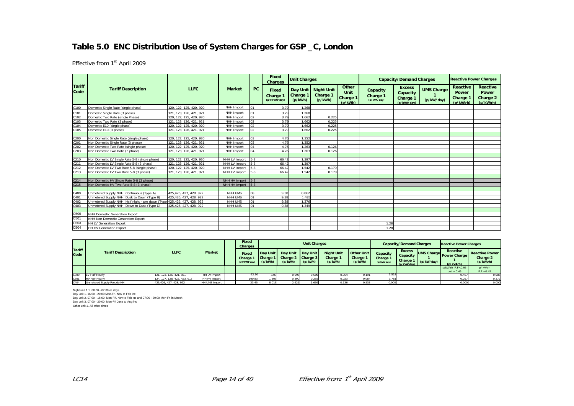# **Table 5.0 ENC Distribution Use of System Charges for GSP \_C, London**

Effective from 1st April 2009

|                       |                                                                         |                         |                   |         | <b>Fixed</b><br><b>Charges</b>    | <b>Unit Charges</b> |                                            |                                             |                                     | <b>Capacity/Demand Charges</b>                       |                                 | <b>Reactive Power Charges</b>                     |                                                   |
|-----------------------|-------------------------------------------------------------------------|-------------------------|-------------------|---------|-----------------------------------|---------------------|--------------------------------------------|---------------------------------------------|-------------------------------------|------------------------------------------------------|---------------------------------|---------------------------------------------------|---------------------------------------------------|
| <b>Tariff</b><br>Code | <b>Tariff Description</b>                                               | <b>LLFC</b>             | <b>Market</b>     | PC      | Fixed<br>Charge 1<br>(p/MPAN/day) | Charge 1<br>(p/kWh) | Day Unit Night Unit<br>Charge 1<br>(p/kWh) | Other<br>Unit<br><b>Charge 1</b><br>(p/kWh) | Capacity<br>Charge 1<br>(p/kVA/day) | <b>Excess</b><br>Capacity<br>Charge 1<br>(p/kVA/dav) | <b>UMS Charge</b><br>(p/kW/day) | <b>Reactive</b><br>Power<br>Charge 1<br>(p/kVArh) | Reactive<br><b>Power</b><br>Charge 2<br>(p/kVArh) |
| C100                  | Domestic Single Rate (single phase)                                     | 120, 122, 125, 420, 920 | NHH Import        | 01      | 3.79                              | 1.268               |                                            |                                             |                                     |                                                      |                                 |                                                   |                                                   |
| C101                  | Domestic Single Rate (3 phase)                                          | 121, 123, 126, 421, 921 | NHH Import        | 01      | 3.79                              | 1.268               |                                            |                                             |                                     |                                                      |                                 |                                                   |                                                   |
| C102                  | Domestic Two Rate (single Phase)                                        | 120, 122, 125, 420, 920 | NHH Import        | 02      | 3.79                              | 1.662               | 0.225                                      |                                             |                                     |                                                      |                                 |                                                   |                                                   |
| C103                  | Domestic Two Rate (3 phase)                                             | 121, 123, 126, 421, 921 | NHH Import        | 02      | 3.79                              | 1.662               | 0.225                                      |                                             |                                     |                                                      |                                 |                                                   |                                                   |
| C104                  | Domestic E10 (single phase)                                             | 120, 122, 125, 420, 920 | NHH Import        | 02      | 3.79                              | 1.662               | 0.225                                      |                                             |                                     |                                                      |                                 |                                                   |                                                   |
| C105                  | Domestic E10 (3 phase)                                                  | 121, 123, 126, 421, 921 | NHH Import        | 02      | 3.79                              | 1.662               | 0.225                                      |                                             |                                     |                                                      |                                 |                                                   |                                                   |
|                       |                                                                         |                         |                   |         |                                   |                     |                                            |                                             |                                     |                                                      |                                 |                                                   |                                                   |
| C200                  | Non Domestic Single Rate (single phase)                                 | 120, 122, 125, 420, 920 | NHH Import        | 03      | 4.76                              | 1.352               |                                            |                                             |                                     |                                                      |                                 |                                                   |                                                   |
| C201                  | Non Domestic Single Rate (3 phase)                                      | 121, 123, 126, 421, 921 | NHH Import        | 0.3     | 4.76                              | 1.352               |                                            |                                             |                                     |                                                      |                                 |                                                   |                                                   |
| C <sub>202</sub>      | Non Domestic Two Rate (single phase)                                    | 120, 122, 125, 420, 920 | NHH Import        | 04      | 4.76                              | 1.263               | 0.126                                      |                                             |                                     |                                                      |                                 |                                                   |                                                   |
| C203                  | Non Domestic Two Rate (3 phase)                                         | 121, 123, 126, 421, 921 | NHH Import        | 04      | 4.76                              | 1.263               | 0.126                                      |                                             |                                     |                                                      |                                 |                                                   |                                                   |
|                       |                                                                         |                         |                   |         |                                   |                     |                                            |                                             |                                     |                                                      |                                 |                                                   |                                                   |
| C210                  | Non Domestic LV Single Rate 5-8 (single phase)                          | 120, 122, 125, 420, 920 | NHH LV Import     | $5 - 8$ | 66.42                             | 1.397               |                                            |                                             |                                     |                                                      |                                 |                                                   |                                                   |
| C <sub>211</sub>      | Non Domestic LV Single Rate 5-8 (3 phase)                               | 121, 123, 126, 421, 921 | NHH LV Import     | $5 - 8$ | 66.42                             | 1.397               |                                            |                                             |                                     |                                                      |                                 |                                                   |                                                   |
| C <sub>212</sub>      | Non Domestic LV Two Rate 5-8 (single phase)                             | 120, 122, 125, 420, 920 | NHH LV Import     | $5 - 8$ | 66.42                             | 1.542               | 0.179                                      |                                             |                                     |                                                      |                                 |                                                   |                                                   |
| C <sub>213</sub>      | Non Domestic LV Two Rate 5-8 (3 phase)                                  | 121, 123, 126, 421, 921 | NHH LV Import     | $5-8$   | 66.42                             | 1.542               | 0.179                                      |                                             |                                     |                                                      |                                 |                                                   |                                                   |
|                       |                                                                         |                         |                   |         |                                   |                     |                                            |                                             |                                     |                                                      |                                 |                                                   |                                                   |
| C <sub>214</sub>      | Non Domestic HV Single Rate 5-8 (3 phase)                               |                         | NHH HV Import 5-8 |         |                                   |                     |                                            |                                             |                                     |                                                      |                                 |                                                   |                                                   |
| C <sub>215</sub>      | Non Domestic HV Two Rate 5-8 (3 phase)                                  |                         | NHH HV Import 5-8 |         |                                   |                     |                                            |                                             |                                     |                                                      |                                 |                                                   |                                                   |
|                       |                                                                         |                         |                   |         |                                   |                     |                                            |                                             |                                     |                                                      |                                 |                                                   |                                                   |
| C400                  | Unmetered Supply NHH Continuous (Type A)                                | 425,426, 427, 428. 922  | NHH UMS           | 08      | 9.38                              | 0.862               |                                            |                                             |                                     |                                                      |                                 |                                                   |                                                   |
| C401                  | Unmetered Supply NHH Dusk to Dawn (Type B)                              | 425,426, 427, 428. 922  | NHH UMS           | 01      | 9.38                              | 1.485               |                                            |                                             |                                     |                                                      |                                 |                                                   |                                                   |
| C402                  | Unmetered Supply NHH Half night - pre dawn (Type 425,426, 427, 428. 922 |                         | NHH UMS           | 01      | 9.38                              | 1.376               |                                            |                                             |                                     |                                                      |                                 |                                                   |                                                   |
| C403                  | Unmetered Supply NHH Dawn to Dusk (Type D)                              | 425.426.427.428.922     | NHH UMS           | 01      | 9.38                              | 1.349               |                                            |                                             |                                     |                                                      |                                 |                                                   |                                                   |
|                       |                                                                         |                         |                   |         |                                   |                     |                                            |                                             |                                     |                                                      |                                 |                                                   |                                                   |
| C500                  | NHH Domestic Generation Export                                          |                         |                   |         |                                   |                     |                                            |                                             |                                     |                                                      |                                 |                                                   |                                                   |
| C501                  | NHH Non Domestic Generation Export                                      |                         |                   |         |                                   |                     |                                            |                                             |                                     |                                                      |                                 |                                                   |                                                   |
| C503                  | <b>HH LV Generation Export</b>                                          |                         |                   |         |                                   |                     |                                            |                                             | 1.28                                |                                                      |                                 |                                                   |                                                   |
| C504                  | <b>HH HV Generation Export</b>                                          |                         |                   |         |                                   |                     |                                            |                                             | 1.28                                |                                                      |                                 |                                                   |                                                   |

|                       |                            |                              |               | Fixed<br>Charges                                |                                 |                                                   | <b>Unit Charges</b> |                                          |                                          |                                     | <b>Capacity/Demand Charges</b>                              |            | <b>Reactive Power Charges</b>                    |                                                |
|-----------------------|----------------------------|------------------------------|---------------|-------------------------------------------------|---------------------------------|---------------------------------------------------|---------------------|------------------------------------------|------------------------------------------|-------------------------------------|-------------------------------------------------------------|------------|--------------------------------------------------|------------------------------------------------|
| <b>Tariff</b><br>Code | <b>Tariff Description</b>  | <b>LLFC</b>                  | <b>Market</b> | <b>Fixed</b><br><b>Charge 1</b><br>(p/MPAN/day) | Day Unit<br>Charge 1<br>(p/kWh) | Day Unit Day Unit<br>Charge 2 Charge 3<br>(p/kWh) | (p/kWh)             | <b>Night Unit</b><br>Charge 1<br>(p/kWh) | <b>Other Unit</b><br>Charge 1<br>(p/kWh) | Capacity<br>Charge 1<br>(p/kVA/day) | <b>Excess</b><br>Capacity<br><b>Charge 1</b><br>(p/kVA/day) | (p/kW/day) | Reactive<br>UMS Charge Power Charge<br>(p/kVArh) | <b>Reactive Power</b><br>Charge 2<br>(p/kVArh) |
|                       |                            |                              |               |                                                 |                                 |                                                   |                     |                                          |                                          |                                     |                                                             |            | $p/kVArh$ P.F $< 0.95$<br>but $> 0.45$           | p/kVArh<br>P.F. < 0.45                         |
| C300                  | LV Half Hourly             | 121, 123, 126, 421, 921      | HH LV Import  | 62.30                                           |                                 | 0.996                                             | 0.589               | 0.054                                    | 0.191                                    | 3.518                               |                                                             |            | 0.467                                            | 0.585                                          |
| C30 <sup>-</sup>      | <b>HV Half Hourly</b>      | 124, 127, 128, 422, 423, 913 | HH HV Import  | 190.8                                           | .303                            |                                                   | 0.255               | 0.023                                    | 0.084                                    | 3.781                               |                                                             |            | 0.297                                            | 0.372                                          |
| C404                  | Unmetered Supply Pseudo HH | 425,426, 427, 428, 922       | HH UMS Import | 23.45                                           |                                 | 2.62                                              | 1.659               | 0.136                                    | 0.533                                    | 0.000                               |                                                             |            | 0.000                                            | 0.000                                          |

Night unit 1 1 00:00 - 07:00 all days

Day unit 1. 16:00 - 20:00 Mon-Fri, Nov to Feb inc Day unit 2. 07:00 - 16:00, Mon-Fri, Nov to Feb inc and 07:00 - 20:00 Mon-Fri in March Day unit 3. 07:00 - 20:00, Mon-Fri June to Aug inc Other unit 1. All other times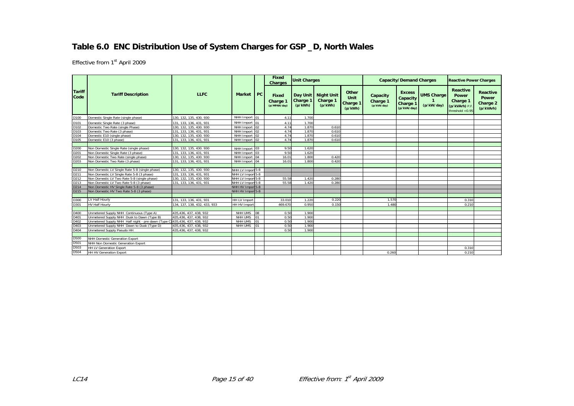# **Table 6.0 ENC Distribution Use of System Charges for GSP \_D, North Wales**

|                       |                                                                            |                              |                   |                  | Fixed<br><b>Charges</b>                  | <b>Unit Charges</b>             |                                          |                                      |                                     | <b>Capacity/Demand Charges</b>                                  |                                 | <b>Reactive Power Charges</b>                                               |                                                   |
|-----------------------|----------------------------------------------------------------------------|------------------------------|-------------------|------------------|------------------------------------------|---------------------------------|------------------------------------------|--------------------------------------|-------------------------------------|-----------------------------------------------------------------|---------------------------------|-----------------------------------------------------------------------------|---------------------------------------------------|
| <b>Tariff</b><br>Code | <b>Tariff Description</b>                                                  | <b>LLFC</b>                  | Market PC         |                  | <b>Fixed</b><br>Charge 1<br>(p/MPAN/day) | Day Unit<br>Charge 1<br>(p/kWh) | <b>Night Unit</b><br>Charge 1<br>(p/kWh) | Other<br>Unit<br>Charge 1<br>(p/kWh) | Capacity<br>Charge 1<br>(p/kVA/day) | <b>Excess</b><br>Capacity<br>Charge <sup>1</sup><br>(p/kVA/day) | <b>UMS Charge</b><br>(p/kW/day) | <b>Reactive</b><br>Power<br>Charge 1<br>(p/kVArh) P.F<br>threshold $< 0.95$ | Reactive<br><b>Power</b><br>Charge 2<br>(p/kVArh) |
| D100                  | Domestic Single Rate (single phase)                                        | 130, 132, 135, 430, 930      | NHH Import 01     |                  | 4.11                                     | 1.700                           |                                          |                                      |                                     |                                                                 |                                 |                                                                             |                                                   |
| D101                  | Domestic Single Rate (3 phase)                                             | 131, 133, 136, 431, 931      | NHH Import 01     |                  | 4.11                                     | 1.700                           |                                          |                                      |                                     |                                                                 |                                 |                                                                             |                                                   |
| D102                  | Domestic Two Rate (single Phase)                                           | 130, 132, 135, 430. 930      | NHH Import 02     |                  | 4.74                                     | 1.870                           | 0.610                                    |                                      |                                     |                                                                 |                                 |                                                                             |                                                   |
| D103                  | Domestic Two Rate (3 phase)                                                | 131, 133, 136, 431, 931      | NHH Import 02     |                  | 4.74                                     | 1.870                           | 0.610                                    |                                      |                                     |                                                                 |                                 |                                                                             |                                                   |
| D104                  | Domestic E10 (single phase)                                                | 130, 132, 135, 430. 930      | NHH Import 02     |                  | 4.74                                     | 1.870                           | 0.610                                    |                                      |                                     |                                                                 |                                 |                                                                             |                                                   |
| D105                  | Domestic E10 (3 phase)                                                     | 131, 133, 136, 431, 931      | NHH Import 02     |                  | 4.74                                     | 1.870                           | 0.610                                    |                                      |                                     |                                                                 |                                 |                                                                             |                                                   |
|                       |                                                                            |                              |                   |                  |                                          |                                 |                                          |                                      |                                     |                                                                 |                                 |                                                                             |                                                   |
| D200                  | Non Domestic Single Rate (single phase)                                    | 130, 132, 135, 430, 930      | NHH Import 03     |                  | 9.50                                     | 1.620                           |                                          |                                      |                                     |                                                                 |                                 |                                                                             |                                                   |
| D201                  | Non Domestic Single Rate (3 phase)                                         | 131. 133. 136. 431. 931      | NHH Import 03     |                  | 9.50                                     | 1.620                           |                                          |                                      |                                     |                                                                 |                                 |                                                                             |                                                   |
| D202                  | Non Domestic Two Rate (single phase)                                       | 130, 132, 135, 430. 930      | NHH Import 04     |                  | 16.01                                    | 1.800                           | 0.420                                    |                                      |                                     |                                                                 |                                 |                                                                             |                                                   |
| D203                  | Non Domestic Two Rate (3 phase)                                            | 131, 133, 136, 431, 931      | NHH Import 04     |                  | 16.01                                    | 1.800                           | 0.420                                    |                                      |                                     |                                                                 |                                 |                                                                             |                                                   |
|                       |                                                                            |                              |                   |                  |                                          |                                 |                                          |                                      |                                     |                                                                 |                                 |                                                                             |                                                   |
| D210                  | Non Domestic LV Single Rate 5-8 (single phase)                             | 130, 132, 135, 430. 930      | NHH LV Import 5-8 |                  |                                          |                                 |                                          |                                      |                                     |                                                                 |                                 |                                                                             |                                                   |
| D211                  | Non Domestic LV Single Rate 5-8 (3 phase)                                  | 131, 133, 136, 431, 931      | NHH LV Import 5-8 |                  |                                          |                                 |                                          |                                      |                                     |                                                                 |                                 |                                                                             |                                                   |
| D212                  | Non Domestic LV Two Rate 5-8 (single phase)                                | 130, 132, 135, 430, 930      | NHH LV Import 5-8 |                  | 55.58                                    | 1.420                           | 0.280                                    |                                      |                                     |                                                                 |                                 |                                                                             |                                                   |
| D213                  | Non Domestic LV Two Rate 5-8 (3 phase)                                     | 131, 133, 136, 431, 931      | NHH LV Import 5-8 |                  | 55.58                                    | 1.420                           | 0.280                                    |                                      |                                     |                                                                 |                                 |                                                                             |                                                   |
| D214                  | Non Domestic HV Single Rate 5-8 (3 phase)                                  |                              | NHH HV Impor 5-8  |                  |                                          |                                 |                                          |                                      |                                     |                                                                 |                                 |                                                                             |                                                   |
| D215                  | Non Domestic HV Two Rate 5-8 (3 phase)                                     |                              | NHH HV Impor 5-8  |                  |                                          |                                 |                                          |                                      |                                     |                                                                 |                                 |                                                                             |                                                   |
|                       |                                                                            |                              |                   |                  |                                          |                                 |                                          |                                      |                                     |                                                                 |                                 |                                                                             |                                                   |
| D300                  | LV Half Hourly                                                             | 131, 133, 136, 431, 931      | HH LV Import      |                  | 33,010                                   | 1.220                           | 0.220                                    |                                      | 1.570                               |                                                                 |                                 | 0.310                                                                       |                                                   |
| D301                  | <b>HV Half Hourly</b>                                                      | 134, 137, 138, 432, 433, 933 | HH HV Import      |                  | 469.670                                  | 0.950                           | 0.150                                    |                                      | 1.480                               |                                                                 |                                 | 0.210                                                                       |                                                   |
|                       |                                                                            |                              |                   |                  |                                          |                                 |                                          |                                      |                                     |                                                                 |                                 |                                                                             |                                                   |
| D400                  | Unmetered Supply NHH Continuous (Type A)                                   | 435,436, 437, 438, 932       | NHH UMS           | $\overline{108}$ | 0.50                                     | 1.900                           |                                          |                                      |                                     |                                                                 |                                 |                                                                             |                                                   |
| D401                  | Unmetered Supply NHH Dusk to Dawn (Type B)                                 | 435,436, 437, 438, 932       | NHH UMS           | 101              | 0.5C                                     | 1.900                           |                                          |                                      |                                     |                                                                 |                                 |                                                                             |                                                   |
| D402                  | Unmetered Supply NHH Half night - pre dawn (Type C) 435,436, 437, 438, 932 |                              | NHH UMS           | 101              | 0.50                                     | 1.900                           |                                          |                                      |                                     |                                                                 |                                 |                                                                             |                                                   |
| D403                  | Unmetered Supply NHH Dawn to Dusk (Type D)                                 | 435,436, 437, 438, 932       | NHH UMS           |                  | 0.50                                     | 1.900                           |                                          |                                      |                                     |                                                                 |                                 |                                                                             |                                                   |
| D404                  | <b>Unmetered Supply Pseudo HH</b>                                          | 435,436, 437, 438, 932       |                   |                  | 0.50                                     | 1.900                           |                                          |                                      |                                     |                                                                 |                                 |                                                                             |                                                   |
|                       |                                                                            |                              |                   |                  |                                          |                                 |                                          |                                      |                                     |                                                                 |                                 |                                                                             |                                                   |
| D500                  | <b>NHH Domestic Generation Export</b>                                      |                              |                   |                  |                                          |                                 |                                          |                                      |                                     |                                                                 |                                 |                                                                             |                                                   |
| D501                  | NHH Non Domestic Generation Export                                         |                              |                   |                  |                                          |                                 |                                          |                                      |                                     |                                                                 |                                 |                                                                             |                                                   |
| D503                  | <b>HH LV Generation Export</b>                                             |                              |                   |                  |                                          |                                 |                                          |                                      |                                     |                                                                 |                                 | 0.310                                                                       |                                                   |
| D504                  | <b>HH HV Generation Export</b>                                             |                              |                   |                  |                                          |                                 |                                          |                                      | 0.260                               |                                                                 |                                 | 0.210                                                                       |                                                   |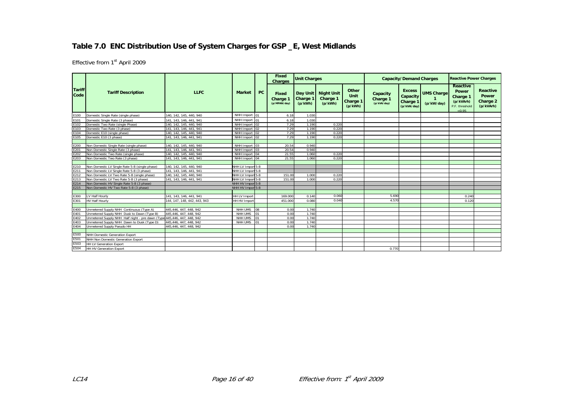#### **Table 7.0 ENC Distribution Use of System Charges for GSP \_E, West Midlands**

|                       |                                                                         |                              |                     |             | Fixed<br><b>Charges</b>           | <b>Unit Charges</b> |                                              |                                      |                                     | <b>Capacity/Demand Charges</b>                                  |                                 | <b>Reactive Power Charges</b>                                                 |                                                   |
|-----------------------|-------------------------------------------------------------------------|------------------------------|---------------------|-------------|-----------------------------------|---------------------|----------------------------------------------|--------------------------------------|-------------------------------------|-----------------------------------------------------------------|---------------------------------|-------------------------------------------------------------------------------|---------------------------------------------------|
| <b>Tariff</b><br>Code | <b>Tariff Description</b>                                               | <b>LLFC</b>                  | <b>Market</b>       | <b>PC</b>   | Fixed<br>Charge 1<br>(p/MPAN/day) | Charge 1<br>(p/kWh) | Day Unit   Night Unit<br>Charge 1<br>(p/kWh) | Other<br>Unit<br>Charge 1<br>(p/kWh) | Capacity<br>Charge 1<br>(p/kVA/day) | <b>Excess</b><br>Capacity<br>Charge <sup>®</sup><br>(p/kVA/day) | <b>UMS Charge</b><br>(p/kW/day) | <b>Reactive</b><br>Power<br>Charge 1<br>(p/kVArh)<br>P.F. threshold<br>< 0.95 | Reactive<br><b>Power</b><br>Charge 2<br>(p/kVArh) |
| E100                  | Domestic Single Rate (single phase)                                     | 140, 142, 145, 440, 940      | NHH Import 01       |             | 6.18                              | 1.030               |                                              |                                      |                                     |                                                                 |                                 |                                                                               |                                                   |
| E101                  | Domestic Single Rate (3 phase)                                          | 141, 143, 146, 441, 941      | NHH Import 01       |             | 6.18                              | 1.030               |                                              |                                      |                                     |                                                                 |                                 |                                                                               |                                                   |
| E102                  | Domestic Two Rate (single Phase)                                        | 140, 142, 145, 440, 940      | NHH Import 02       |             | 7.29                              | 1.190               | 0.220                                        |                                      |                                     |                                                                 |                                 |                                                                               |                                                   |
| E103                  | Domestic Two Rate (3 phase)                                             | 141, 143, 146, 441, 941      | NHH Import 02       |             | 7.29                              | 1.190               | 0.220                                        |                                      |                                     |                                                                 |                                 |                                                                               |                                                   |
| E104                  | Domestic E10 (single phase)                                             | 140, 142, 145, 440, 940      | NHH Import 02       |             | 7.29                              | 1.190               | 0.220                                        |                                      |                                     |                                                                 |                                 |                                                                               |                                                   |
| E105                  | Domestic E10 (3 phase)                                                  | 141, 143, 146, 441, 941      | NHH Import 02       |             | 7.29                              | 1.190               | 0.220                                        |                                      |                                     |                                                                 |                                 |                                                                               |                                                   |
|                       |                                                                         |                              |                     |             |                                   |                     |                                              |                                      |                                     |                                                                 |                                 |                                                                               |                                                   |
| E200                  | Non Domestic Single Rate (single phase)                                 | 140. 142. 145. 440. 940      | NHH Import 03       |             | 20.54                             | 0.940               |                                              |                                      |                                     |                                                                 |                                 |                                                                               |                                                   |
| E201                  | Non Domestic Single Rate (3 phase)                                      | 141, 143, 146, 441, 941      | NHH Import 03       |             | 20.54                             | 0.940               |                                              |                                      |                                     |                                                                 |                                 |                                                                               |                                                   |
| E202                  | Non Domestic Two Rate (single phase)                                    | 140, 142, 145, 440, 940      | NHH Import 04       |             | 21.55                             | 1.060               | 0.220                                        |                                      |                                     |                                                                 |                                 |                                                                               |                                                   |
| E203                  | Non Domestic Two Rate (3 phase)                                         | 141, 143, 146, 441, 941      | NHH Import 04       |             | 21.55                             | 1.060               | 0.220                                        |                                      |                                     |                                                                 |                                 |                                                                               |                                                   |
|                       |                                                                         |                              |                     |             |                                   |                     |                                              |                                      |                                     |                                                                 |                                 |                                                                               |                                                   |
| E210                  | Non Domestic LV Single Rate 5-8 (single phase)                          | 140. 142. 145. 440. 940      | NHH LV Import 5-8   |             |                                   |                     |                                              |                                      |                                     |                                                                 |                                 |                                                                               |                                                   |
| E211                  | Non Domestic LV Single Rate 5-8 (3 phase)                               | 141, 143, 146, 441, 941      | NHH LV Import 5-8   |             |                                   |                     |                                              |                                      |                                     |                                                                 |                                 |                                                                               |                                                   |
| E212                  | Non Domestic LV Two Rate 5-8 (single phase)                             | 140, 142, 145, 440, 940      | NHH LV Import 5-8   |             | 151.00                            | 1.000               | 0.220                                        |                                      |                                     |                                                                 |                                 |                                                                               |                                                   |
| E213                  | Non Domestic LV Two Rate 5-8 (3 phase)                                  | 141, 143, 146, 441, 941      | NHH LV Import 5-8   |             | 151.00                            | 1.000               | 0.220                                        |                                      |                                     |                                                                 |                                 |                                                                               |                                                   |
| E214                  | Non Domestic HV Single Rate 5-8 (3 phase)                               |                              | NHH HV Impor 5-8    |             |                                   |                     |                                              |                                      |                                     |                                                                 |                                 |                                                                               |                                                   |
| E215                  | Non Domestic HV Two Rate 5-8 (3 phase)                                  |                              | NHH HV Impor 5-8    |             |                                   |                     |                                              |                                      |                                     |                                                                 |                                 |                                                                               |                                                   |
|                       |                                                                         |                              |                     |             |                                   |                     |                                              |                                      |                                     |                                                                 |                                 |                                                                               |                                                   |
| E300                  | LV Half Hourly                                                          | 141, 143, 146, 441, 941      | <b>HH LV Import</b> |             | 169.000                           | 0.140               | 0.060                                        |                                      | 5.690                               |                                                                 |                                 | 0.240                                                                         |                                                   |
| E301                  | <b>HV Half Hourly</b>                                                   | 144, 147, 148, 442, 443, 943 | HH HV Import        |             | 451.000                           | 0.080               | 0.040                                        |                                      | 4.570                               |                                                                 |                                 | 0.120                                                                         |                                                   |
|                       |                                                                         |                              |                     |             |                                   |                     |                                              |                                      |                                     |                                                                 |                                 |                                                                               |                                                   |
| E400                  | Unmetered Supply NHH Continuous (Type A)                                | 445.446.447.448.942          | NHH UMS             | $\sqrt{08}$ | 0.00                              | 1.740               |                                              |                                      |                                     |                                                                 |                                 |                                                                               |                                                   |
| E401                  | Unmetered Supply NHH Dusk to Dawn (Type B)                              | 445,446, 447, 448, 942       | NHH UMS             | 01          | 0.00                              | 1.740               |                                              |                                      |                                     |                                                                 |                                 |                                                                               |                                                   |
| E402                  | Unmetered Supply NHH Half night - pre dawn (Type 445,446, 447, 448, 942 |                              | <b>NHH UMS</b>      | lo1         | 0.00                              | 1.740               |                                              |                                      |                                     |                                                                 |                                 |                                                                               |                                                   |
| E403                  | Unmetered Supply NHH Dawn to Dusk (Type D)                              | 445,446, 447, 448, 942       | NHH UMS             |             | 0.00                              | 1.740               |                                              |                                      |                                     |                                                                 |                                 |                                                                               |                                                   |
| E404                  | Unmetered Supply Pseudo HH                                              | 445,446, 447, 448, 942       |                     |             | 0.00                              | 1.740               |                                              |                                      |                                     |                                                                 |                                 |                                                                               |                                                   |
|                       |                                                                         |                              |                     |             |                                   |                     |                                              |                                      |                                     |                                                                 |                                 |                                                                               |                                                   |
| E500                  | <b>NHH Domestic Generation Export</b>                                   |                              |                     |             |                                   |                     |                                              |                                      |                                     |                                                                 |                                 |                                                                               |                                                   |
| E501                  | NHH Non Domestic Generation Export                                      |                              |                     |             |                                   |                     |                                              |                                      |                                     |                                                                 |                                 |                                                                               |                                                   |
| E503                  | <b>HH LV Generation Export</b>                                          |                              |                     |             |                                   |                     |                                              |                                      |                                     |                                                                 |                                 |                                                                               |                                                   |
| E504                  | <b>HH HV Generation Export</b>                                          |                              |                     |             |                                   |                     |                                              |                                      | 0.770                               |                                                                 |                                 |                                                                               |                                                   |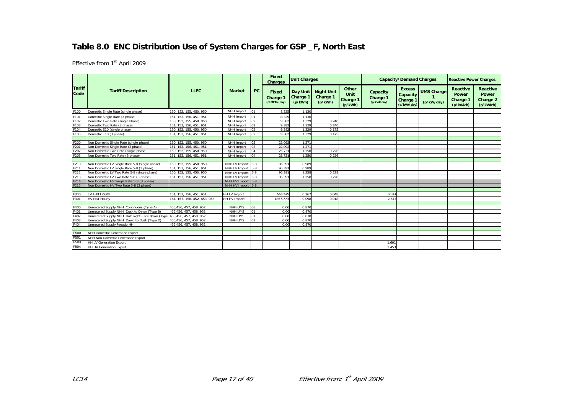# **Table 8.0 ENC Distribution Use of System Charges for GSP \_F, North East**

|                       |                                                 |                              |                     |            | <b>Fixed</b><br><b>Charges</b>           | <b>Unit Charges</b>             |                                          |                                             |                                     | <b>Capacity/Demand Charges</b>                       |                                 | <b>Reactive Power Charges</b>              |                                                          |
|-----------------------|-------------------------------------------------|------------------------------|---------------------|------------|------------------------------------------|---------------------------------|------------------------------------------|---------------------------------------------|-------------------------------------|------------------------------------------------------|---------------------------------|--------------------------------------------|----------------------------------------------------------|
| <b>Tariff</b><br>Code | <b>Tariff Description</b>                       | <b>LLFC</b>                  | <b>Market</b>       | PC         | <b>Fixed</b><br>Charge 1<br>(p/MPAN/dav) | Day Unit<br>Charge 1<br>(p/kWh) | <b>Night Unit</b><br>Charge 1<br>(p/kWh) | Other<br>Unit<br><b>Charge 1</b><br>(p/kWh) | Capacity<br>Charge 1<br>(p/kVA/day) | <b>Excess</b><br>Capacity<br>Charge 1<br>(p/kVA/day) | <b>UMS Charge</b><br>(p/kW/day) | Reactive<br>Power<br>Charge 1<br>(p/kVArh) | <b>Reactive</b><br><b>Power</b><br>Charge 2<br>(p/kVArh) |
| F100                  | Domestic Single Rate (single phase)             | 150, 152, 155, 450, 950      | NHH Import          | 01         | 8.325                                    | 1.130                           |                                          |                                             |                                     |                                                      |                                 |                                            |                                                          |
| F101                  | Domestic Single Rate (3 phase)                  | 151, 153, 156, 451, 951      | NHH Import          | 01         | 8.325                                    | 1.130                           |                                          |                                             |                                     |                                                      |                                 |                                            |                                                          |
| F102                  | Domestic Two Rate (single Phase)                | 150, 152, 155, 450, 950      | NHH Import          | 02         | 9.382                                    | 1.329                           | 0.240                                    |                                             |                                     |                                                      |                                 |                                            |                                                          |
| F103                  | Domestic Two Rate (3 phase)                     | 151, 153, 156, 451, 951      | NHH Import          | 02         | 9.382                                    | 1.329                           | 0.240                                    |                                             |                                     |                                                      |                                 |                                            |                                                          |
| F104                  | Domestic E10 (single phase)                     | 150. 152. 155. 450. 950      | NHH Import          | 02         | 9.382                                    | 1.329                           | 0.175                                    |                                             |                                     |                                                      |                                 |                                            |                                                          |
| F105                  | Domestic E10 (3 phase)                          | 151. 153. 156. 451. 951      | NHH Import          | 02         | 9.382                                    | 1.329                           | 0.175                                    |                                             |                                     |                                                      |                                 |                                            |                                                          |
|                       |                                                 |                              |                     |            |                                          |                                 |                                          |                                             |                                     |                                                      |                                 |                                            |                                                          |
| F200                  | Non Domestic Single Rate (single phase)         | 150, 152, 155, 450, 950      | NHH Import          | 03         | 22.092                                   | 1.271                           |                                          |                                             |                                     |                                                      |                                 |                                            |                                                          |
| F201                  | Non Domestic Single Rate (3 phase)              | 151, 153, 156, 451, 951      | NHH Import          | 03         | 22.092                                   | 1.271                           |                                          |                                             |                                     |                                                      |                                 |                                            |                                                          |
| F202                  | Non Domestic Two Rate (single phase)            | 150, 152, 155, 450, 950      | NHH Import          | 04         | 25.731                                   | 1.250                           | 0.226                                    |                                             |                                     |                                                      |                                 |                                            |                                                          |
| F203                  | Non Domestic Two Rate (3 phase)                 | 151, 153, 156, 451, 951      | NHH Import          | 04         | 25.731                                   | 1.250                           | 0.226                                    |                                             |                                     |                                                      |                                 |                                            |                                                          |
|                       |                                                 |                              |                     |            |                                          |                                 |                                          |                                             |                                     |                                                      |                                 |                                            |                                                          |
| F210                  | Non Domestic LV Single Rate 5-8 (single phase)  | 150, 152, 155, 450, 950      | NHH LV Import 5-8   |            | 96.391                                   | 0.989                           |                                          |                                             |                                     |                                                      |                                 |                                            |                                                          |
| F211                  | Non Domestic LV Single Rate 5-8 (3 phase)       | 151, 153, 156, 451, 951      | NHH LV Import       | $5 - 8$    | 96.391                                   | 0.989                           |                                          |                                             |                                     |                                                      |                                 |                                            |                                                          |
| F212                  | Non Domestic LV Two Rate 5-8 (single phase)     | 150, 152, 155, 450, 950      | NHH LV Import       | $5 - 8$    | 96.391                                   | 1.258                           | 0.228                                    |                                             |                                     |                                                      |                                 |                                            |                                                          |
| F213                  | Non Domestic LV Two Rate 5-8 (3 phase)          | 151, 153, 156, 451, 951      | NHH LV Import 5-8   |            | 96.391                                   | 1.258                           | 0.228                                    |                                             |                                     |                                                      |                                 |                                            |                                                          |
| F214                  | Non Domestic HV Single Rate 5-8 (3 phase)       |                              | NHH HV Import 5-8   |            |                                          |                                 |                                          |                                             |                                     |                                                      |                                 |                                            |                                                          |
| F215                  | Non Domestic HV Two Rate 5-8 (3 phase)          |                              | NHH HV Import 5-8   |            |                                          |                                 |                                          |                                             |                                     |                                                      |                                 |                                            |                                                          |
|                       |                                                 |                              |                     |            |                                          |                                 |                                          |                                             |                                     |                                                      |                                 |                                            |                                                          |
| F300                  | LV Half Hourly                                  | 151, 153, 156, 451, 951      | HH LV Import        |            | 563.549                                  | 0.267                           | 0.048                                    |                                             | 3.94'                               |                                                      |                                 |                                            |                                                          |
| F301                  | <b>HV Half Hourly</b>                           | 154, 157, 158, 452, 453, 953 | <b>HH HV Import</b> |            | 1867.779                                 | 0.098                           | 0.018                                    |                                             | 2.547                               |                                                      |                                 |                                            |                                                          |
|                       |                                                 |                              |                     |            |                                          |                                 |                                          |                                             |                                     |                                                      |                                 |                                            |                                                          |
| F400                  | Unmetered Supply NHH Continuous (Type A)        | 455,456, 457, 458, 952       | NHH UMS             | 08         | 0.00                                     | 0.870                           |                                          |                                             |                                     |                                                      |                                 |                                            |                                                          |
| F401                  | Unmetered Supply NHH Dusk to Dawn (Type B)      | 455,456, 457, 458, 952       | NHH UMS             | 01         | 0.00                                     | 0.870                           |                                          |                                             |                                     |                                                      |                                 |                                            |                                                          |
| F402                  | Unmetered Supply NHH Half night - pre dawn (Typ | 455.456, 457, 458, 952       | NHH UMS             | 01         | 0.00                                     | 0.870                           |                                          |                                             |                                     |                                                      |                                 |                                            |                                                          |
| F403                  | Unmetered Supply NHH Dawn to Dusk (Type D)      | 455,456, 457, 458, 952       | NHH UMS             | $^{\circ}$ | 0.00                                     | 0.870                           |                                          |                                             |                                     |                                                      |                                 |                                            |                                                          |
| F404                  | Unmetered Supply Pseudo HH                      | 455.456.457.458.952          |                     |            | 0.00                                     | 0.870                           |                                          |                                             |                                     |                                                      |                                 |                                            |                                                          |
|                       |                                                 |                              |                     |            |                                          |                                 |                                          |                                             |                                     |                                                      |                                 |                                            |                                                          |
| F500                  | NHH Domestic Generation Export                  |                              |                     |            |                                          |                                 |                                          |                                             |                                     |                                                      |                                 |                                            |                                                          |
| F501                  | NHH Non Domestic Generation Export              |                              |                     |            |                                          |                                 |                                          |                                             |                                     |                                                      |                                 |                                            |                                                          |
| F503                  | <b>HH LV Generation Export</b>                  |                              |                     |            |                                          |                                 |                                          |                                             | 1.69                                |                                                      |                                 |                                            |                                                          |
| F504                  | <b>HH HV Generation Export</b>                  |                              |                     |            |                                          |                                 |                                          |                                             | 1.453                               |                                                      |                                 |                                            |                                                          |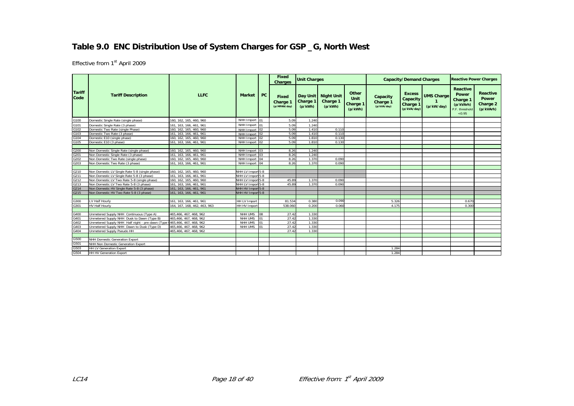# **Table 9.0 ENC Distribution Use of System Charges for GSP \_G, North West**

|                       |                                                  |                              |                             |                | Fixed<br><b>Charges</b>           | <b>Unit Charges</b> |                                            |                                      |                                     | <b>Capacity/Demand Charges</b>                       |                                 | <b>Reactive Power Charges</b>                                          |                                                          |
|-----------------------|--------------------------------------------------|------------------------------|-----------------------------|----------------|-----------------------------------|---------------------|--------------------------------------------|--------------------------------------|-------------------------------------|------------------------------------------------------|---------------------------------|------------------------------------------------------------------------|----------------------------------------------------------|
| <b>Tariff</b><br>Code | <b>Tariff Description</b>                        | <b>LLFC</b>                  | <b>Market</b>               | PC             | Fixed<br>Charge 1<br>(p/MPAN/day) | Charge 1<br>(p/kWh) | Day Unit Night Unit<br>Charge 1<br>(p/kWh) | Other<br>Unit<br>Charge 1<br>(p/kWh) | Capacity<br>Charge 1<br>(p/kVA/day) | <b>Excess</b><br>Capacity<br>Charge 1<br>(p/kVA/day) | <b>UMS Charge</b><br>(p/kW/day) | Reactive<br>Power<br>Charge 1<br>(p/kVArh)<br>P.F. threshold<br>< 0.95 | <b>Reactive</b><br><b>Power</b><br>Charge 2<br>(p/kVArh) |
| G100                  | Domestic Single Rate (single phase)              | 160, 162, 165, 460, 960      | NHH Import 01               |                | 5.09                              | 1.240               |                                            |                                      |                                     |                                                      |                                 |                                                                        |                                                          |
| G101                  | Domestic Single Rate (3 phase)                   | 161, 163, 166, 461, 961      | NHH Import 01               |                | 5.09                              | 1.240               |                                            |                                      |                                     |                                                      |                                 |                                                                        |                                                          |
| G102                  | Domestic Two Rate (single Phase)                 | 160, 162, 165, 460, 960      | NHH Import                  | 02             | 5.09                              | 1.410               | 0.110                                      |                                      |                                     |                                                      |                                 |                                                                        |                                                          |
| G103                  | Domestic Two Rate (3 phase)                      | 161, 163, 166, 461, 961      | NHH Import 02               |                | 5.09                              | 1.410               | 0.110                                      |                                      |                                     |                                                      |                                 |                                                                        |                                                          |
| G104                  | Domestic E10 (single phase)                      | 160. 162. 165. 460. 960      | NHH Import                  | 02             | 5.09                              | 1.810               | 0.13C                                      |                                      |                                     |                                                      |                                 |                                                                        |                                                          |
| G105                  | Domestic E10 (3 phase)                           | 161, 163, 166, 461, 961      | NHH Import                  | 02             | 5.09                              | 1.810               | 0.130                                      |                                      |                                     |                                                      |                                 |                                                                        |                                                          |
|                       |                                                  |                              |                             |                |                                   |                     |                                            |                                      |                                     |                                                      |                                 |                                                                        |                                                          |
| G200                  | Non Domestic Single Rate (single phase)          | 160, 162, 165, 460, 960      | NHH Import                  | 03             | 8.26                              | 1.240               |                                            |                                      |                                     |                                                      |                                 |                                                                        |                                                          |
| G201                  | Non Domestic Single Rate (3 phase)               | 161, 163, 166, 461, 961      | NHH Import                  | 0 <sub>3</sub> | 8.26                              | 1.240               |                                            |                                      |                                     |                                                      |                                 |                                                                        |                                                          |
| G202                  | Non Domestic Two Rate (single phase)             | 160, 162, 165, 460, 960      | NHH Import 04               |                | 8.26                              | 1.370               | 0.090                                      |                                      |                                     |                                                      |                                 |                                                                        |                                                          |
| G203                  | Non Domestic Two Rate (3 phase)                  | 161, 163, 166, 461, 961      | NHH Import 04               |                | 8.26                              | 1.370               | 0.090                                      |                                      |                                     |                                                      |                                 |                                                                        |                                                          |
|                       |                                                  |                              |                             |                |                                   |                     |                                            |                                      |                                     |                                                      |                                 |                                                                        |                                                          |
| G210                  | Non Domestic LV Single Rate 5-8 (single phase)   | 160, 162, 165, 460, 960      | NHH LV Import 5-8           |                |                                   |                     |                                            |                                      |                                     |                                                      |                                 |                                                                        |                                                          |
| G211                  | Non Domestic LV Single Rate 5-8 (3 phase)        | 161, 163, 166, 461, 961      | NHH LV Import 5-8           |                |                                   |                     |                                            |                                      |                                     |                                                      |                                 |                                                                        |                                                          |
| G212                  | Non Domestic LV Two Rate 5-8 (single phase)      | 160. 162. 165. 460. 960      | NHH LV Import 5-8           |                | 45.89                             | 1.370               | 0.090                                      |                                      |                                     |                                                      |                                 |                                                                        |                                                          |
| G213                  | Non Domestic LV Two Rate 5-8 (3 phase)           | 161, 163, 166, 461, 961      | NHH LV Import 5-8           |                | 45.89                             | 1.370               | 0.090                                      |                                      |                                     |                                                      |                                 |                                                                        |                                                          |
| G214                  | Non Domestic HV Single Rate 5-8 (3 phase)        | 161, 163, 166, 461, 961      | NHH HV Impor 5-8            |                |                                   |                     |                                            |                                      |                                     |                                                      |                                 |                                                                        |                                                          |
| G215                  | Non Domestic HV Two Rate 5-8 (3 phase)           | 161, 163, 166, 461, 961      | NHH HV Impor <sup>5-8</sup> |                |                                   |                     |                                            |                                      |                                     |                                                      |                                 |                                                                        |                                                          |
|                       |                                                  |                              |                             |                |                                   |                     |                                            |                                      |                                     |                                                      |                                 |                                                                        |                                                          |
| G300                  | LV Half Hourly                                   | 161, 163, 166, 461, 961      | <b>HH LV Import</b>         |                | 81.534                            | 0.380               | 0.090                                      |                                      | 5.326                               |                                                      |                                 | 0.670                                                                  |                                                          |
| G301                  | <b>HV Half Hourly</b>                            | 164. 167. 168. 462. 463. 963 | HH HV Import                |                | 538,060                           | 0.200               | 0.060                                      |                                      | 4.175                               |                                                      |                                 | 0.300                                                                  |                                                          |
|                       |                                                  |                              |                             |                |                                   |                     |                                            |                                      |                                     |                                                      |                                 |                                                                        |                                                          |
| G400                  | Unmetered Supply NHH Continuous (Type A)         | 465,466, 467, 468, 962       | NHH UMS                     | 08             | 27.42                             | 1.330               |                                            |                                      |                                     |                                                      |                                 |                                                                        |                                                          |
| G401                  | Unmetered Supply NHH Dusk to Dawn (Type B)       | 465,466, 467, 468, 962       | NHH UMS                     | 01             | 27.42                             | 1.330               |                                            |                                      |                                     |                                                      |                                 |                                                                        |                                                          |
| G402                  | Unmetered Supply NHH Half night - pre dawn (Type | 465.466, 467, 468, 962       | NHH UMS                     | 01             | 27.42                             | 1.330               |                                            |                                      |                                     |                                                      |                                 |                                                                        |                                                          |
| G403                  | Unmetered Supply NHH Dawn to Dusk (Type D)       | 465,466, 467, 468, 962       | NHH UMS                     | 01             | 27.42                             | 1.330               |                                            |                                      |                                     |                                                      |                                 |                                                                        |                                                          |
| G404                  | Unmetered Supply Pseudo HH                       | 465.466.467.468.962          |                             |                | 27.42                             | 1.330               |                                            |                                      |                                     |                                                      |                                 |                                                                        |                                                          |
|                       |                                                  |                              |                             |                |                                   |                     |                                            |                                      |                                     |                                                      |                                 |                                                                        |                                                          |
| G500                  | NHH Domestic Generation Export                   |                              |                             |                |                                   |                     |                                            |                                      |                                     |                                                      |                                 |                                                                        |                                                          |
| G501                  | NHH Non Domestic Generation Export               |                              |                             |                |                                   |                     |                                            |                                      |                                     |                                                      |                                 |                                                                        |                                                          |
| G503                  | <b>HH LV Generation Export</b>                   |                              |                             |                |                                   |                     |                                            |                                      | 1.284                               |                                                      |                                 |                                                                        |                                                          |
| G504                  | <b>HH HV Generation Export</b>                   |                              |                             |                |                                   |                     |                                            |                                      | 1.284                               |                                                      |                                 |                                                                        |                                                          |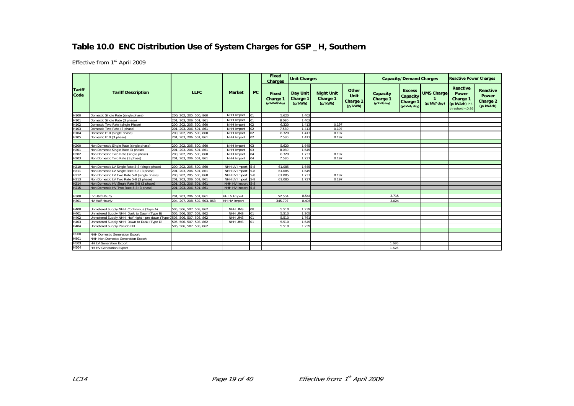# **Table 10.0 ENC Distribution Use of System Charges for GSP \_H, Southern**

|                       |                                                                            |                              |                   |    | Fixed<br><b>Charges</b>           | <b>Unit Charges</b>                    |                                          |                                      |                                     | <b>Capacity/Demand Charges</b>                                  |                                 | <b>Reactive Power Charges</b>                                        |                                                   |
|-----------------------|----------------------------------------------------------------------------|------------------------------|-------------------|----|-----------------------------------|----------------------------------------|------------------------------------------|--------------------------------------|-------------------------------------|-----------------------------------------------------------------|---------------------------------|----------------------------------------------------------------------|---------------------------------------------------|
| <b>Tariff</b><br>Code | <b>Tariff Description</b>                                                  | <b>LLFC</b>                  | <b>Market</b>     | PC | Fixed<br>Charge 1<br>(p/MPAN/day) | <b>Day Unit</b><br>Charge 1<br>(p/kWh) | <b>Night Unit</b><br>Charge 1<br>(p/kWh) | Other<br>Unit<br>Charge 1<br>(p/kWh) | Capacity<br>Charge 1<br>(p/kVA/day) | <b>Excess</b><br>Capacity<br>Charge <sup>®</sup><br>(p/kVA/day) | <b>UMS Charge</b><br>(p/kW/day) | Reactive<br>Power<br>Charge 1<br>(p/kVArh) P.F<br>threshold $< 0.95$ | <b>Reactive</b><br>Power<br>Charge 2<br>(p/kVArh) |
| H100                  | Domestic Single Rate (single phase)                                        | 200, 202, 205, 500, 860      | NHH Import        | 01 | 5.620                             | 1.402                                  |                                          |                                      |                                     |                                                                 |                                 |                                                                      |                                                   |
| H101                  | Domestic Single Rate (3 phase)                                             | 201, 203, 206, 501, 861      | NHH Import        | 01 | 8.080                             | 1.402                                  |                                          |                                      |                                     |                                                                 |                                 |                                                                      |                                                   |
| H102                  | Domestic Two Rate (single Phase)                                           | 200, 202, 205, 500, 860      | NHH Import        | 02 | 6.320                             | 1.413                                  | 0.197                                    |                                      |                                     |                                                                 |                                 |                                                                      |                                                   |
| H103                  | Domestic Two Rate (3 phase)                                                | 201.203.206.501.861          | NHH Import        | 02 | 7.580                             | 1.413                                  | 0.197                                    |                                      |                                     |                                                                 |                                 |                                                                      |                                                   |
| H104                  | Domestic E10 (single phase)                                                | 200. 202. 205. 500. 860      | NHH Import        | 02 | 6.320                             | 1.413                                  | 0.197                                    |                                      |                                     |                                                                 |                                 |                                                                      |                                                   |
| H105                  | Domestic E10 (3 phase)                                                     | 201, 203, 206, 501, 861      | NHH Import        | 02 | 7.580                             | 1.413                                  | 0.197                                    |                                      |                                     |                                                                 |                                 |                                                                      |                                                   |
|                       |                                                                            |                              |                   |    |                                   |                                        |                                          |                                      |                                     |                                                                 |                                 |                                                                      |                                                   |
| H200                  | Non Domestic Single Rate (single phase)                                    | 200, 202, 205, 500, 860      | NHH Import        | 03 | 5.620                             | 1.645                                  |                                          |                                      |                                     |                                                                 |                                 |                                                                      |                                                   |
| H201                  | Non Domestic Single Rate (3 phase)                                         | 201, 203, 206, 501, 861      | NHH Import        | 03 | 8.080                             | 1.645                                  |                                          |                                      |                                     |                                                                 |                                 |                                                                      |                                                   |
| H202                  | Non Domestic Two Rate (single phase)                                       | 200, 202, 205, 500, 860      | NHH Import        | 04 | 6.320                             | 1.737                                  | 0.197                                    |                                      |                                     |                                                                 |                                 |                                                                      |                                                   |
| H203                  | Non Domestic Two Rate (3 phase)                                            | 201, 203, 206, 501, 861      | NHH Import        | 04 | 7.580                             | 1.737                                  | 0.197                                    |                                      |                                     |                                                                 |                                 |                                                                      |                                                   |
|                       |                                                                            |                              |                   |    |                                   |                                        |                                          |                                      |                                     |                                                                 |                                 |                                                                      |                                                   |
| H210                  | Non Domestic LV Single Rate 5-8 (single phase)                             | 200, 202, 205, 500, 860      | NHH LV Import 5-8 |    | 61.085                            | 1.645                                  |                                          |                                      |                                     |                                                                 |                                 |                                                                      |                                                   |
| H211                  | Non Domestic LV Single Rate 5-8 (3 phase)                                  | 201, 203, 206, 501, 861      | NHH LV Import 5-8 |    | 61.085                            | 1.645                                  |                                          |                                      |                                     |                                                                 |                                 |                                                                      |                                                   |
| H212                  | Non Domestic LV Two Rate 5-8 (single phase)                                | 200, 202, 205, 500, 860      | NHH LV Import 5-8 |    | 61.085                            | 1.737                                  | 0.197                                    |                                      |                                     |                                                                 |                                 |                                                                      |                                                   |
| H213                  | Non Domestic LV Two Rate 5-8 (3 phase)                                     | 201, 203, 206, 501, 861      | NHH LV Import 5-8 |    | 61.085                            | 1.737                                  | 0.197                                    |                                      |                                     |                                                                 |                                 |                                                                      |                                                   |
| H <sub>214</sub>      | Non Domestic HV Single Rate 5-8 (3 phase)                                  | 201, 203, 206, 501, 861      | NHH HV Import 5-8 |    |                                   |                                        |                                          |                                      |                                     |                                                                 |                                 |                                                                      |                                                   |
| H215                  | Non Domestic HV Two Rate 5-8 (3 phase)                                     | 201, 203, 206, 501, 861      | NHH HV Import 5-8 |    |                                   |                                        |                                          |                                      |                                     |                                                                 |                                 |                                                                      |                                                   |
|                       |                                                                            |                              |                   |    |                                   |                                        |                                          |                                      |                                     |                                                                 |                                 |                                                                      |                                                   |
| H300                  | LV Half Hourly                                                             | 201, 203, 206, 501, 861      | HH LV Import      |    | 52.504                            | 0.544                                  |                                          |                                      | 3.715                               |                                                                 |                                 |                                                                      |                                                   |
| H301                  | <b>HV Half Hourly</b>                                                      | 204. 207. 208. 502. 503. 863 | HH HV Import      |    | 345.797                           | 0.406                                  |                                          |                                      | 3.024                               |                                                                 |                                 |                                                                      |                                                   |
|                       |                                                                            |                              |                   |    |                                   |                                        |                                          |                                      |                                     |                                                                 |                                 |                                                                      |                                                   |
| H400                  | Unmetered Supply NHH Continuous (Type A)                                   | 505, 506, 507, 508, 862      | NHH UMS           | 08 | 5.510                             | 1.239                                  |                                          |                                      |                                     |                                                                 |                                 |                                                                      |                                                   |
| H401                  | Unmetered Supply NHH Dusk to Dawn (Type B)                                 | 505, 506, 507, 508, 862      | NHH UMS           | 01 | 5.510                             | 1.205                                  |                                          |                                      |                                     |                                                                 |                                 |                                                                      |                                                   |
| H402                  | Unmetered Supply NHH Half night - pre dawn (Type 0505, 506, 507, 508, 862) |                              | NHH UMS           | 01 | 5.510                             | 1.761                                  |                                          |                                      |                                     |                                                                 |                                 |                                                                      |                                                   |
| H403                  | Unmetered Supply NHH Dawn to Dusk (Type D)                                 | 505, 506, 507, 508, 862      | NHH UMS           | 01 | 5.510                             | 1.645                                  |                                          |                                      |                                     |                                                                 |                                 |                                                                      |                                                   |
| H404                  | Unmetered Supply Pseudo HH                                                 | 505, 506, 507, 508, 862      |                   |    | 5.510                             | 1.239                                  |                                          |                                      |                                     |                                                                 |                                 |                                                                      |                                                   |
|                       |                                                                            |                              |                   |    |                                   |                                        |                                          |                                      |                                     |                                                                 |                                 |                                                                      |                                                   |
| H500                  | NHH Domestic Generation Export                                             |                              |                   |    |                                   |                                        |                                          |                                      |                                     |                                                                 |                                 |                                                                      |                                                   |
| H501                  | NHH Non Domestic Generation Export                                         |                              |                   |    |                                   |                                        |                                          |                                      |                                     |                                                                 |                                 |                                                                      |                                                   |
| H503                  | <b>HH LV Generation Export</b>                                             |                              |                   |    |                                   |                                        |                                          |                                      | 1.676                               |                                                                 |                                 |                                                                      |                                                   |
| H504                  | <b>HH HV Generation Export</b>                                             |                              |                   |    |                                   |                                        |                                          |                                      | 1.676                               |                                                                 |                                 |                                                                      |                                                   |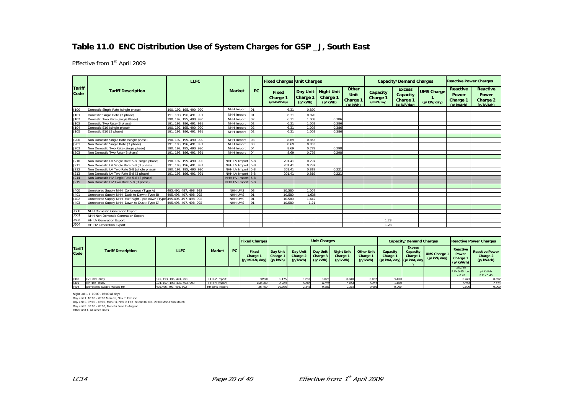#### **Table 11.0 ENC Distribution Use of System Charges for GSP \_J, South East**

Effective from 1st April 2009

|                       |                                                  | <b>LLFC</b>             |                   |                | <b>Fixed Charges Unit Charges</b>        |                            |                                            |                                      | <b>Capacity/Demand Charges</b>      |                                                      | <b>Reactive Power Charges</b>   |                                                          |                                                   |
|-----------------------|--------------------------------------------------|-------------------------|-------------------|----------------|------------------------------------------|----------------------------|--------------------------------------------|--------------------------------------|-------------------------------------|------------------------------------------------------|---------------------------------|----------------------------------------------------------|---------------------------------------------------|
| <b>Tariff</b><br>Code | <b>Tariff Description</b>                        |                         | <b>Market</b>     | PC             | <b>Fixed</b><br>Charge 1<br>(p/MPAN/day) | <b>Charge 1</b><br>(p/kWh) | Day Unit Night Unit<br>Charge 1<br>(p/kWh) | Other<br>Unit<br>Charge 1<br>(p/kWh) | Capacity<br>Charge 1<br>(p/kVA/day) | <b>Excess</b><br>Capacity<br>Charge 1<br>(p/kVA/dav) | <b>UMS Charge</b><br>(p/kW/day) | <b>Reactive</b><br><b>Power</b><br>Charge 1<br>(p/kVArh) | Reactive<br><b>Power</b><br>Charge 2<br>(p/kVArh) |
| J100                  | Domestic Single Rate (single phase)              | 190, 192, 195, 490, 990 | NHH Import        | 01             | 6.31                                     | 0.820                      |                                            |                                      |                                     |                                                      |                                 |                                                          |                                                   |
| J101                  | Domestic Single Rate (3 phase)                   | 191, 193, 196, 491, 991 | NHH Import        | 01             | 6.31                                     | 0.820                      |                                            |                                      |                                     |                                                      |                                 |                                                          |                                                   |
| J102                  | Domestic Two Rate (single Phase)                 | 190, 192, 195, 490, 990 | NHH Import        | 02             | 6.31                                     | 1.008                      | 0.386                                      |                                      |                                     |                                                      |                                 |                                                          |                                                   |
| J103                  | Domestic Two Rate (3 phase)                      | 191, 193, 196, 491, 991 | NHH Import        | 02             | 6.31                                     | 1.008                      | 0.386                                      |                                      |                                     |                                                      |                                 |                                                          |                                                   |
| J104                  | Domestic E10 (single phase)                      | 190. 192. 195. 490. 990 | NHH Import        | 02             | 6.31                                     | 1.008                      | 0.386                                      |                                      |                                     |                                                      |                                 |                                                          |                                                   |
| J105                  | Domestic E10 (3 phase)                           | 191, 193, 196, 491, 991 | NHH Import        | 02             | 6.31                                     | 1.008                      | 0.386                                      |                                      |                                     |                                                      |                                 |                                                          |                                                   |
|                       |                                                  |                         |                   |                |                                          |                            |                                            |                                      |                                     |                                                      |                                 |                                                          |                                                   |
| J200                  | Non Domestic Single Rate (single phase)          | 190. 192. 195. 490. 990 | NHH Import        | 03             | 8.69                                     | 0.853                      |                                            |                                      |                                     |                                                      |                                 |                                                          |                                                   |
| J201                  | Non Domestic Single Rate (3 phase)               | 191, 193, 196, 491, 991 | NHH Import        | 0 <sup>3</sup> | 8.69                                     | 0.853                      |                                            |                                      |                                     |                                                      |                                 |                                                          |                                                   |
| J202                  | Non Domestic Two Rate (single phase)             | 190. 192. 195. 490. 990 | NHH Import        | 04             | 8.69                                     | 0.779                      | 0.298                                      |                                      |                                     |                                                      |                                 |                                                          |                                                   |
| J203                  | Non Domestic Two Rate (3 phase)                  | 191, 193, 196, 491, 991 | NHH Import        | 04             | 8.69                                     | 0.779                      | 0.298                                      |                                      |                                     |                                                      |                                 |                                                          |                                                   |
|                       |                                                  |                         |                   |                |                                          |                            |                                            |                                      |                                     |                                                      |                                 |                                                          |                                                   |
| J210                  | Non Domestic LV Single Rate 5-8 (single phase)   | 190, 192, 195, 490, 990 | NHH LV Import 5-8 |                | 201.41                                   | 0.797                      |                                            |                                      |                                     |                                                      |                                 |                                                          |                                                   |
| J211                  | Non Domestic LV Single Rate 5-8 (3 phase)        | 191, 193, 196, 491, 991 | NHH LV Import 5-8 |                | 201.41                                   | 0.797                      |                                            |                                      |                                     |                                                      |                                 |                                                          |                                                   |
| J212                  | Non Domestic LV Two Rate 5-8 (single phase)      | 190, 192, 195, 490, 990 | NHH LV Import 5-8 |                | 201.41                                   | 0.819                      | 0.221                                      |                                      |                                     |                                                      |                                 |                                                          |                                                   |
| J213                  | Non Domestic LV Two Rate 5-8 (3 phase)           | 191, 193, 196, 491, 991 | NHH LV Import 5-8 |                | 201.41                                   | 0.819                      | 0.221                                      |                                      |                                     |                                                      |                                 |                                                          |                                                   |
| J214                  | Non Domestic HV Single Rate 5-8 (3 phase)        |                         | NHH HV Import 5-8 |                |                                          |                            |                                            |                                      |                                     |                                                      |                                 |                                                          |                                                   |
| J215                  | Non Domestic HV Two Rate 5-8 (3 phase)           |                         | NHH HV Import 5-8 |                |                                          |                            |                                            |                                      |                                     |                                                      |                                 |                                                          |                                                   |
|                       |                                                  |                         |                   |                |                                          |                            |                                            |                                      |                                     |                                                      |                                 |                                                          |                                                   |
| J400                  | Unmetered Supply NHH Continuous (Type A)         | 495.496.497.498.992     | NHH UMS           | 08             | 10.580                                   | 1.007                      |                                            |                                      |                                     |                                                      |                                 |                                                          |                                                   |
| J401                  | Unmetered Supply NHH Dusk to Dawn (Type B)       | 495.496.497.498.992     | NHH UMS           | 01             | 10.580                                   | 1.635                      |                                            |                                      |                                     |                                                      |                                 |                                                          |                                                   |
| J402                  | Unmetered Supply NHH Half night - pre dawn (Type | 495,496, 497, 498, 992  | NHH UMS           | 01             | 10.580                                   | 1.442                      |                                            |                                      |                                     |                                                      |                                 |                                                          |                                                   |
| J403                  | Unmetered Supply NHH Dawn to Dusk (Type D)       | 495.496.497.498.992     | NHH UMS           | 01             | 10.580                                   | 1.21                       |                                            |                                      |                                     |                                                      |                                 |                                                          |                                                   |
|                       |                                                  |                         |                   |                |                                          |                            |                                            |                                      |                                     |                                                      |                                 |                                                          |                                                   |
| <b>J500</b>           | NHH Domestic Generation Export                   |                         |                   |                |                                          |                            |                                            |                                      |                                     |                                                      |                                 |                                                          |                                                   |
| J501                  | NHH Non Domestic Generation Export               |                         |                   |                |                                          |                            |                                            |                                      |                                     |                                                      |                                 |                                                          |                                                   |
| <b>J503</b>           | <b>HH LV Generation Export</b>                   |                         |                   |                |                                          |                            |                                            |                                      | 1.28                                |                                                      |                                 |                                                          |                                                   |
| J504                  | <b>HH HV Generation Export</b>                   |                         |                   |                |                                          |                            |                                            |                                      | 1.28                                |                                                      |                                 |                                                          |                                                   |

|                       |                            |                              |               |    | <b>Fixed Charges</b>                      |                      |                                 | <b>Unit Charges</b>             |                                          |                                          |                                                | <b>Capacity/Demand Charges</b>        |                                   |                                            | <b>Reactive Power Charges</b>                  |
|-----------------------|----------------------------|------------------------------|---------------|----|-------------------------------------------|----------------------|---------------------------------|---------------------------------|------------------------------------------|------------------------------------------|------------------------------------------------|---------------------------------------|-----------------------------------|--------------------------------------------|------------------------------------------------|
| <b>Tariff</b><br>Code | <b>Tariff Description</b>  | <b>LLFC</b>                  | <b>Market</b> | PC | Fixed<br>Charge 1<br>(p/MPAN/day) (p/kWh) | Day Unit<br>Charge 1 | Day Unit<br>Charge 2<br>(p/kWh) | Day Unit<br>Charge 3<br>(p/kWh) | <b>Night Unit</b><br>Charge 1<br>(p/kWh) | <b>Other Unit</b><br>Charge 1<br>(p/kWh) | Capacity<br>Charge 1<br>(p/kVA/day) (p/kVA/day | <b>Excess</b><br>Capacity<br>Charge 1 | <b>UMS Charge 1</b><br>(p/kW/day) | Reactive<br>Power<br>Charge 1<br>(p/kVArh) | <b>Reactive Power</b><br>Charge 2<br>(p/kVArh) |
|                       |                            |                              |               |    |                                           |                      |                                 |                                 |                                          |                                          |                                                |                                       |                                   | p/kVArh<br>$P.F < 0.95$ but<br>> 0.45      | p/ kVArh<br>P.F. < 0.45                        |
| J300                  | LV Half Hourly             | 191. 193. 196. 491. 991      | HH LV Import  |    | 69.98                                     | 1.175                | 0.262                           | 0.073                           | 0.040                                    | 0.067                                    | 6.87                                           |                                       |                                   | 0.473                                      | 0.592                                          |
| J301                  | <b>HV Half Hourly</b>      | 194. 197. 198. 492. 493. 993 | HH HV Import  |    | 150.300                                   | 0.439                | 0.085                           | 0.027                           | 0.014                                    | 0.02                                     | 3.870                                          |                                       |                                   | 0.201                                      | 0.251                                          |
| J404                  | Unmetered Supply Pseudo HH | 495.496, 497, 498, 992       | HH UMS Import |    | 26.400                                    | 10.066               | 2.348                           | 0.581                           | 0.318                                    | 0.60                                     | 0.000                                          |                                       |                                   | 0.000                                      | 0.000                                          |

Night unit 1 1 00:00 - 07:00 all days Day unit 1. 16:00 - 20:00 Mon-Fri, Nov to Feb inc Day unit 2. 07:00 - 16:00, Mon-Fri, Nov to Feb inc and 07:00 - 20:00 Mon-Fri in March Day unit 3. 07:00 - 20:00, Mon-Fri June to Aug inc Other unit 1. All other times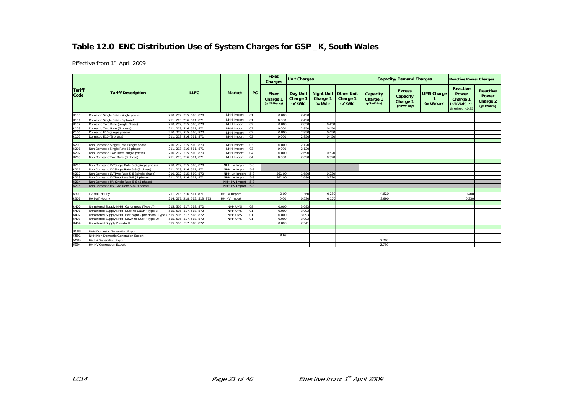# **Table 12.0 ENC Distribution Use of System Charges for GSP \_K, South Wales**

|                       |                                                  | Fixed<br><b>Unit Charges</b><br><b>Charges</b> |                     |                 |                                          |                                 | <b>Capacity/Demand Charges</b>                      |                     | <b>Reactive Power Charges</b>       |                                                      |                                 |                                                                             |                                                   |
|-----------------------|--------------------------------------------------|------------------------------------------------|---------------------|-----------------|------------------------------------------|---------------------------------|-----------------------------------------------------|---------------------|-------------------------------------|------------------------------------------------------|---------------------------------|-----------------------------------------------------------------------------|---------------------------------------------------|
| <b>Tariff</b><br>Code | <b>Tariff Description</b>                        | <b>LLFC</b>                                    | <b>Market</b>       | PC              | <b>Fixed</b><br>Charge 1<br>(p/MPAN/day) | Day Unit<br>Charge 1<br>(p/kWh) | <b>Night Unit Other Unit</b><br>Charge 1<br>(p/kWh) | Charge 1<br>(p/kWh) | Capacity<br>Charge 1<br>(p/kVA/day) | <b>Excess</b><br>Capacity<br>Charge 1<br>(p/kVA/day) | <b>UMS Charge</b><br>(p/kW/day) | <b>Reactive</b><br>Power<br>Charge 1<br>(p/kVArh) P.F<br>threshold $< 0.95$ | Reactive<br><b>Power</b><br>Charge 2<br>(p/kVArh) |
| K100                  | Domestic Single Rate (single phase)              | 210, 212, 215, 510, 870                        | NHH Import          | 01              | 0.000                                    | 2.490                           |                                                     |                     |                                     |                                                      |                                 |                                                                             |                                                   |
| K101                  | Domestic Single Rate (3 phase)                   | 211, 213, 216, 511, 871                        | NHH Import          | 01              | 0.000                                    | 2.490                           |                                                     |                     |                                     |                                                      |                                 |                                                                             |                                                   |
| K102                  | Domestic Two Rate (single Phase)                 | 210. 212. 215. 510. 870                        | NHH Import          | $\sqrt{2}$      | 0.000                                    | 2.850                           | 0.450                                               |                     |                                     |                                                      |                                 |                                                                             |                                                   |
| K103                  | Domestic Two Rate (3 phase)                      | 211, 213, 216, 511, 871                        | NHH Import          | 02              | 0.000                                    | 2.850                           | 0.450                                               |                     |                                     |                                                      |                                 |                                                                             |                                                   |
| K104                  | Domestic E10 (single phase)                      | 210, 212, 215, 510, 870                        | NHH Import          | 102             | 0.000                                    | 2.850                           | 0.450                                               |                     |                                     |                                                      |                                 |                                                                             |                                                   |
| K105                  | Domestic E10 (3 phase)                           | 211, 213, 216, 511, 871                        | NHH Import          | lo <sub>2</sub> | 0.000                                    | 2.850                           | 0.450                                               |                     |                                     |                                                      |                                 |                                                                             |                                                   |
|                       |                                                  |                                                |                     |                 |                                          |                                 |                                                     |                     |                                     |                                                      |                                 |                                                                             |                                                   |
| K200                  | Non Domestic Single Rate (single phase)          | 210, 212, 215, 510, 870                        | NHH Import          | lo <sub>3</sub> | 0.000                                    | 2.120                           |                                                     |                     |                                     |                                                      |                                 |                                                                             |                                                   |
| K201                  | Non Domestic Single Rate (3 phase)               | 211, 213, 216, 511, 871                        | NHH Import          | lоз             | 0.000                                    | 2.120                           |                                                     |                     |                                     |                                                      |                                 |                                                                             |                                                   |
| K202                  | Non Domestic Two Rate (single phase)             | 210, 212, 215, 510, 870                        | NHH Import          | 04              | 0.000                                    | 2.690                           | 0.520                                               |                     |                                     |                                                      |                                 |                                                                             |                                                   |
| K203                  | Non Domestic Two Rate (3 phase)                  | 211, 213, 216, 511, 871                        | NHH Import          | 04              | 0.000                                    | 2.690                           | 0.520                                               |                     |                                     |                                                      |                                 |                                                                             |                                                   |
|                       |                                                  |                                                |                     |                 |                                          |                                 |                                                     |                     |                                     |                                                      |                                 |                                                                             |                                                   |
| K210                  | Non Domestic LV Single Rate 5-8 (single phase)   | 210. 212. 215. 510. 870                        | NHH LV Import       | $5 - 8$         |                                          |                                 |                                                     |                     |                                     |                                                      |                                 |                                                                             |                                                   |
| K211                  | Non Domestic LV Single Rate 5-8 (3 phase)        | 211, 213, 216, 511, 871                        | NHH LV Import       | $5-8$           |                                          |                                 |                                                     |                     |                                     |                                                      |                                 |                                                                             |                                                   |
| K212                  | Non Domestic LV Two Rate 5-8 (single phase)      | 210, 212, 215, 510, 870                        | NHH LV Import       | $5-8$           | 361.00                                   | 1.680                           | 0.230                                               |                     |                                     |                                                      |                                 |                                                                             |                                                   |
| K213                  | Non Domestic LV Two Rate 5-8 (3 phase)           | 211, 213, 216, 511, 871                        | NHH LV Import 5-8   |                 | 361.00                                   | 1.680                           | 0.230                                               |                     |                                     |                                                      |                                 |                                                                             |                                                   |
| K214                  | Non Domestic HV Single Rate 5-8 (3 phase)        |                                                | NHH HV Import 5-8   |                 |                                          |                                 |                                                     |                     |                                     |                                                      |                                 |                                                                             |                                                   |
| K215                  | Non Domestic HV Two Rate 5-8 (3 phase)           |                                                | NHH HV Import 5-8   |                 |                                          |                                 |                                                     |                     |                                     |                                                      |                                 |                                                                             |                                                   |
|                       |                                                  |                                                |                     |                 |                                          |                                 |                                                     |                     |                                     |                                                      |                                 |                                                                             |                                                   |
| K300                  | LV Half Hourly                                   | 211, 213, 216, 511, 871                        | <b>HH LV Import</b> |                 | 0.00                                     | 1.360                           | 0.230                                               |                     | 4.820                               |                                                      |                                 | 0.400                                                                       |                                                   |
| K301                  | <b>HV Half Hourly</b>                            | 214, 217, 218, 512, 513, 873                   | <b>HH HV Import</b> |                 | 0.00                                     | 0.530                           | 0.170                                               |                     | 3.990                               |                                                      |                                 | 0.230                                                                       |                                                   |
|                       |                                                  |                                                |                     |                 |                                          |                                 |                                                     |                     |                                     |                                                      |                                 |                                                                             |                                                   |
| K400                  | Unmetered Supply NHH Continuous (Type A)         | 515, 516, 517, 518, 872                        | NHH UMS             | 108             | 0.000                                    | 3.093                           |                                                     |                     |                                     |                                                      |                                 |                                                                             |                                                   |
| K401                  | Unmetered Supply NHH Dusk to Dawn (Type B)       | 515, 516, 517, 518, 872                        | <b>NHH UMS</b>      | 01              | 0.000                                    | 3.093                           |                                                     |                     |                                     |                                                      |                                 |                                                                             |                                                   |
| K402                  | Unmetered Supply NHH Half night - pre dawn (Type | 0515, 516, 517, 518, 872                       | NHH UMS             | 01              | 0.000                                    | 3.093                           |                                                     |                     |                                     |                                                      |                                 |                                                                             |                                                   |
| K403                  | Unmetered Supply NHH Dawn to Dusk (Type D)       | 515, 516, 517, 518, 872                        | NHH UMS             | lo1             | 0.000                                    | 3.093                           |                                                     |                     |                                     |                                                      |                                 |                                                                             |                                                   |
| K404                  | Unmetered Supply Pseudo HH                       | 515. 516. 517. 518. 872                        |                     |                 | 0.000                                    | 2.541                           |                                                     |                     |                                     |                                                      |                                 |                                                                             |                                                   |
|                       |                                                  |                                                |                     |                 |                                          |                                 |                                                     |                     |                                     |                                                      |                                 |                                                                             |                                                   |
| K500                  | NHH Domestic Generation Export                   |                                                |                     |                 |                                          |                                 |                                                     |                     |                                     |                                                      |                                 |                                                                             |                                                   |
| K501                  | NHH Non Domestic Generation Export               |                                                |                     |                 | 8.63                                     |                                 |                                                     |                     |                                     |                                                      |                                 |                                                                             |                                                   |
| K503                  | <b>HH LV Generation Export</b>                   |                                                |                     |                 |                                          |                                 |                                                     |                     | 2.210                               |                                                      |                                 |                                                                             |                                                   |
| K504                  | <b>HH HV Generation Export</b>                   |                                                |                     |                 |                                          |                                 |                                                     |                     | 2.730                               |                                                      |                                 |                                                                             |                                                   |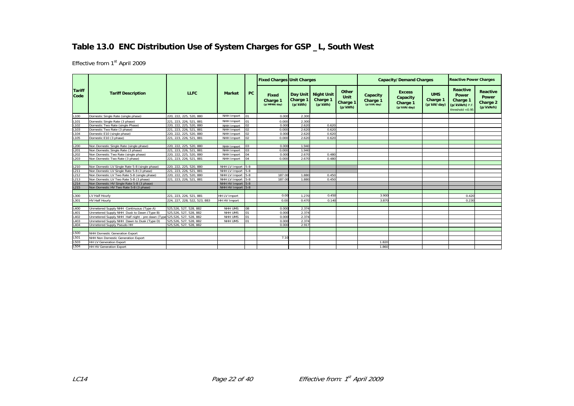# **Table 13.0 ENC Distribution Use of System Charges for GSP \_L, South West**

|                       |                                                                         |                              |                    |                 | <b>Fixed Charges Unit Charges</b> |                     |                                            |                                      |                                     | <b>Capacity/Demand Charges</b>                       |                                      | <b>Reactive Power Charges</b>                                               |                                                          |
|-----------------------|-------------------------------------------------------------------------|------------------------------|--------------------|-----------------|-----------------------------------|---------------------|--------------------------------------------|--------------------------------------|-------------------------------------|------------------------------------------------------|--------------------------------------|-----------------------------------------------------------------------------|----------------------------------------------------------|
| <b>Tariff</b><br>Code | <b>Tariff Description</b>                                               | <b>LLFC</b>                  | <b>Market</b>      | <b>PC</b>       | Fixed<br>Charge 1<br>(p/MPAN/day) | Charge 1<br>(p/kWh) | Day Unit Night Unit<br>Charge 1<br>(p/kWh) | Other<br>Unit<br>Charge 1<br>(p/kWh) | Capacity<br>Charge 1<br>(p/kVA/day) | <b>Excess</b><br>Capacity<br>Charge 1<br>(p/kVA/day) | <b>UMS</b><br>Charge 1<br>(p/kW/day) | <b>Reactive</b><br>Power<br>Charge 1<br>(p/kVArh) P.F<br>threshold $< 0.95$ | <b>Reactive</b><br><b>Power</b><br>Charge 2<br>(p/kVArh) |
| L100                  | Domestic Single Rate (single phase)                                     | 220, 222, 225, 520, 880      | NHH Import         | 01              | 0.000                             | 2.300               |                                            |                                      |                                     |                                                      |                                      |                                                                             |                                                          |
| L101                  | Domestic Single Rate (3 phase)                                          | 221, 223, 226, 521, 881      | NHH Import         | 01              | 0.000                             | 2.300               |                                            |                                      |                                     |                                                      |                                      |                                                                             |                                                          |
| L102                  | Domestic Two Rate (single Phase)                                        | 220, 222, 225, 520, 880      | NHH Import         | 02              | 0.000                             | 2.620               | 0.620                                      |                                      |                                     |                                                      |                                      |                                                                             |                                                          |
| L103                  | Domestic Two Rate (3 phase)                                             | 221.223.226.521.881          | NHH Import         | 02              | 0.000                             | 2.620               | 0.620                                      |                                      |                                     |                                                      |                                      |                                                                             |                                                          |
| L <sub>104</sub>      | Domestic E10 (single phase)                                             | 220. 222. 225. 520. 880      | NHH Import         |                 | 0.000                             | 2.620               | 0.620                                      |                                      |                                     |                                                      |                                      |                                                                             |                                                          |
| L105                  | Domestic E10 (3 phase)                                                  | 221, 223, 226, 521, 881      | NHH Import         | 02 <sub>o</sub> | 0.000                             | 2.620               | 0.620                                      |                                      |                                     |                                                      |                                      |                                                                             |                                                          |
|                       |                                                                         |                              |                    |                 |                                   |                     |                                            |                                      |                                     |                                                      |                                      |                                                                             |                                                          |
| L200                  | Non Domestic Single Rate (single phase)                                 | 220. 222. 225. 520. 880      | NHH Import         | 03              | 0.000                             | 1.940               |                                            |                                      |                                     |                                                      |                                      |                                                                             |                                                          |
| L <sub>201</sub>      | Non Domestic Single Rate (3 phase)                                      | 221, 223, 226, 521, 881      | NHH Import         |                 | 0.000                             | 1.940               |                                            |                                      |                                     |                                                      |                                      |                                                                             |                                                          |
| L202                  | Non Domestic Two Rate (single phase)                                    | 220, 222, 225, 520, 880      | NHH Import         |                 | 0.000                             | 2.670               | 0.480                                      |                                      |                                     |                                                      |                                      |                                                                             |                                                          |
| L203                  | Non Domestic Two Rate (3 phase)                                         | 221, 223, 226, 521, 881      | NHH Import         |                 | 0.000                             | 2.670               | 0.480                                      |                                      |                                     |                                                      |                                      |                                                                             |                                                          |
|                       |                                                                         |                              |                    |                 |                                   |                     |                                            |                                      |                                     |                                                      |                                      |                                                                             |                                                          |
| L210                  | Non Domestic LV Single Rate 5-8 (single phase)                          | 220, 222, 225, 520, 880      | NHH LV Import 5-8  |                 |                                   |                     |                                            |                                      |                                     |                                                      |                                      |                                                                             |                                                          |
| L211                  | Non Domestic LV Single Rate 5-8 (3 phase)                               | 221.223.226.521.881          | NHH LV Import 5-8  |                 |                                   |                     |                                            |                                      |                                     |                                                      |                                      |                                                                             |                                                          |
| L212                  | Non Domestic LV Two Rate 5-8 (single phase)                             | 220, 222, 225, 520, 880      | NHH LV Import 15-8 |                 | 187.00                            | 1.880               | 0.450                                      |                                      |                                     |                                                      |                                      |                                                                             |                                                          |
| L213                  | Non Domestic LV Two Rate 5-8 (3 phase)                                  | 221, 223, 226, 521, 881      | NHH LV Import 5-8  |                 | 187.00                            | 1,880               | 0.450                                      |                                      |                                     |                                                      |                                      |                                                                             |                                                          |
| L214                  | Non Domestic HV Single Rate 5-8 (3 phase)                               |                              | NHH HV Import 5-8  |                 |                                   |                     |                                            |                                      |                                     |                                                      |                                      |                                                                             |                                                          |
| L215                  | Non Domestic HV Two Rate 5-8 (3 phase)                                  |                              | NHH HV Import 5-8  |                 |                                   |                     |                                            |                                      |                                     |                                                      |                                      |                                                                             |                                                          |
|                       |                                                                         |                              |                    |                 |                                   |                     |                                            |                                      |                                     |                                                      |                                      |                                                                             |                                                          |
| L300                  | LV Half Hourly                                                          | 221, 223, 226, 521, 881      | HH LV Import       |                 | 0.00                              | 1.270               | 0.450                                      |                                      | 3.900                               |                                                      |                                      | 0.420                                                                       |                                                          |
| L301                  | <b>HV Half Hourly</b>                                                   | 224, 227, 228, 522, 523, 883 | HH HV Import       |                 | 0.00                              | 0.470               | 0.140                                      |                                      | 3.870                               |                                                      |                                      | 0.230                                                                       |                                                          |
|                       |                                                                         |                              |                    |                 |                                   |                     |                                            |                                      |                                     |                                                      |                                      |                                                                             |                                                          |
| L400                  | Jnmetered Supply NHH Continuous (Type A)                                | 525,526, 527, 528, 882       | NHH UMS            | 80              | 0.000                             | 2.374               |                                            |                                      |                                     |                                                      |                                      |                                                                             |                                                          |
| L401                  | Jnmetered Supply NHH Dusk to Dawn (Type B)                              | 525,526, 527, 528, 882       | NHH UMS            | 01              | 0.000                             | 2.374               |                                            |                                      |                                     |                                                      |                                      |                                                                             |                                                          |
| L402                  | Jnmetered Supply NHH Half night - pre dawn (Type 525,526, 527, 528, 882 |                              | NHH UMS            | 01              | 0.000                             | 2.374               |                                            |                                      |                                     |                                                      |                                      |                                                                             |                                                          |
| L403                  | Jnmetered Supply NHH Dawn to Dusk (Type D)                              | 525,526, 527, 528, 882       | NHH UMS            | 01              | 0.000                             | 2.374               |                                            |                                      |                                     |                                                      |                                      |                                                                             |                                                          |
| L404                  | Unmetered Supply Pseudo HH                                              | 525,526, 527, 528, 882       |                    |                 | 0.000                             | 2.917               |                                            |                                      |                                     |                                                      |                                      |                                                                             |                                                          |
|                       |                                                                         |                              |                    |                 |                                   |                     |                                            |                                      |                                     |                                                      |                                      |                                                                             |                                                          |
| L500                  | NHH Domestic Generation Export                                          |                              |                    |                 |                                   |                     |                                            |                                      |                                     |                                                      |                                      |                                                                             |                                                          |
| L501                  | NHH Non Domestic Generation Export                                      |                              |                    |                 | 7.10                              |                     |                                            |                                      |                                     |                                                      |                                      |                                                                             |                                                          |
| L503                  | HH LV Generation Export                                                 |                              |                    |                 |                                   |                     |                                            |                                      | 1.820                               |                                                      |                                      |                                                                             |                                                          |
| L504                  | <b>HH HV Generation Export</b>                                          |                              |                    |                 |                                   |                     |                                            |                                      | 1.860                               |                                                      |                                      |                                                                             |                                                          |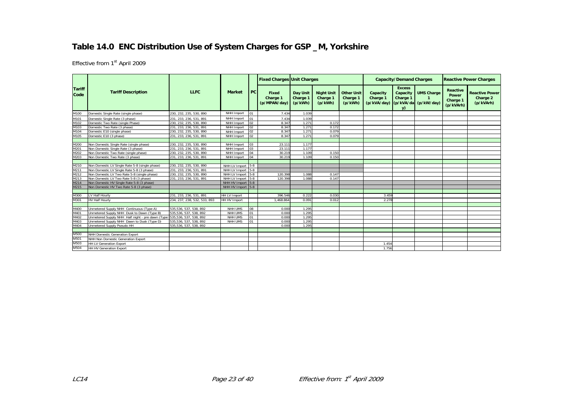# **Table 14.0 ENC Distribution Use of System Charges for GSP \_M, Yorkshire**

|                       |                                                                         |                              |                     |     | <b>Fixed Charges Unit Charges</b> |                                 |                                          |                                          |                                                          | <b>Capacity/Demand Charges</b>              |                   |                                                   | <b>Reactive Power Charges</b>                  |
|-----------------------|-------------------------------------------------------------------------|------------------------------|---------------------|-----|-----------------------------------|---------------------------------|------------------------------------------|------------------------------------------|----------------------------------------------------------|---------------------------------------------|-------------------|---------------------------------------------------|------------------------------------------------|
| <b>Tariff</b><br>Code | <b>Tariff Description</b>                                               | <b>LLFC</b>                  | <b>Market</b>       | PC  | Fixed<br>Charge 1<br>(p/MPAN/day) | Day Unit<br>Charge 1<br>(p/kWh) | <b>Night Unit</b><br>Charge 1<br>(p/kWh) | <b>Other Unit</b><br>Charge 1<br>(p/kWh) | Capacity<br>Charge 1<br>(p/kVA/day) (p/kVA/da (p/kW/day) | <b>Excess</b><br>Capacity<br>Charge 1<br>v) | <b>UMS Charge</b> | <b>Reactive</b><br>Power<br>Charge 1<br>(p/kVArh) | <b>Reactive Power</b><br>Charge 2<br>(p/kVArh) |
| M100                  | Domestic Single Rate (single phase)                                     | 230. 232. 235. 530. 890      | NHH Import          | 01  | 7.434                             | 1.039                           |                                          |                                          |                                                          |                                             |                   |                                                   |                                                |
| M101                  | Domestic Single Rate (3 phase)                                          | 231, 233, 236, 531, 891      | NHH Import          | 01  | 7.434                             | 1.039                           |                                          |                                          |                                                          |                                             |                   |                                                   |                                                |
| M102                  | Domestic Two Rate (single Phase)                                        | 230, 232, 235, 530, 890      | NHH Import          | 02  | 8.347                             | 1.271                           | 0.172                                    |                                          |                                                          |                                             |                   |                                                   |                                                |
| M103                  | Domestic Two Rate (3 phase)                                             | 231, 233, 236, 531, 891      | NHH Import          | 02  | 8.347                             | 1.271                           | 0.172                                    |                                          |                                                          |                                             |                   |                                                   |                                                |
| M104                  | Domestic E10 (single phase)                                             | 230, 232, 235, 530, 890      | NHH Import          | 02  | 8.347                             | 1.271                           | 0.079                                    |                                          |                                                          |                                             |                   |                                                   |                                                |
| M105                  | Domestic E10 (3 phase)                                                  | 231, 233, 236, 531, 891      | NHH Import          | 02  | 8.347                             | 1.271                           | 0.079                                    |                                          |                                                          |                                             |                   |                                                   |                                                |
|                       |                                                                         |                              |                     |     |                                   |                                 |                                          |                                          |                                                          |                                             |                   |                                                   |                                                |
| M200                  | Non Domestic Single Rate (single phase)                                 | 230, 232, 235, 530, 890      | NHH Import          | 03  | 23.111                            | 1.177                           |                                          |                                          |                                                          |                                             |                   |                                                   |                                                |
| M201                  | Non Domestic Single Rate (3 phase)                                      | 231, 233, 236, 531, 891      | NHH Import          | 103 | 23.111                            | 1.177                           |                                          |                                          |                                                          |                                             |                   |                                                   |                                                |
| M202                  | Non Domestic Two Rate (single phase)                                    | 230, 232, 235, 530, 890      | NHH Import          | 04  | 30.219                            | 1.109                           | 0.150                                    |                                          |                                                          |                                             |                   |                                                   |                                                |
| M203                  | Non Domestic Two Rate (3 phase)                                         | 231, 233, 236, 531, 891      | NHH Import          | 04  | 30.219                            | 1.109                           | 0.150                                    |                                          |                                                          |                                             |                   |                                                   |                                                |
|                       |                                                                         |                              |                     |     |                                   |                                 |                                          |                                          |                                                          |                                             |                   |                                                   |                                                |
| M210                  | Non Domestic LV Single Rate 5-8 (single phase)                          | 230, 232, 235, 530, 890      | NHH LV Import 5-8   |     |                                   |                                 |                                          |                                          |                                                          |                                             |                   |                                                   |                                                |
| M211                  | Non Domestic LV Single Rate 5-8 (3 phase)                               | 231, 233, 236, 531, 891      | NHH LV Import 5-8   |     |                                   |                                 |                                          |                                          |                                                          |                                             |                   |                                                   |                                                |
| M212                  | Non Domestic LV Two Rate 5-8 (single phase)                             | 230, 232, 235, 530, 890      | NHH LV Import 5-8   |     | 120,398                           | 1.088                           | 0.147                                    |                                          |                                                          |                                             |                   |                                                   |                                                |
| M213                  | Non Domestic LV Two Rate 5-8 (3 phase)                                  | 231, 233, 236, 531, 891      | NHH LV Import 5-8   |     | 120.398                           | 1.088                           | 0.147                                    |                                          |                                                          |                                             |                   |                                                   |                                                |
| M214                  | Non Domestic HV Single Rate 5-8 (3 phase)                               |                              | NHH HV Import 5-8   |     |                                   |                                 |                                          |                                          |                                                          |                                             |                   |                                                   |                                                |
| M215                  | Non Domestic HV Two Rate 5-8 (3 phase)                                  |                              | NHH HV Import 5-8   |     |                                   |                                 |                                          |                                          |                                                          |                                             |                   |                                                   |                                                |
|                       |                                                                         |                              |                     |     |                                   |                                 |                                          |                                          |                                                          |                                             |                   |                                                   |                                                |
| M300                  | LV Half Hourly                                                          | 231, 233, 236, 531, 891      | <b>HH LV Import</b> |     | 396.546                           | 0.222                           | 0.03C                                    |                                          | 3.459                                                    |                                             |                   |                                                   |                                                |
| M301                  | <b>HV Half Hourly</b>                                                   | 234, 237, 238, 532, 533, 893 | HH HV Import        |     | 1.468.864                         | 0.091                           | 0.012                                    |                                          | 2.278                                                    |                                             |                   |                                                   |                                                |
|                       |                                                                         |                              |                     |     |                                   |                                 |                                          |                                          |                                                          |                                             |                   |                                                   |                                                |
| M400                  | Unmetered Supply NHH Continuous (Type A)                                | 535.536, 537, 538, 892       | NHH UMS             | 80  | 0.000                             | 1.295                           |                                          |                                          |                                                          |                                             |                   |                                                   |                                                |
| M401                  | Unmetered Supply NHH Dusk to Dawn (Type B)                              | 535,536, 537, 538, 892       | NHH UMS             | 01  | 0.000                             | 1.295                           |                                          |                                          |                                                          |                                             |                   |                                                   |                                                |
| M402                  | Unmetered Supply NHH Half night - pre dawn (Type 535,536, 537, 538, 892 |                              | NHH UMS             | 01  | 0.000                             | 1.295                           |                                          |                                          |                                                          |                                             |                   |                                                   |                                                |
| M403                  | Unmetered Supply NHH Dawn to Dusk (Type D)                              | 535.536, 537, 538, 892       | NHH UMS             | 01  | 0.000                             | 1.295                           |                                          |                                          |                                                          |                                             |                   |                                                   |                                                |
| M404                  | Unmetered Supply Pseudo HH                                              | 535.536.537.538.892          |                     |     | 0.000                             | 1.295                           |                                          |                                          |                                                          |                                             |                   |                                                   |                                                |
|                       |                                                                         |                              |                     |     |                                   |                                 |                                          |                                          |                                                          |                                             |                   |                                                   |                                                |
| M500                  | <b>NHH Domestic Generation Export</b>                                   |                              |                     |     |                                   |                                 |                                          |                                          |                                                          |                                             |                   |                                                   |                                                |
| M501                  | NHH Non Domestic Generation Export                                      |                              |                     |     |                                   |                                 |                                          |                                          |                                                          |                                             |                   |                                                   |                                                |
| M503                  | <b>HH LV Generation Export</b>                                          |                              |                     |     |                                   |                                 |                                          |                                          | 1.454                                                    |                                             |                   |                                                   |                                                |
| M504                  | <b>HH HV Generation Export</b>                                          |                              |                     |     |                                   |                                 |                                          |                                          | 1.756                                                    |                                             |                   |                                                   |                                                |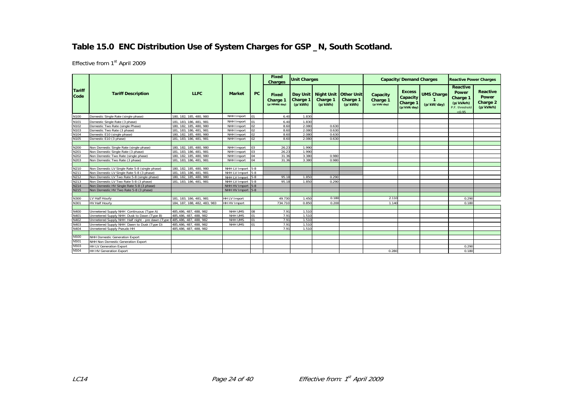# **Table 15.0 ENC Distribution Use of System Charges for GSP \_N, South Scotland.**

|                       |                                                                          | Fixed<br><b>Unit Charges</b><br><b>Charges</b> |                   |                 |                                   |                                 | <b>Capacity/Demand Charges</b>                 |                     | <b>Reactive Power Charges</b>       |                                                    |                                 |                                                                               |                                                   |
|-----------------------|--------------------------------------------------------------------------|------------------------------------------------|-------------------|-----------------|-----------------------------------|---------------------------------|------------------------------------------------|---------------------|-------------------------------------|----------------------------------------------------|---------------------------------|-------------------------------------------------------------------------------|---------------------------------------------------|
| <b>Tariff</b><br>Code | <b>Tariff Description</b>                                                | <b>LLFC</b>                                    | <b>Market</b>     | <b>PC</b>       | Fixed<br>Charge 1<br>(p/MPAN/day) | Day Unit<br>Charge 1<br>(p/kWh) | Night Unit   Other Unit<br>Charge 1<br>(p/kWh) | Charge 1<br>(p/kWh) | Capacity<br>Charge 1<br>(p/kVA/day) | <b>Excess</b><br>Capacity<br>Charge<br>(p/kVA/day) | <b>UMS Charge</b><br>(p/kW/day) | <b>Reactive</b><br>Power<br>Charge 1<br>(p/kVArh)<br>P.F. threshold<br>< 0.95 | Reactive<br><b>Power</b><br>Charge 2<br>(p/kVArh) |
| N100                  | Domestic Single Rate (single phase)                                      | 180, 182, 185, 480, 980                        | NHH Import        | lo1             | 6.40                              | 1.830                           |                                                |                     |                                     |                                                    |                                 |                                                                               |                                                   |
| N101                  | Domestic Single Rate (3 phase)                                           | 181, 183, 186, 481, 981                        | NHH Import        |                 | 6.40                              | 1.830                           |                                                |                     |                                     |                                                    |                                 |                                                                               |                                                   |
| N102                  | Domestic Two Rate (single Phase)                                         | 180. 182. 185. 480. 980                        | NHH Import        | 102             | 8.60                              | 2.080                           | 0.630                                          |                     |                                     |                                                    |                                 |                                                                               |                                                   |
| N103                  | Domestic Two Rate (3 phase)                                              | 181, 183, 186, 481, 981                        | NHH Import        | lo2             | 8.60                              | 2.080                           | 0.630                                          |                     |                                     |                                                    |                                 |                                                                               |                                                   |
| N104                  | Domestic E10 (single phase)                                              | 180, 182, 185, 480, 980                        | NHH Import        | 102             | 8.60                              | 2.080                           | 0.630                                          |                     |                                     |                                                    |                                 |                                                                               |                                                   |
| N105                  | Domestic E10 (3 phase)                                                   | 181, 183, 186, 481, 981                        | NHH Import        | lo2             | 8.60                              | 2.080                           | 0.630                                          |                     |                                     |                                                    |                                 |                                                                               |                                                   |
|                       |                                                                          |                                                |                   |                 |                                   |                                 |                                                |                     |                                     |                                                    |                                 |                                                                               |                                                   |
| N200                  | Non Domestic Single Rate (single phase)                                  | 180, 182, 185, 480, 980                        | NHH Import        | lo <sub>3</sub> | 26.23                             | 1.990                           |                                                |                     |                                     |                                                    |                                 |                                                                               |                                                   |
| N201                  | Non Domestic Single Rate (3 phase)                                       | 181. 183. 186. 481. 981                        | NHH Import        | lo <sub>3</sub> | 26.23                             | 1.990                           |                                                |                     |                                     |                                                    |                                 |                                                                               |                                                   |
| N202                  | Non Domestic Two Rate (single phase)                                     | 180, 182, 185, 480, 980                        | NHH Import        | 04              | 31.36                             | 3.380                           | 0.980                                          |                     |                                     |                                                    |                                 |                                                                               |                                                   |
| N203                  | Non Domestic Two Rate (3 phase)                                          | 181, 183, 186, 481, 981                        | NHH Import        |                 | 31.36                             | 3.380                           | 0.980                                          |                     |                                     |                                                    |                                 |                                                                               |                                                   |
|                       |                                                                          |                                                |                   |                 |                                   |                                 |                                                |                     |                                     |                                                    |                                 |                                                                               |                                                   |
| N210                  | Non Domestic LV Single Rate 5-8 (single phase)                           | 180, 182, 185, 480, 980                        | NHH LV Import     | $5 - 8$         |                                   |                                 |                                                |                     |                                     |                                                    |                                 |                                                                               |                                                   |
| N211                  | Non Domestic LV Single Rate 5-8 (3 phase)                                | 181, 183, 186, 481, 981                        | NHH LV Import 5-8 |                 |                                   |                                 |                                                |                     |                                     |                                                    |                                 |                                                                               |                                                   |
| N212                  | Non Domestic LV Two Rate 5-8 (single phase)                              | 180, 182, 185, 480, 980                        | NHH LV Import 5-8 |                 | 95.18                             | 1.850                           | 0.290                                          |                     |                                     |                                                    |                                 |                                                                               |                                                   |
| N213                  | Non Domestic LV Two Rate 5-8 (3 phase)                                   | 181, 183, 186, 481, 981                        | NHH LV Import 5-8 |                 | 95.18                             | 1.850                           | 0.290                                          |                     |                                     |                                                    |                                 |                                                                               |                                                   |
| N214                  | Non Domestic HV Single Rate 5-8 (3 phase)                                |                                                | NHH HV Import 5-8 |                 |                                   |                                 |                                                |                     |                                     |                                                    |                                 |                                                                               |                                                   |
| N215                  | Non Domestic HV Two Rate 5-8 (3 phase)                                   |                                                | NHH HV Import 5-8 |                 |                                   |                                 |                                                |                     |                                     |                                                    |                                 |                                                                               |                                                   |
|                       |                                                                          |                                                |                   |                 |                                   |                                 |                                                |                     |                                     |                                                    |                                 |                                                                               |                                                   |
| N300                  | LV Half Hourly                                                           | 181, 183, 186, 481, 981                        | HH LV Import      |                 | 49.730                            | 1.450                           | 0.180                                          |                     | 2.110                               |                                                    |                                 | 0.290                                                                         |                                                   |
| N301                  | <b>HV Half Hourly</b>                                                    | 184. 187. 188. 482. 483. 983                   | HH HV Import      |                 | 734.710                           | 0.850                           | 0.200                                          |                     | 1.140                               |                                                    |                                 | 0.180                                                                         |                                                   |
|                       |                                                                          |                                                |                   |                 |                                   |                                 |                                                |                     |                                     |                                                    |                                 |                                                                               |                                                   |
| N400                  | Unmetered Supply NHH Continuous (Type A)                                 | 485,486, 487, 488, 982                         | NHH UMS           | 08              | 7.91                              | 1.510                           |                                                |                     |                                     |                                                    |                                 |                                                                               |                                                   |
| N401                  | Unmetered Supply NHH Dusk to Dawn (Type B)                               | 485,486, 487, 488, 982                         | NHH UMS           | lo1             | 7.91                              | 1.510                           |                                                |                     |                                     |                                                    |                                 |                                                                               |                                                   |
| N402                  | Unmetered Supply NHH Half night - pre dawn (Type 0485,486, 487, 488, 982 |                                                | <b>NHH UMS</b>    | 01              | 7.91                              | 1.510                           |                                                |                     |                                     |                                                    |                                 |                                                                               |                                                   |
| N403                  | Unmetered Supply NHH Dawn to Dusk (Type D)                               | 485.486, 487, 488, 982                         | NHH UMS           | lo1             | 7.91                              | 1.510                           |                                                |                     |                                     |                                                    |                                 |                                                                               |                                                   |
| N404                  | <b>Unmetered Supply Pseudo HH</b>                                        | 485,486, 487, 488, 982                         |                   |                 | 7.91                              | 1.510                           |                                                |                     |                                     |                                                    |                                 |                                                                               |                                                   |
|                       |                                                                          |                                                |                   |                 |                                   |                                 |                                                |                     |                                     |                                                    |                                 |                                                                               |                                                   |
| N500                  | <b>NHH Domestic Generation Export</b>                                    |                                                |                   |                 |                                   |                                 |                                                |                     |                                     |                                                    |                                 |                                                                               |                                                   |
| N501                  | NHH Non Domestic Generation Export                                       |                                                |                   |                 |                                   |                                 |                                                |                     |                                     |                                                    |                                 |                                                                               |                                                   |
| N503                  | HH LV Generation Export                                                  |                                                |                   |                 |                                   |                                 |                                                |                     |                                     |                                                    |                                 | 0.290                                                                         |                                                   |
| N504                  | <b>HH HV Generation Export</b>                                           |                                                |                   |                 |                                   |                                 |                                                |                     | 0.280                               |                                                    |                                 | 0.180                                                                         |                                                   |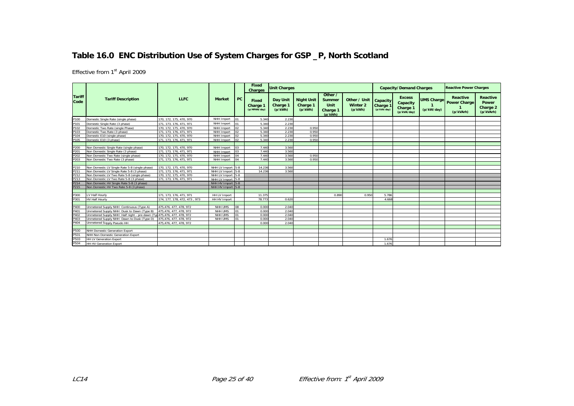# **Table 16.0 ENC Distribution Use of System Charges for GSP \_P, North Scotland**

|                       |                                                                         |                                                  |                    |    | <b>Fixed</b><br><b>Charges</b>    | <b>Unit Charges</b>             |                                          |                                                  |                                            |                                            | <b>Capacity/Demand Charges</b>                       |                                 | <b>Reactive Power Charges</b>                       |                                                          |
|-----------------------|-------------------------------------------------------------------------|--------------------------------------------------|--------------------|----|-----------------------------------|---------------------------------|------------------------------------------|--------------------------------------------------|--------------------------------------------|--------------------------------------------|------------------------------------------------------|---------------------------------|-----------------------------------------------------|----------------------------------------------------------|
| <b>Tariff</b><br>Code | <b>Tariff Description</b>                                               | <b>LLFC</b>                                      | <b>Market</b>      | PC | Fixed<br>Charge 1<br>(p/MPAN/day) | Day Unit<br>Charge 1<br>(p/kWh) | <b>Night Unit</b><br>Charge 1<br>(p/kWh) | Other /<br>Summer<br>Unit<br>Charge 1<br>(p/kWh) | Other / Unit<br><b>Winter 2</b><br>(p/kWh) | Capacity<br><b>Charge 1</b><br>(p/kVA/day) | <b>Excess</b><br>Capacity<br>Charge 1<br>(p/kVA/day) | <b>UMS Charge</b><br>(p/kW/day) | <b>Reactive</b><br><b>Power Charge</b><br>(p/kVArh) | <b>Reactive</b><br><b>Power</b><br>Charge 2<br>(p/kVArh) |
| P100                  | Domestic Single Rate (single phase)                                     | 170, 172, 175, 470, 970                          | NHH Import         | 01 | 5.340                             | 2.230                           |                                          |                                                  |                                            |                                            |                                                      |                                 |                                                     |                                                          |
| P10                   | Domestic Single Rate (3 phase)                                          | 171, 173, 176, 471, 971                          | NHH Import         | 01 | 5.340                             | 2.230                           |                                          |                                                  |                                            |                                            |                                                      |                                 |                                                     |                                                          |
| P102                  | Domestic Two Rate (single Phase)                                        | 170, 172, 175, 470, 970                          | NHH Import         | 02 | 5.340                             | 2.230                           | 0.950                                    |                                                  |                                            |                                            |                                                      |                                 |                                                     |                                                          |
| P103                  | Domestic Two Rate (3 phase)                                             | 171, 173, 176, 471, 971                          | NHH Import         |    | 5.340                             | 2.230                           | 0.950                                    |                                                  |                                            |                                            |                                                      |                                 |                                                     |                                                          |
| P104                  | Domestic E10 (single phase)                                             | 170. 172. 175. 470. 970                          | NHH Import         | 02 | 5.340                             | 2.230                           | 0.950                                    |                                                  |                                            |                                            |                                                      |                                 |                                                     |                                                          |
| P105                  | Domestic E10 (3 phase)                                                  | 171, 173, 176, 471, 971                          | NHH Import         | 02 | 5.340                             | 2.230                           | 0.950                                    |                                                  |                                            |                                            |                                                      |                                 |                                                     |                                                          |
|                       |                                                                         |                                                  |                    |    |                                   |                                 |                                          |                                                  |                                            |                                            |                                                      |                                 |                                                     |                                                          |
| P200                  | Non Domestic Single Rate (single phase)                                 | 170, 172, 175, 470, 970                          | NHH Import         | 03 | 7.440                             | 3.560                           |                                          |                                                  |                                            |                                            |                                                      |                                 |                                                     |                                                          |
| P20 <sup>-</sup>      | Non Domestic Single Rate (3 phase)                                      | 171, 173, 176, 471, 971                          | NHH Import         | 03 | 7.440                             | 3.560                           |                                          |                                                  |                                            |                                            |                                                      |                                 |                                                     |                                                          |
| P202                  | Non Domestic Two Rate (single phase)                                    | 170. 172. 175. 470. 970                          | NHH Import         | 04 | 7.440                             | 3.560                           | 0.950                                    |                                                  |                                            |                                            |                                                      |                                 |                                                     |                                                          |
| P203                  | Non Domestic Two Rate (3 phase)                                         | 171, 173, 176, 471, 971                          | NHH Import         | 04 | 7.440                             | 3.560                           | 0.950                                    |                                                  |                                            |                                            |                                                      |                                 |                                                     |                                                          |
|                       |                                                                         |                                                  |                    |    |                                   |                                 |                                          |                                                  |                                            |                                            |                                                      |                                 |                                                     |                                                          |
| P210                  | Non Domestic LV Single Rate 5-8 (single phase)                          | 170.172.175.470.970                              | NHH LV Import 5-8  |    | 14.236                            | 3.560                           |                                          |                                                  |                                            |                                            |                                                      |                                 |                                                     |                                                          |
| P211                  | Non Domestic LV Single Rate 5-8 (3 phase)                               | 171.173.176.471.971                              | NHH LV Import 5-8  |    | 14.236                            | 3.560                           |                                          |                                                  |                                            |                                            |                                                      |                                 |                                                     |                                                          |
| P212                  | Non Domestic LV Two Rate 5-8 (single phase)                             | 170.172.175.470.970                              | NHH LV Import 5-8  |    |                                   |                                 |                                          |                                                  |                                            |                                            |                                                      |                                 |                                                     |                                                          |
| P213                  | Non Domestic LV Two Rate 5-8 (3 phase)                                  | 171, 173, 176, 471, 971                          | NHH LV Import 5-8  |    |                                   |                                 |                                          |                                                  |                                            |                                            |                                                      |                                 |                                                     |                                                          |
| P214                  | Non Domestic HV Single Rate 5-8 (3 phase)                               |                                                  | NHH HV Import 5-8  |    |                                   |                                 |                                          |                                                  |                                            |                                            |                                                      |                                 |                                                     |                                                          |
| P215                  | Non Domestic HV Two Rate 5-8 (3 phase)                                  |                                                  | NHH HV Import 5-8  |    |                                   |                                 |                                          |                                                  |                                            |                                            |                                                      |                                 |                                                     |                                                          |
|                       |                                                                         |                                                  |                    |    |                                   |                                 |                                          |                                                  |                                            |                                            |                                                      |                                 |                                                     |                                                          |
| P300                  | LV Half Hourly                                                          | 171, 173, 176, 471, 971                          | HH LV Import       |    | 11.375                            |                                 |                                          | 0.890                                            | 0.950                                      | 5.786                                      |                                                      |                                 |                                                     |                                                          |
| P301                  | <b>HV Half Hourly</b>                                                   | 174, 177, 178, 472, 473, 973                     | HH HV Import       |    | 78.773                            | 0.620                           |                                          |                                                  |                                            | 4.668                                      |                                                      |                                 |                                                     |                                                          |
|                       |                                                                         |                                                  |                    |    |                                   |                                 |                                          |                                                  |                                            |                                            |                                                      |                                 |                                                     |                                                          |
| P400                  | Unmetered Supply NHH Continuous (Type A)                                | 475.476.477.478.972                              | NHH UMS<br>NHH UMS | 08 | 0.000                             | 2.040                           |                                          |                                                  |                                            |                                            |                                                      |                                 |                                                     |                                                          |
| P40 <sup>-</sup>      | Unmetered Supply NHH Dusk to Dawn (Type B)                              | 475.476, 477, 478, 972                           |                    | 01 | 0.000<br>0.000                    | 2.040                           |                                          |                                                  |                                            |                                            |                                                      |                                 |                                                     |                                                          |
| P402                  | Unmetered Supply NHH Half night - pre dawn (Tyr 475.476, 477, 478, 972) |                                                  | NHH UMS            | 01 | 0.000                             | 2.040<br>2.040                  |                                          |                                                  |                                            |                                            |                                                      |                                 |                                                     |                                                          |
| P403<br>P404          | Jnmetered Supply NHH Dawn to Dusk (Type D)                              | 475,476, 477, 478, 972<br>475.476, 477, 478, 972 | NHH UMS            |    |                                   | 2.040                           |                                          |                                                  |                                            |                                            |                                                      |                                 |                                                     |                                                          |
|                       | Unmetered Supply Pseudo HH                                              |                                                  |                    |    | 0.000                             |                                 |                                          |                                                  |                                            |                                            |                                                      |                                 |                                                     |                                                          |
| P500                  | NHH Domestic Generation Export                                          |                                                  |                    |    |                                   |                                 |                                          |                                                  |                                            |                                            |                                                      |                                 |                                                     |                                                          |
| P501                  | NHH Non Domestic Generation Export                                      |                                                  |                    |    |                                   |                                 |                                          |                                                  |                                            |                                            |                                                      |                                 |                                                     |                                                          |
| P503                  |                                                                         |                                                  |                    |    |                                   |                                 |                                          |                                                  |                                            | 1.676                                      |                                                      |                                 |                                                     |                                                          |
|                       | <b>HH LV Generation Export</b>                                          |                                                  |                    |    |                                   |                                 |                                          |                                                  |                                            |                                            |                                                      |                                 |                                                     |                                                          |
| P504                  | <b>HH HV Generation Export</b>                                          |                                                  |                    |    |                                   |                                 |                                          |                                                  |                                            | 1.676                                      |                                                      |                                 |                                                     |                                                          |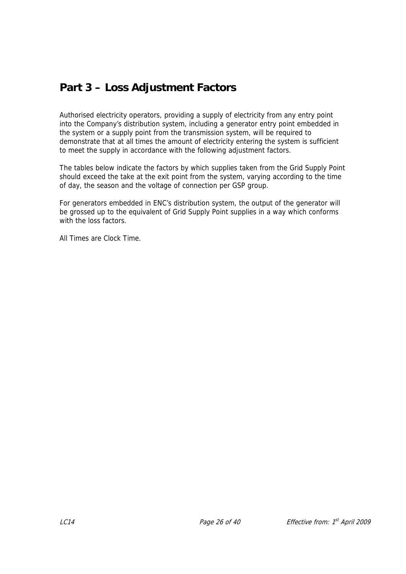# **Part 3 – Loss Adjustment Factors**

Authorised electricity operators, providing a supply of electricity from any entry point into the Company's distribution system, including a generator entry point embedded in the system or a supply point from the transmission system, will be required to demonstrate that at all times the amount of electricity entering the system is sufficient to meet the supply in accordance with the following adjustment factors.

The tables below indicate the factors by which supplies taken from the Grid Supply Point should exceed the take at the exit point from the system, varying according to the time of day, the season and the voltage of connection per GSP group.

For generators embedded in ENC's distribution system, the output of the generator will be grossed up to the equivalent of Grid Supply Point supplies in a way which conforms with the loss factors.

All Times are Clock Time.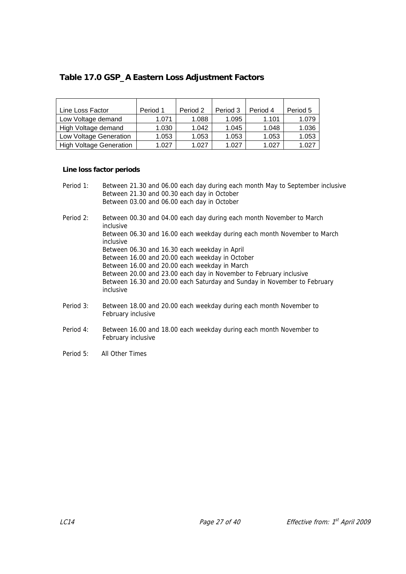# **Table 17.0 GSP\_A Eastern Loss Adjustment Factors**

| Line Loss Factor               | Period 1 | Period 2 | Period 3 | Period 4 | Period 5 |
|--------------------------------|----------|----------|----------|----------|----------|
| Low Voltage demand             | 1.071    | 1.088    | 1.095    | 1.101    | 1.079    |
| High Voltage demand            | 1.030    | 1.042    | 1.045    | 1.048    | 1.036    |
| Low Voltage Generation         | 1.053    | 1.053    | 1.053    | 1.053    | 1.053    |
| <b>High Voltage Generation</b> | 1.027    | 1.027    | 1.027    | 1.027    | 1.027    |

#### **Line loss factor periods**

| Period 1: | Between 21.30 and 06.00 each day during each month May to September inclusive<br>Between 21.30 and 00.30 each day in October<br>Between 03.00 and 06.00 each day in October |
|-----------|-----------------------------------------------------------------------------------------------------------------------------------------------------------------------------|
| Period 2: | Between 00.30 and 04.00 each day during each month November to March<br>inclusive                                                                                           |
|           | Between 06.30 and 16.00 each weekday during each month November to March<br>inclusive                                                                                       |
|           | Between 06.30 and 16.30 each weekday in April                                                                                                                               |
|           | Between 16.00 and 20.00 each weekday in October                                                                                                                             |
|           | Between 16.00 and 20.00 each weekday in March                                                                                                                               |
|           | Between 20.00 and 23.00 each day in November to February inclusive                                                                                                          |
|           | Between 16.30 and 20.00 each Saturday and Sunday in November to February<br>inclusive                                                                                       |
| Period 3: | Between 18.00 and 20.00 each weekday during each month November to<br>February inclusive                                                                                    |
| Period 4: | Between 16.00 and 18.00 each weekday during each month November to<br>February inclusive                                                                                    |
|           |                                                                                                                                                                             |

Period 5: All Other Times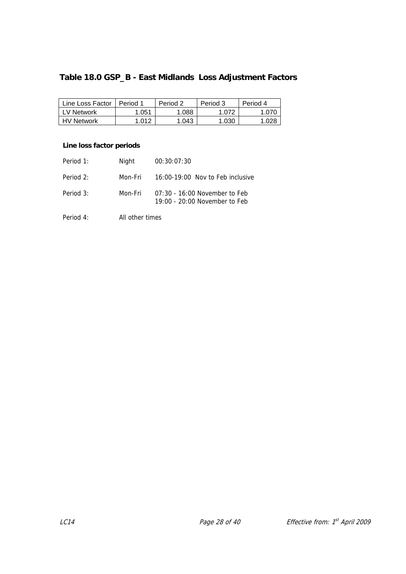# **Table 18.0 GSP\_B - East Midlands Loss Adjustment Factors**

| Line Loss Factor  | Period 1 | Period 2 | Period 3 | Period 4 |
|-------------------|----------|----------|----------|----------|
| LV Network        | .051     | .088     | .072     |          |
| <b>HV Network</b> | .012     | .043     | .030     |          |

#### **Line loss factor periods**

| Period 1:   | Night           | 00:30:07:30                                                      |
|-------------|-----------------|------------------------------------------------------------------|
| Period 2:   | Mon-Fri         | 16:00-19:00 Nov to Feb inclusive                                 |
| Period $3:$ | Mon-Fri         | 07:30 - 16:00 November to Feb<br>$19:00 - 20:00$ November to Feb |
| Period 4:   | All other times |                                                                  |

LC14 **Page 28 of 40** Effective from:  $1^{st}$  April 2009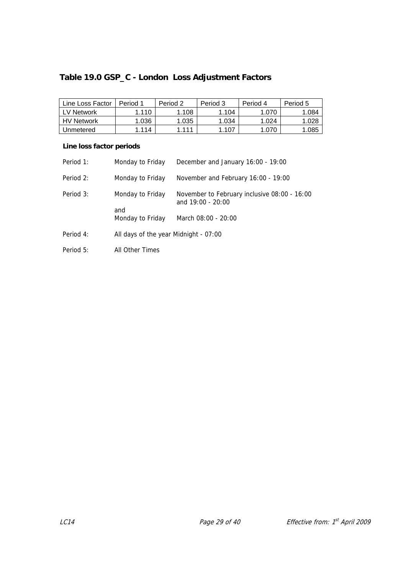# **Table 19.0 GSP\_C - London Loss Adjustment Factors**

| Line Loss Factor  | Period 1 | Period 2 | Period 3 | Period 4 | Period 5 |
|-------------------|----------|----------|----------|----------|----------|
| LV Network        | 1.110    | 1.108    | 1.104    | 1.070    | 1.084    |
| <b>HV Network</b> | 1.036    | 1.035    | 1.034    | 1.024    | 1.028    |
| Unmetered         | 1.114    | 1 1 1 1  | 1.107    | 1.070    | 1.085    |

| Period 1: | Monday to Friday                      | December and January 16:00 - 19:00                                  |
|-----------|---------------------------------------|---------------------------------------------------------------------|
| Period 2: | Monday to Friday                      | November and February 16:00 - 19:00                                 |
| Period 3: | Monday to Friday                      | November to February inclusive 08:00 - 16:00<br>and $19:00 - 20:00$ |
|           | and<br>Monday to Friday               | March 08:00 - 20:00                                                 |
| Period 4: | All days of the year Midnight - 07:00 |                                                                     |
| Period 5: | All Other Times                       |                                                                     |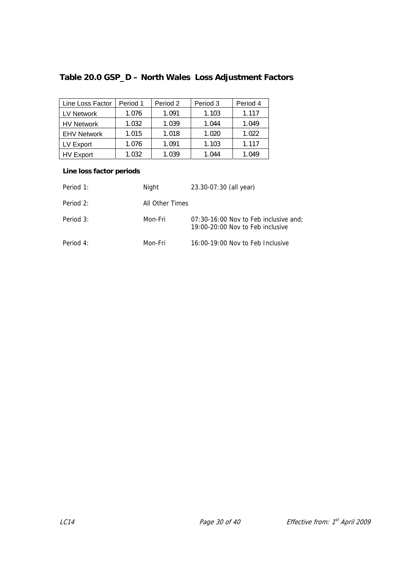# **Table 20.0 GSP\_D – North Wales Loss Adjustment Factors**

| Line Loss Factor   | Period 1 | Period 2 | Period 3 | Period 4 |
|--------------------|----------|----------|----------|----------|
| LV Network         | 1.076    | 1.091    | 1.103    | 1.117    |
| <b>HV Network</b>  | 1.032    | 1.039    | 1.044    | 1.049    |
| <b>EHV Network</b> | 1.015    | 1.018    | 1.020    | 1.022    |
| LV Export          | 1.076    | 1.091    | 1.103    | 1.117    |
| <b>HV Export</b>   | 1.032    | 1.039    | 1.044    | 1.049    |

| Period 1: | Night           | 23.30-07:30 (all year)                                                      |
|-----------|-----------------|-----------------------------------------------------------------------------|
| Period 2: | All Other Times |                                                                             |
| Period 3: | Mon-Fri         | 07:30-16:00 Nov to Feb inclusive and;<br>$19:00-20:00$ Nov to Feb inclusive |
| Period 4: | Mon-Fri         | 16:00-19:00 Nov to Feb Inclusive                                            |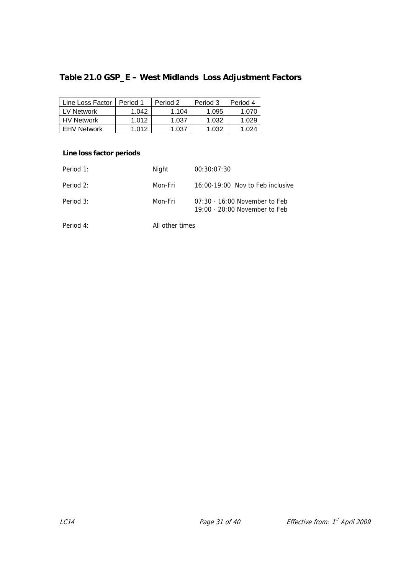# **Table 21.0 GSP\_E – West Midlands Loss Adjustment Factors**

| Line Loss Factor   | Period 1 | Period 2 | Period 3 | Period 4 |
|--------------------|----------|----------|----------|----------|
| LV Network         | 1.042    | 1.104    | 1.095    | 1.070    |
| <b>HV Network</b>  | 1.012    | 1.037    | 1.032    | 1.029    |
| <b>EHV Network</b> | 1.012    | 1.037    | 1.032    | 1 024    |

| Period 1: | Night           | 00:30:07:30                                                        |
|-----------|-----------------|--------------------------------------------------------------------|
| Period 2: | Mon-Fri         | 16:00-19:00 Nov to Feb inclusive                                   |
| Period 3: | Mon-Fri         | $07:30 - 16:00$ November to Feb<br>$19:00 - 20:00$ November to Feb |
| Period 4: | All other times |                                                                    |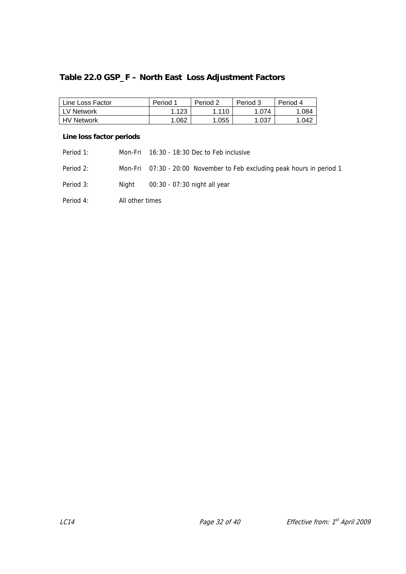# **Table 22.0 GSP\_F – North East Loss Adjustment Factors**

| Line Loss Factor | Period 1 | Period 2 | Period 3 | Period 4 |
|------------------|----------|----------|----------|----------|
| l LV Network     | 123،،    | 1.110    | 1.074    | 1.084    |
| l HV Network     | .062     | 0.055    | 037. ،   | 1.042    |

| Period 1: |                 | Mon-Fri 16:30 - 18:30 Dec to Feb inclusive                             |
|-----------|-----------------|------------------------------------------------------------------------|
| Period 2: |                 | Mon-Fri 07:30 - 20:00 November to Feb excluding peak hours in period 1 |
| Period 3: | Niaht           | 00:30 - 07:30 night all year                                           |
| Period 4: | All other times |                                                                        |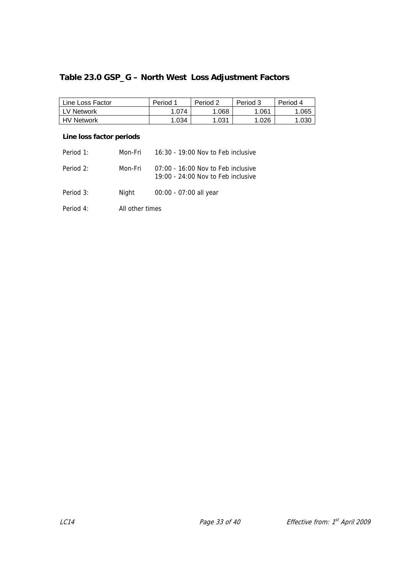# **Table 23.0 GSP\_G – North West Loss Adjustment Factors**

| Line Loss Factor  | Period 1 | Period 2 | Period 3 | Period 4 |
|-------------------|----------|----------|----------|----------|
| LV Network        | 1.074    | .068     | .061     | .065     |
| <b>HV Network</b> | 1.034    | 1.031    | 1.026    | 030      |

| Period 1: | Mon-Fri         | 16:30 - 19:00 Nov to Feb inclusive                                           |
|-----------|-----------------|------------------------------------------------------------------------------|
| Period 2: | Mon-Fri         | $07:00 - 16:00$ Nov to Feb inclusive<br>$19:00 - 24:00$ Nov to Feb inclusive |
| Period 3: | Night           | 00:00 - 07:00 all year                                                       |
| Period 4: | All other times |                                                                              |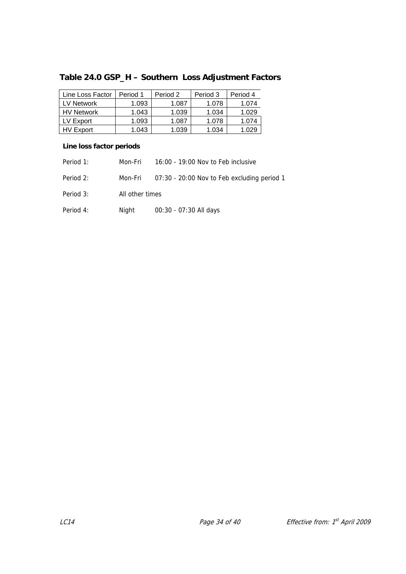# **Table 24.0 GSP\_H – Southern Loss Adjustment Factors**

| Line Loss Factor  | Period 1 | Period 2 | Period 3 | Period 4 |
|-------------------|----------|----------|----------|----------|
| LV Network        | 1.093    | 1.087    | 1.078    | 1.074    |
| <b>HV Network</b> | 1.043    | 1.039    | 1.034    | 1.029    |
| LV Export         | 1.093    | 1.087    | 1.078    | 1.074    |
| HV Export         | 1.043    | 1.039    | 1.034    |          |

| Period 1: | Mon-Fri         | 16:00 - 19:00 Nov to Feb inclusive          |
|-----------|-----------------|---------------------------------------------|
| Period 2: | Mon-Fri         | 07:30 - 20:00 Nov to Feb excluding period 1 |
| Period 3: | All other times |                                             |
| Period 4: | Night           | 00:30 - 07:30 All days                      |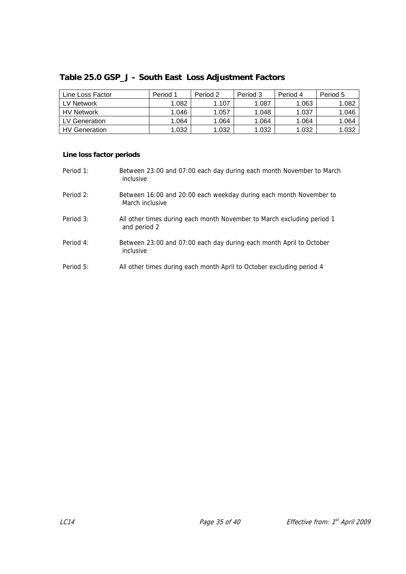| Table 25.0 GSP_J - South East Loss Adjustment Factors |  |
|-------------------------------------------------------|--|
|-------------------------------------------------------|--|

| Line Loss Factor     | Period 1 | Period 2 | Period 3 | Period 4 | Period 5 |
|----------------------|----------|----------|----------|----------|----------|
| <b>LV Network</b>    | .082     | 1.107    | 1.087    | .063     | 1.082    |
| <b>HV Network</b>    | 1.046    | 1.057    | 1.048    | 1.037    | 1.046    |
| LV Generation        | .064     | 1.064    | 1.064    | .064     | 1.064    |
| <b>HV</b> Generation | .032     | 1.032    | 1.032    | 1.032    | 1.032    |

| Period 1: | Between 23:00 and 07:00 each day during each month November to March<br>inclusive      |
|-----------|----------------------------------------------------------------------------------------|
| Period 2: | Between 16:00 and 20:00 each weekday during each month November to<br>March inclusive  |
| Period 3: | All other times during each month November to March excluding period 1<br>and period 2 |
| Period 4: | Between 23:00 and 07:00 each day during each month April to October<br>inclusive       |
| Period 5: | All other times during each month April to October excluding period 4                  |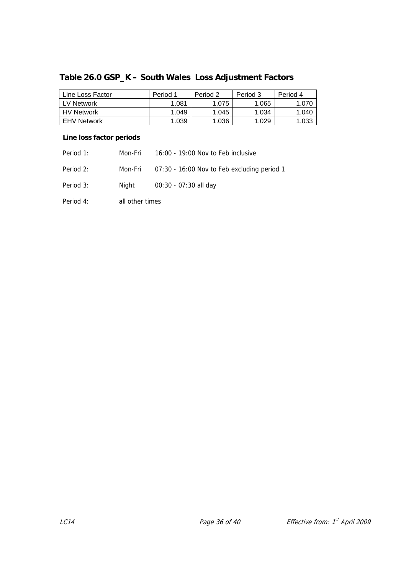# **Table 26.0 GSP\_K – South Wales Loss Adjustment Factors**

| Line Loss Factor   | Period 1 | Period 2 | Period 3 | Period 4 |
|--------------------|----------|----------|----------|----------|
| LV Network         | 1.081    | 1.075    | 1.065    | .070     |
| <b>HV Network</b>  | 1.049    | 1.045    | 1.034    | 1.040    |
| <b>EHV Network</b> | 1.039    | 1.036    | 1.029    | .033     |

| Period 1: | Mon-Fri         | 16:00 - 19:00 Nov to Feb inclusive          |
|-----------|-----------------|---------------------------------------------|
| Period 2: | Mon-Fri         | 07:30 - 16:00 Nov to Feb excluding period 1 |
| Period 3: | Night           | 00:30 - 07:30 all day                       |
| Period 4: | all other times |                                             |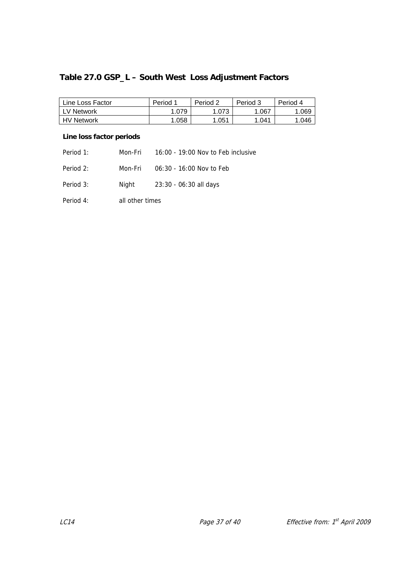# **Table 27.0 GSP\_L – South West Loss Adjustment Factors**

| Line Loss Factor  | Period 1 | Period 2 | Period 3 | Period 4 |
|-------------------|----------|----------|----------|----------|
| l LV Network      | .079     | .073     | .067     | .069     |
| <b>HV Network</b> | .058     | 1.051    | .041     | 1.046    |

| Period 1: | Mon-Fri         | 16:00 - 19:00 Nov to Feb inclusive |
|-----------|-----------------|------------------------------------|
| Period 2: | Mon-Fri         | 06:30 - 16:00 Nov to Feb           |
| Period 3: | Night           | 23:30 - 06:30 all days             |
| Period 4: | all other times |                                    |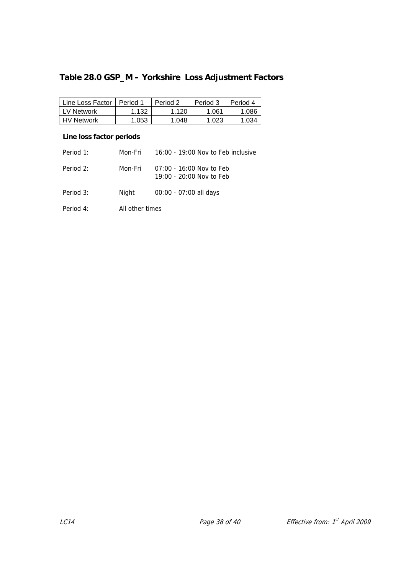# **Table 28.0 GSP\_M – Yorkshire Loss Adjustment Factors**

| Line Loss Factor   Period 1 |       | Period 2 | Period 3 | Period 4 |
|-----------------------------|-------|----------|----------|----------|
| l LV Network                | 1.132 | 1.120    | 1.061    | 1.086    |
| <b>HV Network</b>           | 1.053 | 1.048    | 1.023    | 1.034    |

| Period 1: | Mon-Fri         | $16:00 - 19:00$ Nov to Feb inclusive                     |
|-----------|-----------------|----------------------------------------------------------|
| Period 2: | Mon-Fri         | $07:00 - 16:00$ Nov to Feb<br>$19:00 - 20:00$ Nov to Feb |
| Period 3: | Night           | 00:00 - 07:00 all days                                   |
| Period 4: | All other times |                                                          |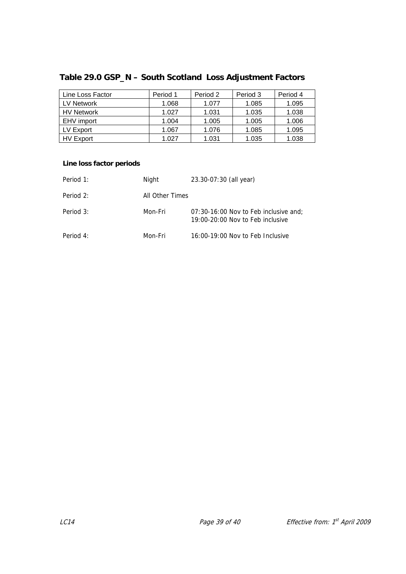| Line Loss Factor  | Period 1 | Period 2 | Period 3 | Period 4 |
|-------------------|----------|----------|----------|----------|
| LV Network        | 1.068    | 1.077    | 1.085    | 1.095    |
| <b>HV Network</b> | 1.027    | 1.031    | 1.035    | 1.038    |
| EHV import        | 1.004    | 1.005    | 1.005    | 1.006    |
| LV Export         | 1.067    | 1.076    | 1.085    | 1.095    |
| <b>HV Export</b>  | 1.027    | 1.031    | 1.035    | 1.038    |

# **Table 29.0 GSP\_N – South Scotland Loss Adjustment Factors**

| Period 1: | Night           | 23.30-07:30 (all year)                                                        |
|-----------|-----------------|-------------------------------------------------------------------------------|
| Period 2: | All Other Times |                                                                               |
| Period 3: | Mon-Fri         | $07:30-16:00$ Nov to Feb inclusive and:<br>$19:00-20:00$ Nov to Feb inclusive |
| Period 4: | Mon-Fri         | 16:00-19:00 Nov to Feb Inclusive                                              |